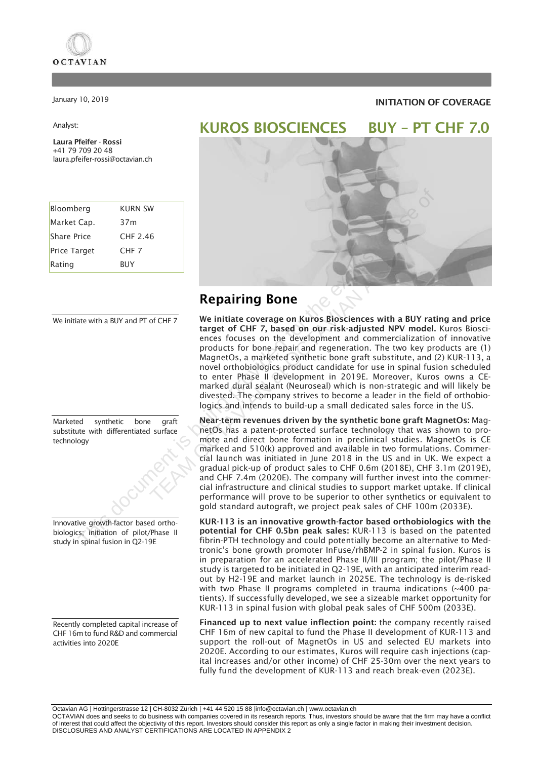

January 10, 2019

### Analyst:

Laura Pfeifer - Rossi +41 79 709 20 48 laura.pfeifer-rossi@octavian.ch

| Bloomberg           | KURN SW          |
|---------------------|------------------|
| Market Cap.         | 37m              |
| <b>Share Price</b>  | CHF 2.46         |
| <b>Price Target</b> | CHF <sub>7</sub> |
| Rating              | <b>BUY</b>       |

We initiate with a BUY and PT of CHF 7

Marketed synthetic bone graft substitute with differentiated surface technology

Innovative growth-factor based orthobiologics; initiation of pilot/Phase II study in spinal fusion in Q2-19E

Recently completed capital increase of CHF 16m to fund R&D and commercial activities into 2020E

### INITIATION OF COVERAGE



## Repairing Bone

We initiate coverage on Kuros Biosciences with a BUY rating and price target of CHF 7, based on our risk-adjusted NPV model. Kuros Biosciences focuses on the development and commercialization of innovative products for bone repair and regeneration. The two key products are (1) MagnetOs, a marketed synthetic bone graft substitute, and (2) KUR-113, a novel orthobiologics product candidate for use in spinal fusion scheduled to enter Phase II development in 2019E. Moreover, Kuros owns a CEmarked dural sealant (Neuroseal) which is non-strategic and will likely be divested. The company strives to become a leader in the field of orthobiologics and intends to build-up a small dedicated sales force in the US. **Repairing Bone**<br>
The initiate coverage on Kuros Biosciences witt<br>
target of CHF 7, based on our risk-adjusted N<br>
ences focuses on the development and comme<br>
products for bone repair and regeneration. The<br>
MagnetOs, a mark

Near-term revenues driven by the synthetic bone graft MagnetOs: MagnetOs has a patent-protected surface technology that was shown to promote and direct bone formation in preclinical studies. MagnetOs is CE marked and 510(k) approved and available in two formulations. Commercial launch was initiated in June 2018 in the US and in UK. We expect a gradual pick-up of product sales to CHF 0.6m (2018E), CHF 3.1m (2019E), and CHF 7.4m (2020E). The company will further invest into the commercial infrastructure and clinical studies to support market uptake. If clinical performance will prove to be superior to other synthetics or equivalent to gold standard autograft, we project peak sales of CHF 100m (2033E).

KUR-113 is an innovative growth-factor based orthobiologics with the potential for CHF 0.5bn peak sales: KUR-113 is based on the patented fibrin-PTH technology and could potentially become an alternative to Medtronic's bone growth promoter InFuse/rhBMP-2 in spinal fusion. Kuros is in preparation for an accelerated Phase II/III program; the pilot/Phase II study is targeted to be initiated in Q2-19E, with an anticipated interim readout by H2-19E and market launch in 2025E. The technology is de-risked with two Phase II programs completed in trauma indications (~400 patients). If successfully developed, we see a sizeable market opportunity for KUR-113 in spinal fusion with global peak sales of CHF 500m (2033E).

Financed up to next value inflection point: the company recently raised CHF 16m of new capital to fund the Phase II development of KUR-113 and support the roll-out of MagnetOs in US and selected EU markets into 2020E. According to our estimates, Kuros will require cash injections (capital increases and/or other income) of CHF 25-30m over the next years to fully fund the development of KUR-113 and reach break-even (2023E).

Octavian AG | Hottingerstrasse 12 | CH-8032 Zürich | +41 44 520 15 8[8 |info@octavian.ch](mailto:%7Cinfo@octavian.ch) | www.octavian.ch

OCTAVIAN does and seeks to do business with companies covered in its research reports. Thus, investors should be aware that the firm may have a conflict of interest that could affect the objectivity of this report. Investors should consider this report as only a single factor in making their investment decision. DISCLOSURES AND ANALYST CERTIFICATIONS ARE LOCATED IN APPENDIX 2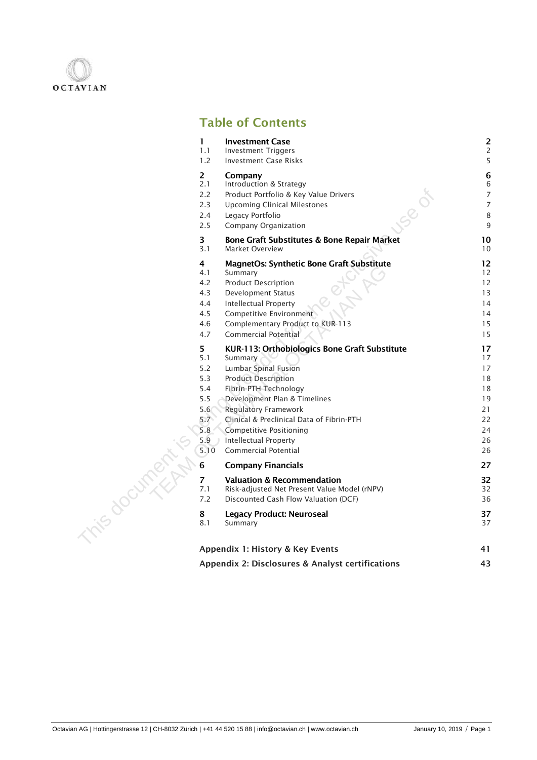

## Table of Contents

|               | $\mathbf{1}$                                      | <b>Investment Case</b>                                                                                                                                                       | $\overline{\mathbf{c}}$                 |
|---------------|---------------------------------------------------|------------------------------------------------------------------------------------------------------------------------------------------------------------------------------|-----------------------------------------|
|               | 1.1                                               | <b>Investment Triggers</b>                                                                                                                                                   | $\overline{c}$                          |
|               | 1.2                                               | <b>Investment Case Risks</b>                                                                                                                                                 | 5                                       |
|               | $\overline{2}$<br>2.1<br>2.2<br>2.3<br>2.4<br>2.5 | Company<br>Introduction & Strategy<br>Product Portfolio & Key Value Drivers<br><b>SOO</b><br><b>Upcoming Clinical Milestones</b><br>Legacy Portfolio<br>Company Organization | 6<br>6<br>$\overline{7}$<br>7<br>8<br>9 |
|               | $\overline{\mathbf{3}}$                           | Bone Graft Substitutes & Bone Repair Market                                                                                                                                  | 10                                      |
|               | 3.1                                               | Market Overview                                                                                                                                                              | 10                                      |
|               | 4                                                 | <b>MagnetOs: Synthetic Bone Graft Substitute</b>                                                                                                                             | 12                                      |
|               | 4.1                                               | Summary                                                                                                                                                                      | 12                                      |
|               | 4.2                                               | <b>Product Description</b>                                                                                                                                                   | 12                                      |
|               | 4.3                                               | Development Status                                                                                                                                                           | 13                                      |
|               | 4.4                                               | <b>Intellectual Property</b>                                                                                                                                                 | 14                                      |
|               | 4.5                                               | Competitive Environment                                                                                                                                                      | 14                                      |
|               | 4.6                                               | Complementary Product to KUR-113                                                                                                                                             | 15                                      |
|               | 4.7                                               | Commercial Potential                                                                                                                                                         | 15                                      |
|               | 5                                                 | KUR-113: Orthobiologics Bone Graft Substitute                                                                                                                                | 17                                      |
|               | 5.1                                               | Summary                                                                                                                                                                      | 17                                      |
|               | 5.2                                               | <b>Lumbar Spinal Fusion</b>                                                                                                                                                  | 17                                      |
|               | 5.3                                               | <b>Product Description</b>                                                                                                                                                   | 18                                      |
|               | 5.4                                               | Fibrin-PTH Technology                                                                                                                                                        | 18                                      |
|               | 5.5                                               | Development Plan & Timelines                                                                                                                                                 | 19                                      |
|               | 5.6                                               | <b>Regulatory Framework</b>                                                                                                                                                  | 21                                      |
|               | $5.7^{\circ}$                                     | Clinical & Preclinical Data of Fibrin-PTH                                                                                                                                    | 22                                      |
|               | 5.8 <sub>0</sub>                                  | <b>Competitive Positioning</b>                                                                                                                                               | 24                                      |
|               | 5.9                                               | Intellectual Property                                                                                                                                                        | 26                                      |
|               | 5.10                                              | <b>Commercial Potential</b>                                                                                                                                                  | 26                                      |
|               | 6                                                 | <b>Company Financials</b>                                                                                                                                                    | 27                                      |
| inis document | $\overline{7}$                                    | <b>Valuation &amp; Recommendation</b>                                                                                                                                        | 32                                      |
|               | 7.1                                               | Risk-adjusted Net Present Value Model (rNPV)                                                                                                                                 | 32                                      |
|               | 7.2                                               | Discounted Cash Flow Valuation (DCF)                                                                                                                                         | 36                                      |
|               | 8                                                 | <b>Legacy Product: Neuroseal</b>                                                                                                                                             | 37                                      |
|               | 8.1                                               | Summary                                                                                                                                                                      | 37                                      |
|               |                                                   | Appendix 1: History & Key Events                                                                                                                                             | 41                                      |
|               |                                                   | Appendix 2: Disclosures & Analyst certifications                                                                                                                             | 43                                      |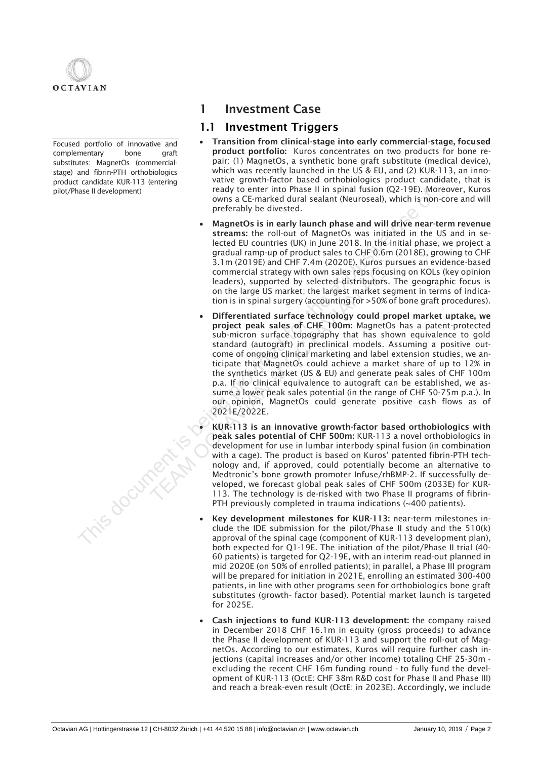

Focused portfolio of innovative and complementary bone graft substitutes: MagnetOs (commercialstage) and fibrin-PTH orthobiologics product candidate KUR-113 (entering

## 1 Investment Case

## 1.1 Investment Triggers

- Transition from clinical-stage into early commercial-stage, focused product portfolio: Kuros concentrates on two products for bone repair: (1) MagnetOs, a synthetic bone graft substitute (medical device), which was recently launched in the US & EU, and (2) KUR-113, an innovative growth-factor based orthobiologics product candidate, that is ready to enter into Phase II in spinal fusion (Q2-19E). Moreover, Kuros owns a CE-marked dural sealant (Neuroseal), which is non-core and will preferably be divested.
- MagnetOs is in early launch phase and will drive near-term revenue streams: the roll-out of MagnetOs was initiated in the US and in selected EU countries (UK) in June 2018. In the initial phase, we project a gradual ramp-up of product sales to CHF 0.6m (2018E), growing to CHF 3.1m (2019E) and CHF 7.4m (2020E). Kuros pursues an evidence-based commercial strategy with own sales reps focusing on KOLs (key opinion leaders), supported by selected distributors. The geographic focus is on the large US market; the largest market segment in terms of indication is in spinal surgery (accounting for >50% of bone graft procedures).
- Differentiated surface technology could propel market uptake, we project peak sales of CHF 100m: MagnetOs has a patent-protected sub-micron surface topography that has shown equivalence to gold standard (autograft) in preclinical models. Assuming a positive outcome of ongoing clinical marketing and label extension studies, we anticipate that MagnetOs could achieve a market share of up to 12% in the synthetics market (US & EU) and generate peak sales of CHF 100m p.a. If no clinical equivalence to autograft can be established, we assume a lower peak sales potential (in the range of CHF 50-75m p.a.). In our opinion, MagnetOs could generate positive cash flows as of 2021E/2022E. pilot/Phase II development)<br>
Teaty to enter line of Phase II in Spiring 11 using the significant (Mexi-1961)<br>
MagnetOS is in early launch phase and will drive near-<br>
streams: the coll-out of MagnetOS van initiated in the<br> commercial strategy with own sales reps focuses<br>leaders), supported by selected distributors.<br>
on the large US market; the largest market see<br>
tion is in spinal surgery (accounting for >50% c<br>
• Differentiated surface tech

• KUR-113 is an innovative growth-factor based orthobiologics with peak sales potential of CHF 500m: KUR-113 a novel orthobiologics in development for use in lumbar interbody spinal fusion (in combination with a cage). The product is based on Kuros' patented fibrin-PTH technology and, if approved, could potentially become an alternative to Medtronic's bone growth promoter Infuse/rhBMP-2. If successfully developed, we forecast global peak sales of CHF 500m (2033E) for KUR-113. The technology is de-risked with two Phase II programs of fibrin-PTH previously completed in trauma indications (~400 patients).

- Key development milestones for KUR-113: near-term milestones include the IDE submission for the pilot/Phase II study and the 510(k) approval of the spinal cage (component of KUR-113 development plan), both expected for Q1-19E. The initiation of the pilot/Phase II trial (40- 60 patients) is targeted for Q2-19E, with an interim read-out planned in mid 2020E (on 50% of enrolled patients); in parallel, a Phase III program will be prepared for initiation in 2021E, enrolling an estimated 300-400 patients, in line with other programs seen for orthobiologics bone graft substitutes (growth- factor based). Potential market launch is targeted for 2025E.
- Cash injections to fund KUR-113 development: the company raised in December 2018 CHF 16.1m in equity (gross proceeds) to advance the Phase II development of KUR-113 and support the roll-out of MagnetOs. According to our estimates, Kuros will require further cash injections (capital increases and/or other income) totaling CHF 25-30m excluding the recent CHF 16m funding round - to fully fund the development of KUR-113 (OctE: CHF 38m R&D cost for Phase II and Phase III) and reach a break-even result (OctE: in 2023E). Accordingly, we include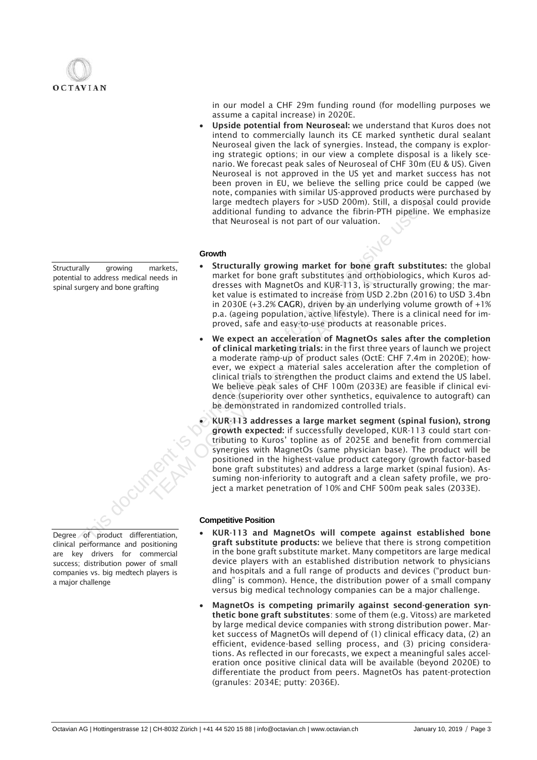

Structurally growing markets, potential to address medical needs in spinal surgery and bone grafting

Degree of product differentiation, clinical performance and positioning are key drivers for commercial success; distribution power of small companies vs. big medtech players is a major challenge

in our model a CHF 29m funding round (for modelling purposes we assume a capital increase) in 2020E.

Upside potential from Neuroseal: we understand that Kuros does not intend to commercially launch its CE marked synthetic dural sealant Neuroseal given the lack of synergies. Instead, the company is exploring strategic options; in our view a complete disposal is a likely scenario. We forecast peak sales of Neuroseal of CHF 30m (EU & US). Given Neuroseal is not approved in the US yet and market success has not been proven in EU, we believe the selling price could be capped (we note, companies with similar US-approved products were purchased by large medtech players for >USD 200m). Still, a disposal could provide additional funding to advance the fibrin-PTH pipeline. We emphasize that Neuroseal is not part of our valuation.

### **Growth**

- Structurally growing market for bone graft substitutes: the global market for bone graft substitutes and orthobiologics, which Kuros addresses with MagnetOs and KUR-113, is structurally growing; the market value is estimated to increase from USD 2.2bn (2016) to USD 3.4bn in 2030E (+3.2% CAGR), driven by an underlying volume growth of +1% p.a. (ageing population, active lifestyle). There is a clinical need for improved, safe and easy-to-use products at reasonable prices.
- We expect an acceleration of MagnetOs sales after the completion of clinical marketing trials: in the first three years of launch we project a moderate ramp-up of product sales (OctE: CHF 7.4m in 2020E); however, we expect a material sales acceleration after the completion of clinical trials to strengthen the product claims and extend the US label. We believe peak sales of CHF 100m (2033E) are feasible if clinical evidence (superiority over other synthetics, equivalence to autograft) can be demonstrated in randomized controlled trials. note, companies with similar US-approved products were<br>
and the exclusive use of the exclusive use of the exclusive use of the exclusive use of the excelusive use of the excelusive use of the excelusive use of the excelusi markets,<br>
Interactive and market for bone graft substitutes and orthob<br>
dresses with MagnetOs and KUR-113, is struce<br>
Let value is estimated to increase from USD 2.<br>
in 2030E (+3.2% CAGR), driven by an underlyin<br>
p.a. (age
	- KUR-113 addresses a large market segment (spinal fusion), strong growth expected: if successfully developed, KUR-113 could start contributing to Kuros' topline as of 2025E and benefit from commercial synergies with MagnetOs (same physician base). The product will be positioned in the highest-value product category (growth factor-based bone graft substitutes) and address a large market (spinal fusion). Assuming non-inferiority to autograft and a clean safety profile, we project a market penetration of 10% and CHF 500m peak sales (2033E).

### **Competitive Position**

- KUR-113 and MagnetOs will compete against established bone graft substitute products: we believe that there is strong competition in the bone graft substitute market. Many competitors are large medical device players with an established distribution network to physicians and hospitals and a full range of products and devices ("product bundling" is common). Hence, the distribution power of a small company versus big medical technology companies can be a major challenge.
- MagnetOs is competing primarily against second-generation synthetic bone graft substitutes: some of them (e.g. Vitoss) are marketed by large medical device companies with strong distribution power. Market success of MagnetOs will depend of (1) clinical efficacy data, (2) an efficient, evidence-based selling process, and (3) pricing considerations. As reflected in our forecasts, we expect a meaningful sales acceleration once positive clinical data will be available (beyond 2020E) to differentiate the product from peers. MagnetOs has patent-protection (granules: 2034E; putty: 2036E).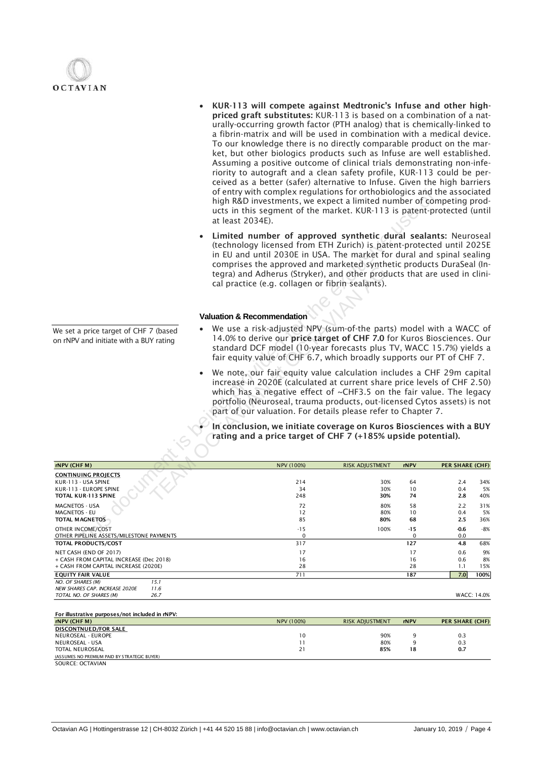

- KUR-113 will compete against Medtronic's Infuse and other highpriced graft substitutes: KUR-113 is based on a combination of a naturally-occurring growth factor (PTH analog) that is chemically-linked to a fibrin-matrix and will be used in combination with a medical device. To our knowledge there is no directly comparable product on the market, but other biologics products such as Infuse are well established. Assuming a positive outcome of clinical trials demonstrating non-inferiority to autograft and a clean safety profile, KUR-113 could be perceived as a better (safer) alternative to Infuse. Given the high barriers of entry with complex regulations for orthobiologics and the associated high R&D investments, we expect a limited number of competing products in this segment of the market. KUR-113 is patent-protected (until at least 2034E).
- Limited number of approved synthetic dural sealants: Neuroseal (technology licensed from ETH Zurich) is patent-protected until 2025E in EU and until 2030E in USA. The market for dural and spinal sealing comprises the approved and marketed synthetic products DuraSeal (Integra) and Adherus (Stryker), and other products that are used in clinical practice (e.g. collagen or fibrin sealants).

### **Valuation & Recommendation**

- We use a risk-adjusted NPV (sum-of-the parts) model with a WACC of 14.0% to derive our price target of CHF 7.0 for Kuros Biosciences. Our standard DCF model (10-year forecasts plus TV, WACC 15.7%) yields a fair equity value of CHF 6.7, which broadly supports our PT of CHF 7.
- We note, our fair equity value calculation includes a CHF 29m capital increase in 2020E (calculated at current share price levels of CHF 2.50) which has a negative effect of ~CHF3.5 on the fair value. The legacy portfolio (Neuroseal, trauma products, out-licensed Cytos assets) is not part of our valuation. For details please refer to Chapter 7.

| TOTAL KUR-113 SPINE<br>MAGNETOS - USA<br><b>MAGNETOS - EU</b><br><b>TOTAL MAGNETOS</b><br>OTHER INCOME/COST<br>OTHER PIPELINE ASSETS/MILESTONE PAYMENTS<br><b>TOTAL PRODUCTS/COST</b><br>NET CASH (END OF 2017)<br>+ CASH FROM CAPITAL INCREASE (Dec 2018)<br>+ CASH FROM CAPITAL INCREASE (2020E)<br><b>EQUITY FAIR VALUE</b><br>NO. OF SHARES (M)<br>15.1<br>NEW SHARES CAP. INCREASE 2020E<br>11.6<br>26.7<br>TOTAL NO. OF SHARES (M)<br>For illustrative purposes/not included in rNPV: | 74<br>2.8<br>2.2<br>58<br>10<br>0.4<br>2.5<br>68<br>$-0.6$<br>$-15$<br>0.0<br>$\mathbf 0$<br>127<br>4.8<br>17<br>0.6<br>16<br>0.6<br>28<br>1.1<br>7.0<br>187<br>WACC: 14.0%                                                                                                                                                                                                  | 34%<br>5%<br>40%<br>31%<br>5%<br>36%<br>$-8%$<br>68%<br>9%<br>8%<br>15%<br>100% |
|---------------------------------------------------------------------------------------------------------------------------------------------------------------------------------------------------------------------------------------------------------------------------------------------------------------------------------------------------------------------------------------------------------------------------------------------------------------------------------------------|------------------------------------------------------------------------------------------------------------------------------------------------------------------------------------------------------------------------------------------------------------------------------------------------------------------------------------------------------------------------------|---------------------------------------------------------------------------------|
|                                                                                                                                                                                                                                                                                                                                                                                                                                                                                             |                                                                                                                                                                                                                                                                                                                                                                              |                                                                                 |
|                                                                                                                                                                                                                                                                                                                                                                                                                                                                                             |                                                                                                                                                                                                                                                                                                                                                                              |                                                                                 |
|                                                                                                                                                                                                                                                                                                                                                                                                                                                                                             |                                                                                                                                                                                                                                                                                                                                                                              |                                                                                 |
|                                                                                                                                                                                                                                                                                                                                                                                                                                                                                             |                                                                                                                                                                                                                                                                                                                                                                              |                                                                                 |
|                                                                                                                                                                                                                                                                                                                                                                                                                                                                                             |                                                                                                                                                                                                                                                                                                                                                                              |                                                                                 |
|                                                                                                                                                                                                                                                                                                                                                                                                                                                                                             |                                                                                                                                                                                                                                                                                                                                                                              |                                                                                 |
|                                                                                                                                                                                                                                                                                                                                                                                                                                                                                             |                                                                                                                                                                                                                                                                                                                                                                              |                                                                                 |
|                                                                                                                                                                                                                                                                                                                                                                                                                                                                                             |                                                                                                                                                                                                                                                                                                                                                                              |                                                                                 |
|                                                                                                                                                                                                                                                                                                                                                                                                                                                                                             |                                                                                                                                                                                                                                                                                                                                                                              |                                                                                 |
|                                                                                                                                                                                                                                                                                                                                                                                                                                                                                             |                                                                                                                                                                                                                                                                                                                                                                              |                                                                                 |
|                                                                                                                                                                                                                                                                                                                                                                                                                                                                                             |                                                                                                                                                                                                                                                                                                                                                                              |                                                                                 |
|                                                                                                                                                                                                                                                                                                                                                                                                                                                                                             |                                                                                                                                                                                                                                                                                                                                                                              |                                                                                 |
|                                                                                                                                                                                                                                                                                                                                                                                                                                                                                             |                                                                                                                                                                                                                                                                                                                                                                              |                                                                                 |
| KUR-113 - USA SPINE<br>KUR-113 - EUROPE SPINE                                                                                                                                                                                                                                                                                                                                                                                                                                               | 64<br>2.4<br>0.4<br>10                                                                                                                                                                                                                                                                                                                                                       |                                                                                 |
| <b>CONTINUING PROJECTS</b>                                                                                                                                                                                                                                                                                                                                                                                                                                                                  |                                                                                                                                                                                                                                                                                                                                                                              |                                                                                 |
| rNPV (CHF M)                                                                                                                                                                                                                                                                                                                                                                                                                                                                                | PER SHARE (CHF)<br>rNPV                                                                                                                                                                                                                                                                                                                                                      |                                                                                 |
|                                                                                                                                                                                                                                                                                                                                                                                                                                                                                             |                                                                                                                                                                                                                                                                                                                                                                              |                                                                                 |
|                                                                                                                                                                                                                                                                                                                                                                                                                                                                                             | In conclusion, we initiate coverage on Kuros Biosciences with a BUY<br>rating and a price target of CHF 7 (+185% upside potential).                                                                                                                                                                                                                                          |                                                                                 |
|                                                                                                                                                                                                                                                                                                                                                                                                                                                                                             | We note, our fair equity value calculation includes a CHF 29m capital<br>increase in 2020E (calculated at current share price levels of CHF 2.50)<br>which has a negative effect of $\sim$ CHF3.5 on the fair value. The legacy<br>portfolio (Neuroseal, trauma products, out-licensed Cytos assets) is not<br>part of our valuation. For details please refer to Chapter 7. |                                                                                 |
| We set a price target of CHF 7 (based<br>on rNPV and initiate with a BUY rating                                                                                                                                                                                                                                                                                                                                                                                                             | We use a risk-adjusted NPV (sum-of-the parts) model with a WACC of<br>14.0% to derive our price target of CHF 7.0 for Kuros Biosciences. Our<br>standard DCF model (10-year forecasts plus TV, WACC 15.7%) yields a<br>fair equity value of CHF 6.7, which broadly supports our PT of CHF 7.                                                                                 |                                                                                 |
| <b>Valuation &amp; Recommendation</b>                                                                                                                                                                                                                                                                                                                                                                                                                                                       |                                                                                                                                                                                                                                                                                                                                                                              |                                                                                 |
|                                                                                                                                                                                                                                                                                                                                                                                                                                                                                             |                                                                                                                                                                                                                                                                                                                                                                              |                                                                                 |
|                                                                                                                                                                                                                                                                                                                                                                                                                                                                                             | (technology licensed from ETH Zurich) is patent-protected until 2025E<br>in EU and until 2030E in USA. The market for dural and spinal sealing<br>comprises the approved and marketed synthetic products DuraSeal (In-<br>tegra) and Adherus (Stryker), and other products that are used in clini-                                                                           |                                                                                 |
|                                                                                                                                                                                                                                                                                                                                                                                                                                                                                             | Limited number of approved synthetic dural sealants: Neuroseal                                                                                                                                                                                                                                                                                                               |                                                                                 |
|                                                                                                                                                                                                                                                                                                                                                                                                                                                                                             | high R&D investments, we expect a limited number of competing prod-<br>ucts in this segment of the market. KUR-113 is patent-protected (until                                                                                                                                                                                                                                |                                                                                 |
|                                                                                                                                                                                                                                                                                                                                                                                                                                                                                             |                                                                                                                                                                                                                                                                                                                                                                              | of entry with complex regulations for orthobiologics and the associated         |

| $\cdots \cdots$                              | $\blacksquare$ |     |    |     |
|----------------------------------------------|----------------|-----|----|-----|
| DISCONTNUED/FOR SALE                         |                |     |    |     |
| NEUROSEAL - EUROPE                           |                | 90% |    | 0.3 |
| NEUROSEAL - USA                              |                | 80% |    | 0.3 |
| <b>TOTAL NEUROSEAL</b>                       |                | 85% | 18 | 0.7 |
| (ASSUMES NO PREMIUM PAID BY STRATEGIC BUYER) |                |     |    |     |
|                                              |                |     |    |     |

SOURCE: OCTAVIAN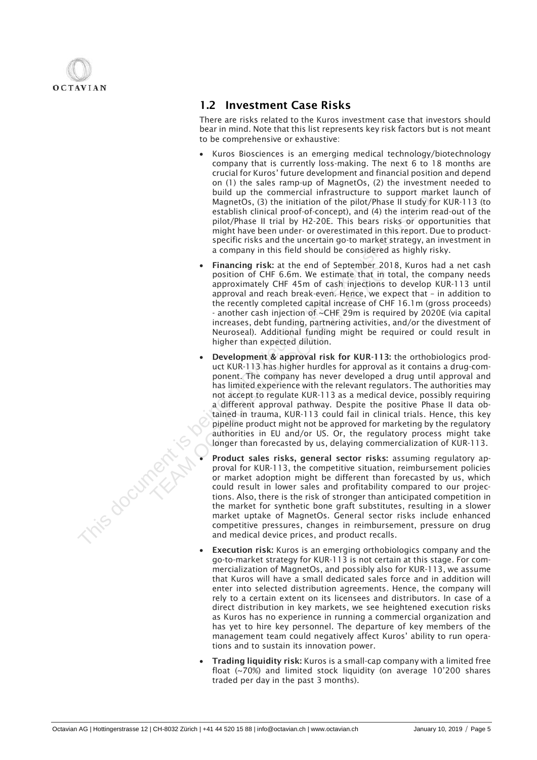

## 1.2 Investment Case Risks

There are risks related to the Kuros investment case that investors should bear in mind. Note that this list represents key risk factors but is not meant to be comprehensive or exhaustive:

- Kuros Biosciences is an emerging medical technology/biotechnology company that is currently loss-making. The next 6 to 18 months are crucial for Kuros' future development and financial position and depend on (1) the sales ramp-up of MagnetOs, (2) the investment needed to build up the commercial infrastructure to support market launch of MagnetOs, (3) the initiation of the pilot/Phase II study for KUR-113 (to establish clinical proof-of-concept), and (4) the interim read-out of the pilot/Phase II trial by H2-20E. This bears risks or opportunities that might have been under- or overestimated in this report. Due to productspecific risks and the uncertain go-to market strategy, an investment in a company in this field should be considered as highly risky.
- Financing risk: at the end of September 2018, Kuros had a net cash position of CHF 6.6m. We estimate that in total, the company needs approximately CHF 45m of cash injections to develop KUR-113 until approval and reach break-even. Hence, we expect that – in addition to the recently completed capital increase of CHF 16.1m (gross proceeds) - another cash injection of ~CHF 29m is required by 2020E (via capital increases, debt funding, partnering activities, and/or the divestment of Neuroseal). Additional funding might be required or could result in higher than expected dilution.
- Development & approval risk for KUR-113: the orthobiologics product KUR-113 has higher hurdles for approval as it contains a drug-component. The company has never developed a drug until approval and has limited experience with the relevant regulators. The authorities may not accept to regulate KUR-113 as a medical device, possibly requiring a different approval pathway. Despite the positive Phase II data obtained in trauma, KUR-113 could fail in clinical trials. Hence, this key pipeline product might not be approved for marketing by the regulatory authorities in EU and/or US. Or, the regulatory process might take longer than forecasted by us, delaying commercialization of KUR-113. build up the commental infrastructure to support may be entitally considered in the prior). This is the interimined provident provident in the prior of of the interimined proportion (and  $\beta$ ) the interimined to this repre • Final CHE 6.6m. We estimate that in the provident and the recently complementation of CHF 45m of cash injections to approval and reach break-even. Herice, we exthe recently completed capital increases of CHI anometrical
	- Product sales risks, general sector risks: assuming regulatory approval for KUR-113, the competitive situation, reimbursement policies or market adoption might be different than forecasted by us, which could result in lower sales and profitability compared to our projections. Also, there is the risk of stronger than anticipated competition in the market for synthetic bone graft substitutes, resulting in a slower market uptake of MagnetOs. General sector risks include enhanced competitive pressures, changes in reimbursement, pressure on drug and medical device prices, and product recalls.
	- Execution risk: Kuros is an emerging orthobiologics company and the go-to-market strategy for KUR-113 is not certain at this stage. For commercialization of MagnetOs, and possibly also for KUR-113, we assume that Kuros will have a small dedicated sales force and in addition will enter into selected distribution agreements. Hence, the company will rely to a certain extent on its licensees and distributors. In case of a direct distribution in key markets, we see heightened execution risks as Kuros has no experience in running a commercial organization and has yet to hire key personnel. The departure of key members of the management team could negatively affect Kuros' ability to run operations and to sustain its innovation power.
	- Trading liquidity risk: Kuros is a small-cap company with a limited free float (~70%) and limited stock liquidity (on average 10'200 shares traded per day in the past 3 months).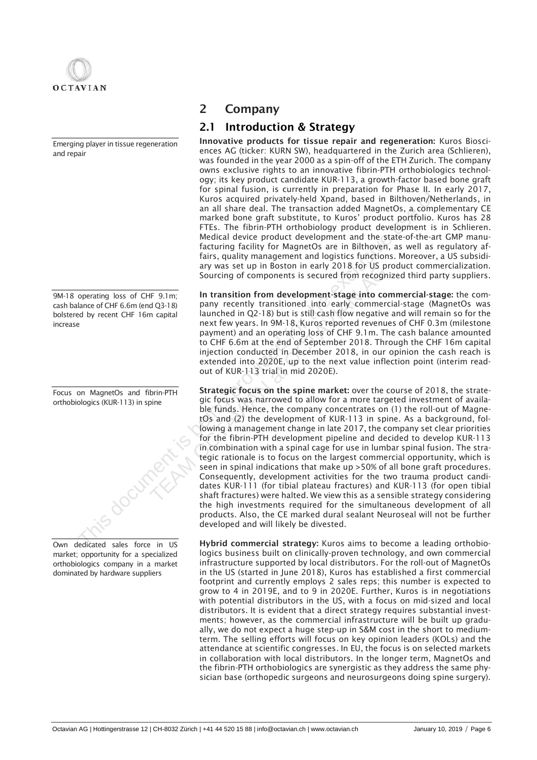

Emerging player in tissue regeneration and repair

9M-18 operating loss of CHF 9.1m; cash balance of CHF 6.6m (end Q3-18) bolstered by recent CHF 16m capital increase

Focus on MagnetOs and fibrin-PTH orthobiologics (KUR-113) in spine



Own dedicated sales force in US market; opportunity for a specialized orthobiologics company in a market dominated by hardware suppliers

## 2 Company

## 2.1 Introduction & Strategy

Innovative products for tissue repair and regeneration: Kuros Biosciences AG (ticker: KURN SW), headquartered in the Zurich area (Schlieren), was founded in the year 2000 as a spin-off of the ETH Zurich. The company owns exclusive rights to an innovative fibrin-PTH orthobiologics technology; its key product candidate KUR-113, a growth-factor based bone graft for spinal fusion, is currently in preparation for Phase II. In early 2017, Kuros acquired privately-held Xpand, based in Bilthoven/Netherlands, in an all share deal. The transaction added MagnetOs, a complementary CE marked bone graft substitute, to Kuros' product portfolio. Kuros has 28 FTEs. The fibrin-PTH orthobiology product development is in Schlieren. Medical device product development and the state-of-the-art GMP manufacturing facility for MagnetOs are in Bilthoven, as well as regulatory affairs, quality management and logistics functions. Moreover, a US subsidiary was set up in Boston in early 2018 for US product commercialization. Sourcing of components is secured from recognized third party suppliers.

In transition from development-stage into commercial-stage: the company recently transitioned into early commercial-stage (MagnetOs was launched in Q2-18) but is still cash flow negative and will remain so for the next few years. In 9M-18, Kuros reported revenues of CHF 0.3m (milestone payment) and an operating loss of CHF 9.1m. The cash balance amounted to CHF 6.6m at the end of September 2018. Through the CHF 16m capital injection conducted in December 2018, in our opinion the cash reach is extended into 2020E, up to the next value inflection point (interim readout of KUR-113 trial in mid 2020E).

Strategic focus on the spine market: over the course of 2018, the strategic focus was narrowed to allow for a more targeted investment of available funds. Hence, the company concentrates on (1) the roll-out of MagnetOs and (2) the development of KUR-113 in spine. As a background, following a management change in late 2017, the company set clear priorities for the fibrin-PTH development pipeline and decided to develop KUR-113 in combination with a spinal cage for use in lumbar spinal fusion. The strategic rationale is to focus on the largest commercial opportunity, which is seen in spinal indications that make up >50% of all bone graft procedures. Consequently, development activities for the two trauma product candidates KUR-111 (for tibial plateau fractures) and KUR-113 (for open tibial shaft fractures) were halted. We view this as a sensible strategy considering the high investments required for the simultaneous development of all products. Also, the CE marked dural sealant Neuroseal will not be further developed and will likely be divested. The state dall The translation is being the state of Multiple in the state of the translation of the translation of the binner of the fibre of the fibre of the computed privately-held Xpand, based in Bilthoven/No<br>martiked ary was set up in Boston in early 2018 for Us pro<br>
Sourcing of components is secured from recogni<br>
In transition from development-stage into com<br>
pany recently transitioned into early commerce<br>
launched in Q2-18) but is st

Hybrid commercial strategy: Kuros aims to become a leading orthobiologics business built on clinically-proven technology, and own commercial infrastructure supported by local distributors. For the roll-out of MagnetOs in the US (started in June 2018), Kuros has established a first commercial footprint and currently employs 2 sales reps; this number is expected to grow to 4 in 2019E, and to 9 in 2020E. Further, Kuros is in negotiations with potential distributors in the US, with a focus on mid-sized and local distributors. It is evident that a direct strategy requires substantial investments; however, as the commercial infrastructure will be built up gradually, we do not expect a huge step-up in S&M cost in the short to mediumterm. The selling efforts will focus on key opinion leaders (KOLs) and the attendance at scientific congresses. In EU, the focus is on selected markets in collaboration with local distributors. In the longer term, MagnetOs and the fibrin-PTH orthobiologics are synergistic as they address the same physician base (orthopedic surgeons and neurosurgeons doing spine surgery).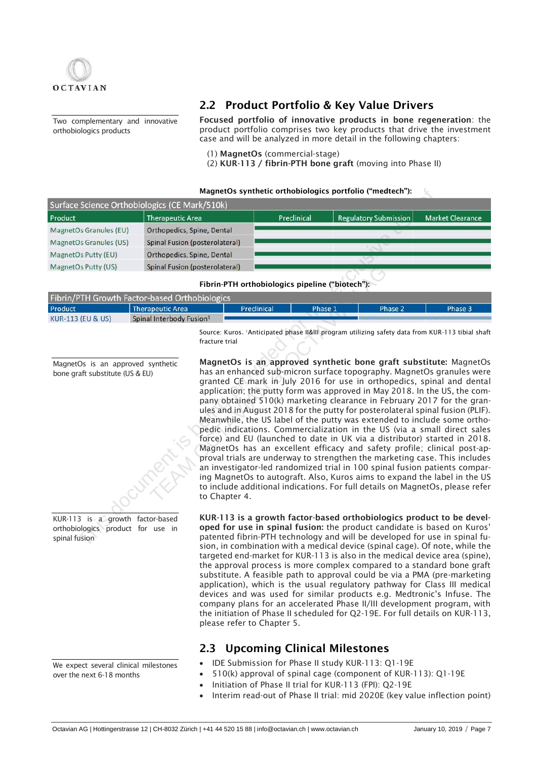

Two complementary and innovative orthobiologics products

## 2.2 Product Portfolio & Key Value Drivers

Focused portfolio of innovative products in bone regeneration: the product portfolio comprises two key products that drive the investment case and will be analyzed in more detail in the following chapters:

(1) MagnetOs (commercial-stage)

(2) KUR-113 / fibrin-PTH bone graft (moving into Phase II)

### MagnetOs synthetic orthobiologics portfolio ("medtech"):

|                        | Surface Science Orthobiologics (CE Mark/510k) |             |                              |                         |
|------------------------|-----------------------------------------------|-------------|------------------------------|-------------------------|
| Product                | <b>Therapeutic Area</b>                       | Preclinical | <b>Regulatory Submission</b> | <b>Market Clearance</b> |
| MagnetOs Granules (EU) | Orthopedics, Spine, Dental                    |             |                              |                         |
| MagnetOs Granules (US) | <b>Spinal Fusion (posterolateral)</b>         |             |                              |                         |
| MagnetOs Putty (EU)    | Orthopedics, Spine, Dental                    |             |                              |                         |
| MagnetOs Putty (US)    | Spinal Fusion (posterolateral)                |             |                              |                         |

Fibrin-PTH orthobiologics pipeline ("biotech"):

|                              | Fibrin/PTH Growth Factor-based Orthobiologics |             |         |         |         |
|------------------------------|-----------------------------------------------|-------------|---------|---------|---------|
| Product                      | <b>Therapeutic Area</b>                       | Preclinical | Phase 1 | Phase 2 | Phase 3 |
| <b>KUR-113 (EU &amp; US)</b> | Spinal Interbody Fusion <sup>1</sup>          |             |         |         |         |

fracture trial

MagnetOs is an approved synthetic bone graft substitute (US & EU)



orthobiologics product for use in spinal fusion

We expect several clinical milestones over the next 6-18 months

MagnetOs is an approved synthetic bone graft substitute: MagnetOs has an enhanced sub-micron surface topography. MagnetOs granules were granted CE mark in July 2016 for use in orthopedics, spinal and dental application; the putty form was approved in May 2018. In the US, the company obtained 510(k) marketing clearance in February 2017 for the granules and in August 2018 for the putty for posterolateral spinal fusion (PLIF). Meanwhile, the US label of the putty was extended to include some orthopedic indications. Commercialization in the US (via a small direct sales force) and EU (launched to date in UK via a distributor) started in 2018. MagnetOs has an excellent efficacy and safety profile; clinical post-approval trials are underway to strengthen the marketing case. This includes an investigator-led randomized trial in 100 spinal fusion patients comparing MagnetOs to autograft. Also, Kuros aims to expand the label in the US to include additional indications. For full details on MagnetOs, please refer to Chapter 4. Science Orthobiologics (CE Mark/510K)<br>
Therepeutic Area<br>
Discrement is the exclusive properties of the exclusive properties a properties a properties a provided for the exclusive use of the exclusive use of the exclusive u Solution (posterolateral)<br>
Fibrin-PTH orthobiologics pipeline ("biotech"):<br>
based Orthobiologics<br>
Preclinical<br>
Phase 1<br>
Interbody Fusion<sup>1</sup><br>
Source: Kuros. 'Anticipated phase II&III program utilizing safet<br>
fracture trial<br>

Source: Kuros. 1Anticipated phase II&III program utilizing safety data from KUR-113 tibial shaft

KUR-113 is a growth factor-based orthobiologics product to be developed for use in spinal fusion: the product candidate is based on Kuros' patented fibrin-PTH technology and will be developed for use in spinal fusion, in combination with a medical device (spinal cage). Of note, while the targeted end-market for KUR-113 is also in the medical device area (spine), the approval process is more complex compared to a standard bone graft substitute. A feasible path to approval could be via a PMA (pre-marketing application), which is the usual regulatory pathway for Class III medical devices and was used for similar products e.g. Medtronic's Infuse. The company plans for an accelerated Phase II/III development program, with the initiation of Phase II scheduled for Q2-19E. For full details on KUR-113, please refer to Chapter 5.

## 2.3 Upcoming Clinical Milestones

- IDE Submission for Phase II study KUR-113: Q1-19E
- 510(k) approval of spinal cage (component of KUR-113): Q1-19E
- Initiation of Phase II trial for KUR-113 (FPI): Q2-19E
- Interim read-out of Phase II trial: mid 2020E (key value inflection point)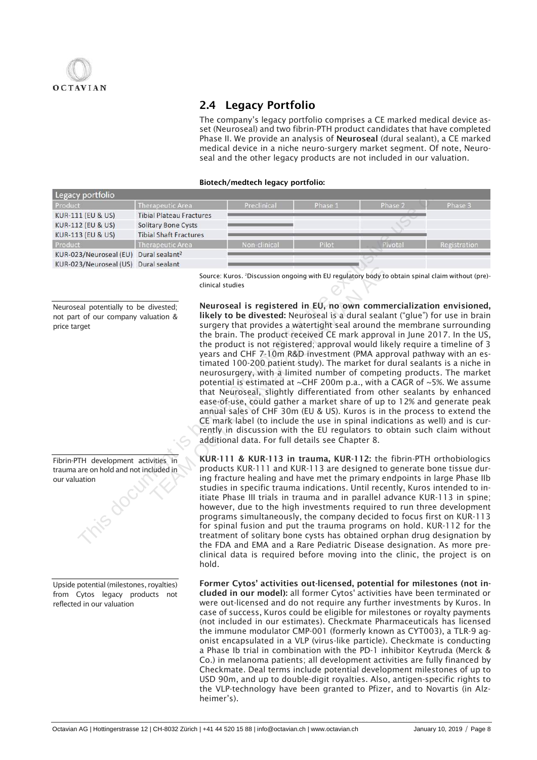

## 2.4 Legacy Portfolio

The company's legacy portfolio comprises a CE marked medical device asset (Neuroseal) and two fibrin-PTH product candidates that have completed Phase II. We provide an analysis of Neuroseal (dural sealant), a CE marked medical device in a niche neuro-surgery market segment. Of note, Neuroseal and the other legacy products are not included in our valuation.

### Biotech/medtech legacy portfolio:

| Legacy portfolio             |                                 |              |         |         |              |
|------------------------------|---------------------------------|--------------|---------|---------|--------------|
| Product                      | <b>Therapeutic Area</b>         | Preclinical  | Phase 1 | Phase 2 | Phase 3      |
| KUR-111 (EU & US)            | <b>Tibial Plateau Fractures</b> |              |         |         |              |
| <b>KUR-112 (EU &amp; US)</b> | <b>Solitary Bone Cysts</b>      |              |         |         |              |
| KUR-113 (EU & US)            | <b>Tibial Shaft Fractures</b>   |              |         |         |              |
| Product                      | <b>Therapeutic Area</b>         | Non-clinical | Pilot   | Pivotal | Registration |
| KUR-023/Neuroseal (EU)       | Dural sealant <sup>2</sup>      |              |         |         |              |
| KUR-023/Neuroseal (US)       | Dural sealant                   |              |         |         |              |

Neuroseal potentially to be divested; not part of our company valuation & price target

Fibrin-PTH development activities in trauma are on hold and not included in our valuation

Upside potential (milestones, royalties) from Cytos legacy products not reflected in our valuation

Source: Kuros. 2Discussion ongoing with EU regulatory body to obtain spinal claim without (pre) clinical studies

Neuroseal is registered in EU, no own commercialization envisioned, likely to be divested: Neuroseal is a dural sealant ("glue") for use in brain surgery that provides a watertight seal around the membrane surrounding the brain. The product received CE mark approval in June 2017. In the US, the product is not registered; approval would likely require a timeline of 3 years and CHF 7-10m R&D investment (PMA approval pathway with an estimated 100-200 patient study). The market for dural sealants is a niche in neurosurgery, with a limited number of competing products. The market potential is estimated at ~CHF 200m p.a., with a CAGR of ~5%. We assume that Neuroseal, slightly differentiated from other sealants by enhanced ease-of-use, could gather a market share of up to 12% and generate peak annual sales of CHF 30m (EU & US). Kuros is in the process to extend the CE mark label (to include the use in spinal indications as well) and is currently in discussion with the EU regulators to obtain such claim without additional data. For full details see Chapter 8. The material of the and Phase and China Phase and Phase and The EVA (1) The ACC ASS The EVA (1) Dural scalar<br>
12 (EVA U.S) This Shaft Fractures<br>
12 (EVA U.S) This Shaft Fractures<br>
12/2 (EVA U.S) This Shaft Fractures<br>
12/2 Source: Kuros. <sup>2</sup>Discussion ongoing with EU regulatory body to clinical studies<br> **INERENT ONE diversed:** Neuroseal is **registered in EU, no own comme**<br> **IKEP to be diversed:** Neuroseal is a dural sealand sealand<br>
surgery

KUR-111 & KUR-113 in trauma, KUR-112: the fibrin-PTH orthobiologics products KUR-111 and KUR-113 are designed to generate bone tissue during fracture healing and have met the primary endpoints in large Phase IIb studies in specific trauma indications. Until recently, Kuros intended to initiate Phase III trials in trauma and in parallel advance KUR-113 in spine; however, due to the high investments required to run three development programs simultaneously, the company decided to focus first on KUR-113 for spinal fusion and put the trauma programs on hold. KUR-112 for the treatment of solitary bone cysts has obtained orphan drug designation by the FDA and EMA and a Rare Pediatric Disease designation. As more preclinical data is required before moving into the clinic, the project is on hold.

Former Cytos' activities out-licensed, potential for milestones (not included in our model): all former Cytos' activities have been terminated or were out-licensed and do not require any further investments by Kuros. In case of success, Kuros could be eligible for milestones or royalty payments (not included in our estimates). Checkmate Pharmaceuticals has licensed the immune modulator CMP-001 (formerly known as CYT003), a TLR-9 agonist encapsulated in a VLP (virus-like particle). Checkmate is conducting a Phase Ib trial in combination with the PD-1 inhibitor Keytruda (Merck & Co.) in melanoma patients; all development activities are fully financed by Checkmate. Deal terms include potential development milestones of up to USD 90m, and up to double-digit royalties. Also, antigen-specific rights to the VLP-technology have been granted to Pfizer, and to Novartis (in Alzheimer's).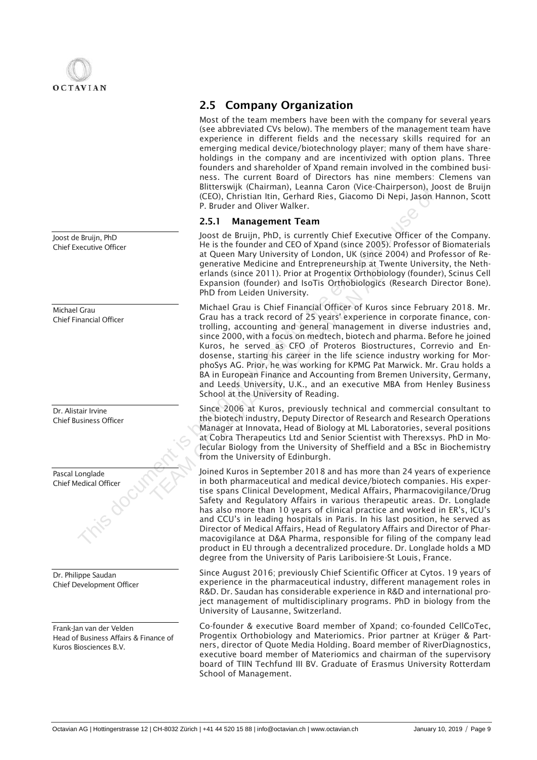

Joost de Bruijn, PhD Chief Executive Officer

Michael Grau Chief Financial Officer

Dr. Alistair Irvine Chief Business Officer

| Pascal Longlade<br><b>Chief Medical Officer</b> |  |
|-------------------------------------------------|--|
|                                                 |  |

Dr. Philippe Saudan Chief Development Officer

Frank-Jan van der Velden Head of Business Affairs & Finance of Kuros Biosciences B.V.

## 2.5 Company Organization

Most of the team members have been with the company for several years (see abbreviated CVs below). The members of the management team have experience in different fields and the necessary skills required for an emerging medical device/biotechnology player; many of them have shareholdings in the company and are incentivized with option plans. Three founders and shareholder of Xpand remain involved in the combined business. The current Board of Directors has nine members: Clemens van Blitterswijk (Chairman), Leanna Caron (Vice-Chairperson), Joost de Bruijn (CEO), Christian Itin, Gerhard Ries, Giacomo Di Nepi, Jason Hannon, Scott P. Bruder and Oliver Walker.

### 2.5.1 Management Team

Joost de Bruijn, PhD, is currently Chief Executive Officer of the Company. He is the founder and CEO of Xpand (since 2005). Professor of Biomaterials at Queen Mary University of London, UK (since 2004) and Professor of Regenerative Medicine and Entrepreneurship at Twente University, the Netherlands (since 2011). Prior at Progentix Orthobiology (founder), Scinus Cell Expansion (founder) and IsoTis Orthobiologics (Research Director Bone). PhD from Leiden University.

Michael Grau is Chief Financial Officer of Kuros since February 2018. Mr. Grau has a track record of 25 years' experience in corporate finance, controlling, accounting and general management in diverse industries and, since 2000, with a focus on medtech, biotech and pharma. Before he joined Kuros, he served as CFO of Proteros Biostructures, Correvio and Endosense, starting his career in the life science industry working for MorphoSys AG. Prior, he was working for KPMG Pat Marwick. Mr. Grau holds a BA in European Finance and Accounting from Bremen University, Germany, and Leeds University, U.K., and an executive MBA from Henley Business School at the University of Reading. CCEO). Christian Itin, Gerhard Ries, Giacomo Di Nepi, Jason<br>
P. Bruijn, PhD<br>
2.5.1 Management Team<br>
10sost de Bruijn, PhD, is currently Chief Executive Officer of<br>
Heis the founder and CEO of Xpand Ginner Chief Executive O Senator wideometric and European Science and European Science 2011). Prior at Progentix Orthobiologies (PhD from Leiden University.<br>
Michael Grau is Chief Financial Officer of Kuros Grau has a track record of 25 years<sup>1</sup> e

Since 2006 at Kuros, previously technical and commercial consultant to the biotech industry, Deputy Director of Research and Research Operations Manager at Innovata, Head of Biology at ML Laboratories, several positions at Cobra Therapeutics Ltd and Senior Scientist with Therexsys. PhD in Molecular Biology from the University of Sheffield and a BSc in Biochemistry from the University of Edinburgh.

Joined Kuros in September 2018 and has more than 24 years of experience in both pharmaceutical and medical device/biotech companies. His expertise spans Clinical Development, Medical Affairs, Pharmacovigilance/Drug Safety and Regulatory Affairs in various therapeutic areas. Dr. Longlade has also more than 10 years of clinical practice and worked in ER's, ICU's and CCU's in leading hospitals in Paris. In his last position, he served as Director of Medical Affairs, Head of Regulatory Affairs and Director of Pharmacovigilance at D&A Pharma, responsible for filing of the company lead product in EU through a decentralized procedure. Dr. Longlade holds a MD degree from the University of Paris Lariboisiere-St Louis, France.

Since August 2016; previously Chief Scientific Officer at Cytos. 19 years of experience in the pharmaceutical industry, different management roles in R&D. Dr. Saudan has considerable experience in R&D and international project management of multidisciplinary programs. PhD in biology from the University of Lausanne, Switzerland.

Co-founder & executive Board member of Xpand; co-founded CellCoTec, Progentix Orthobiology and Materiomics. Prior partner at Krüger & Partners, director of Quote Media Holding. Board member of RiverDiagnostics, executive board member of Materiomics and chairman of the supervisory board of TIIN Techfund III BV. Graduate of Erasmus University Rotterdam School of Management.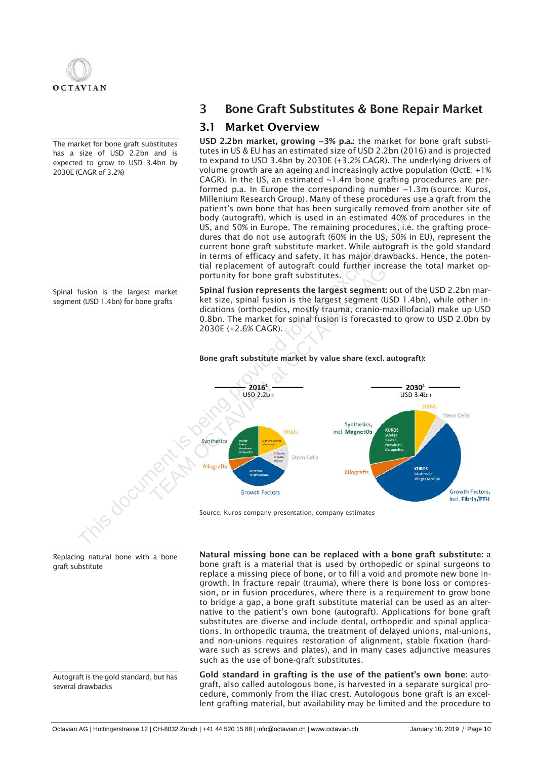

The market for bone graft substitutes has a size of USD 2.2bn and is expected to grow to USD 3.4bn by 2030E (CAGR of 3.2%)

Spinal fusion is the largest market segment (USD 1.4bn) for bone grafts

## 3 Bone Graft Substitutes & Bone Repair Market

## 3.1 Market Overview

USD 2.2bn market, growing ~3% p.a.: the market for bone graft substitutes in US & EU has an estimated size of USD 2.2bn (2016) and is projected to expand to USD 3.4bn by 2030E (+3.2% CAGR). The underlying drivers of volume growth are an ageing and increasingly active population (OctE: +1% CAGR). In the US, an estimated  $\sim$  1.4m bone grafting procedures are performed p.a. In Europe the corresponding number ~1.3m (source: Kuros, Millenium Research Group). Many of these procedures use a graft from the patient's own bone that has been surgically removed from another site of body (autograft), which is used in an estimated 40% of procedures in the US, and 50% in Europe. The remaining procedures, i.e. the grafting procedures that do not use autograft (60% in the US, 50% in EU), represent the current bone graft substitute market. While autograft is the gold standard in terms of efficacy and safety, it has major drawbacks. Hence, the potential replacement of autograft could further increase the total market opportunity for bone graft substitutes.

Spinal fusion represents the largest segment: out of the USD 2.2bn market size, spinal fusion is the largest segment (USD 1.4bn), while other indications (orthopedics, mostly trauma, cranio-maxillofacial) make up USD 0.8bn. The market for spinal fusion is forecasted to grow to USD 2.0bn by 2030E (+2.6% CAGR).



### Bone graft substitute market by value share (excl. autograft):

Source: Kuros company presentation, company estimates

Natural missing bone can be replaced with a bone graft substitute: a bone graft is a material that is used by orthopedic or spinal surgeons to replace a missing piece of bone, or to fill a void and promote new bone ingrowth. In fracture repair (trauma), where there is bone loss or compression, or in fusion procedures, where there is a requirement to grow bone to bridge a gap, a bone graft substitute material can be used as an alternative to the patient's own bone (autograft). Applications for bone graft substitutes are diverse and include dental, orthopedic and spinal applications. In orthopedic trauma, the treatment of delayed unions, mal-unions, and non-unions requires restoration of alignment, stable fixation (hardware such as screws and plates), and in many cases adjunctive measures such as the use of bone-graft substitutes.

Gold standard in grafting is the use of the patient's own bone: autograft, also called autologous bone, is harvested in a separate surgical procedure, commonly from the iliac crest. Autologous bone graft is an excellent grafting material, but availability may be limited and the procedure to

Replacing natural bone with a bone graft substitute

Autograft is the gold standard, but has several drawbacks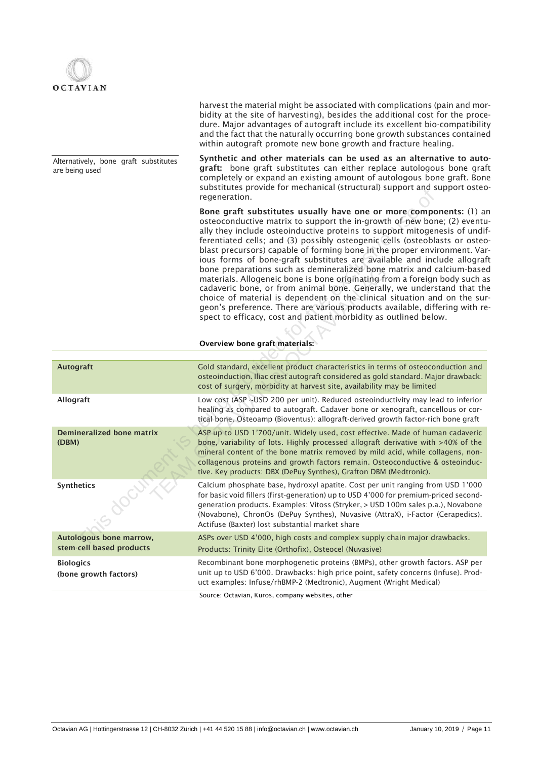

Alternatively, bone graft substitutes are being used

harvest the material might be associated with complications (pain and morbidity at the site of harvesting), besides the additional cost for the procedure. Major advantages of autograft include its excellent bio-compatibility and the fact that the naturally occurring bone growth substances contained within autograft promote new bone growth and fracture healing.

Synthetic and other materials can be used as an alternative to autograft: bone graft substitutes can either replace autologous bone graft completely or expand an existing amount of autologous bone graft. Bone substitutes provide for mechanical (structural) support and support osteoregeneration.

|                                                     | oappentates provide for meenamear (stracturar) support and support ostet<br>regeneration.                                                                                                                                                                                                                                                                                                                                                                                                                                                                                                                                                                                                                                                                                                                                                                                                                                                                        |
|-----------------------------------------------------|------------------------------------------------------------------------------------------------------------------------------------------------------------------------------------------------------------------------------------------------------------------------------------------------------------------------------------------------------------------------------------------------------------------------------------------------------------------------------------------------------------------------------------------------------------------------------------------------------------------------------------------------------------------------------------------------------------------------------------------------------------------------------------------------------------------------------------------------------------------------------------------------------------------------------------------------------------------|
|                                                     | Bone graft substitutes usually have one or more components: (1) a<br>osteoconductive matrix to support the in-growth of new bone; (2) eventu<br>ally they include osteoinductive proteins to support mitogenesis of undi-<br>ferentiated cells; and (3) possibly osteogenic cells (osteoblasts or osted<br>blast precursors) capable of forming bone in the proper environment. Var<br>ious forms of bone-graft substitutes are available and include allogratious<br>bone preparations such as demineralized bone matrix and calcium-base<br>materials. Allogeneic bone is bone originating from a foreign body such a<br>cadaveric bone, or from animal bone. Generally, we understand that th<br>choice of material is dependent on the clinical situation and on the sur<br>geon's preference. There are various products available, differing with re<br>spect to efficacy, cost and patient morbidity as outlined below.<br>Overview bone graft materials: |
|                                                     |                                                                                                                                                                                                                                                                                                                                                                                                                                                                                                                                                                                                                                                                                                                                                                                                                                                                                                                                                                  |
| <b>Autograft</b>                                    | Gold standard, excellent product characteristics in terms of osteoconduction and<br>osteoinduction. Iliac crest autograft considered as gold standard. Major drawback:<br>cost of surgery, morbidity at harvest site, availability may be limited                                                                                                                                                                                                                                                                                                                                                                                                                                                                                                                                                                                                                                                                                                                |
| Allograft                                           | Low cost (ASP ~USD 200 per unit). Reduced osteoinductivity may lead to inferior<br>healing as compared to autograft. Cadaver bone or xenograft, cancellous or cor-<br>tical bone. Osteoamp (Bioventus): allograft-derived growth factor-rich bone graft                                                                                                                                                                                                                                                                                                                                                                                                                                                                                                                                                                                                                                                                                                          |
| <b>Demineralized bone matrix</b><br>(DBM)           | ASP up to USD 1'700/unit. Widely used, cost effective. Made of human cadaveric<br>bone, variability of lots. Highly processed allograft derivative with >40% of the<br>mineral content of the bone matrix removed by mild acid, while collagens, non-<br>collagenous proteins and growth factors remain. Osteoconductive & osteoinduc-<br>tive. Key products: DBX (DePuy Synthes), Grafton DBM (Medtronic).                                                                                                                                                                                                                                                                                                                                                                                                                                                                                                                                                      |
| <b>Synthetics</b>                                   | Calcium phosphate base, hydroxyl apatite. Cost per unit ranging from USD 1'000<br>for basic void fillers (first-generation) up to USD 4'000 for premium-priced second-<br>generation products. Examples: Vitoss (Stryker, > USD 100m sales p.a.), Novabone<br>(Novabone), ChronOs (DePuy Synthes), Nuvasive (AttraX), i-Factor (Cerapedics).<br>Actifuse (Baxter) lost substantial market share                                                                                                                                                                                                                                                                                                                                                                                                                                                                                                                                                                  |
| Autologous bone marrow,<br>stem-cell based products | ASPs over USD 4'000, high costs and complex supply chain major drawbacks.<br>Products: Trinity Elite (Orthofix), Osteocel (Nuvasive)                                                                                                                                                                                                                                                                                                                                                                                                                                                                                                                                                                                                                                                                                                                                                                                                                             |
| <b>Biologics</b><br>(bone growth factors)           | Recombinant bone morphogenetic proteins (BMPs), other growth factors. ASP per<br>unit up to USD 6'000. Drawbacks: high price point, safety concerns (Infuse). Prod-<br>uct examples: Infuse/rhBMP-2 (Medtronic), Augment (Wright Medical)                                                                                                                                                                                                                                                                                                                                                                                                                                                                                                                                                                                                                                                                                                                        |
|                                                     |                                                                                                                                                                                                                                                                                                                                                                                                                                                                                                                                                                                                                                                                                                                                                                                                                                                                                                                                                                  |

Source: Octavian, Kuros, company websites, other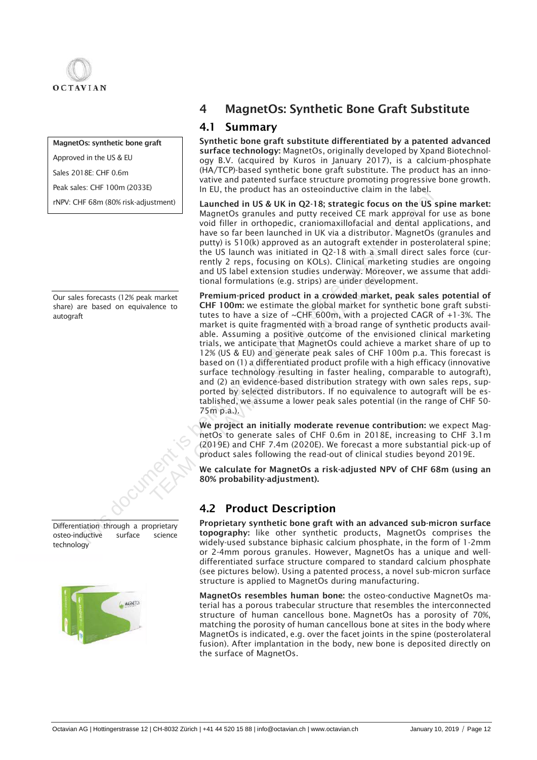

## MagnetOs: synthetic bone graft

Approved in the US & EU

Sales 2018E: CHF 0.6m

Peak sales: CHF 100m (2033E)

rNPV: CHF 68m (80% risk-adjustment)

Our sales forecasts (12% peak market share) are based on equivalence to autograft



osteo-inductive surface science



## 4 MagnetOs: Synthetic Bone Graft Substitute

## 4.1 Summary

Synthetic bone graft substitute differentiated by a patented advanced surface technology: MagnetOs, originally developed by Xpand Biotechnology B.V. (acquired by Kuros in January 2017), is a calcium-phosphate (HA/TCP)-based synthetic bone graft substitute. The product has an innovative and patented surface structure promoting progressive bone growth. In EU, the product has an osteoinductive claim in the label.

Launched in US & UK in Q2-18; strategic focus on the US spine market: MagnetOs granules and putty received CE mark approval for use as bone void filler in orthopedic, craniomaxillofacial and dental applications, and have so far been launched in UK via a distributor. MagnetOs (granules and putty) is 510(k) approved as an autograft extender in posterolateral spine; the US launch was initiated in Q2-18 with a small direct sales force (currently 2 reps, focusing on KOLs). Clinical marketing studies are ongoing and US label extension studies underway. Moreover, we assume that additional formulations (e.g. strips) are under development.

Premium-priced product in a crowded market, peak sales potential of CHF 100m: we estimate the global market for synthetic bone graft substitutes to have a size of ~CHF 600m, with a projected CAGR of +1-3%. The market is quite fragmented with a broad range of synthetic products available. Assuming a positive outcome of the envisioned clinical marketing trials, we anticipate that MagnetOs could achieve a market share of up to 12% (US & EU) and generate peak sales of CHF 100m p.a. This forecast is based on (1) a differentiated product profile with a high efficacy (innovative surface technology resulting in faster healing, comparable to autograft), and (2) an evidence-based distribution strategy with own sales reps, supported by selected distributors. If no equivalence to autograft will be established, we assume a lower peak sales potential (in the range of CHF 50- 75m p.a.). The product that is the product that is the product that is the product that is the control of the exclusive received CE mark approvide CE mathematic and putty received CE mark approximate the US MagnetOS granules and putt and US label extension studies underway. Moreov<br>tional formulations (e.g. strips) are under develop<br>Premium-priced product in a crowded market,<br>CHF 100m: we estimate the global market for sy<br>tutes to have a size of ~CHF 6

We project an initially moderate revenue contribution: we expect MagnetOs to generate sales of CHF 0.6m in 2018E, increasing to CHF 3.1m (2019E) and CHF 7.4m (2020E). We forecast a more substantial pick-up of product sales following the read-out of clinical studies beyond 2019E.

We calculate for MagnetOs a risk-adjusted NPV of CHF 68m (using an 80% probability-adjustment).

## 4.2 Product Description

Proprietary synthetic bone graft with an advanced sub-micron surface topography: like other synthetic products, MagnetOs comprises the widely-used substance biphasic calcium phosphate, in the form of 1-2mm or 2-4mm porous granules. However, MagnetOs has a unique and welldifferentiated surface structure compared to standard calcium phosphate (see pictures below). Using a patented process, a novel sub-micron surface structure is applied to MagnetOs during manufacturing.

MagnetOs resembles human bone: the osteo-conductive MagnetOs material has a porous trabecular structure that resembles the interconnected structure of human cancellous bone. MagnetOs has a porosity of 70%, matching the porosity of human cancellous bone at sites in the body where MagnetOs is indicated, e.g. over the facet joints in the spine (posterolateral fusion). After implantation in the body, new bone is deposited directly on the surface of MagnetOs.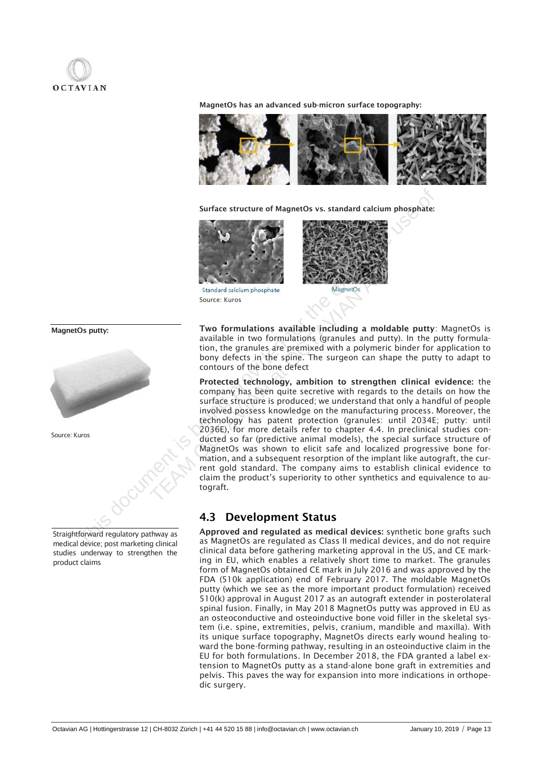

MagnetOs has an advanced sub-micron surface topography:



Surface structure of MagnetOs vs. standard calcium phosphate:



Source: Kuros



Two formulations available including a moldable putty: MagnetOs is available in two formulations (granules and putty). In the putty formulation, the granules are premixed with a polymeric binder for application to bony defects in the spine. The surgeon can shape the putty to adapt to contours of the bone defect

Protected technology, ambition to strengthen clinical evidence: the company has been quite secretive with regards to the details on how the surface structure is produced; we understand that only a handful of people involved possess knowledge on the manufacturing process. Moreover, the technology has patent protection (granules: until 2034E; putty: until 2036E), for more details refer to chapter 4.4. In preclinical studies conducted so far (predictive animal models), the special surface structure of MagnetOs was shown to elicit safe and localized progressive bone formation, and a subsequent resorption of the implant like autograft, the current gold standard. The company aims to establish clinical evidence to claim the product's superiority to other synthetics and equivalence to autograft. Surface structure of MagnetOs vs. standard calcium phosphate:<br>
This document is being the exclusive standard calcium phosphate:<br>
Surface kinos source kinos available in two formulations available including a moldable putty Standard calcium phosphate<br>
Standard calcium phosphate<br>
Source: Kuros<br>
Two formulations available including a mold<br>
available in two formulations (granules and putt<br>
tion, the granules are premixed with a polymeric<br>
bony d

## 4.3 Development Status

Approved and regulated as medical devices: synthetic bone grafts such as MagnetOs are regulated as Class II medical devices, and do not require clinical data before gathering marketing approval in the US, and CE marking in EU, which enables a relatively short time to market. The granules form of MagnetOs obtained CE mark in July 2016 and was approved by the FDA (510k application) end of February 2017. The moldable MagnetOs putty (which we see as the more important product formulation) received 510(k) approval in August 2017 as an autograft extender in posterolateral spinal fusion. Finally, in May 2018 MagnetOs putty was approved in EU as an osteoconductive and osteoinductive bone void filler in the skeletal system (i.e. spine, extremities, pelvis, cranium, mandible and maxilla). With its unique surface topography, MagnetOs directs early wound healing toward the bone-forming pathway, resulting in an osteoinductive claim in the EU for both formulations. In December 2018, the FDA granted a label extension to MagnetOs putty as a stand-alone bone graft in extremities and pelvis. This paves the way for expansion into more indications in orthopedic surgery.

MagnetOs putty:







medical device; post marketing clinical studies underway to strengthen the product claims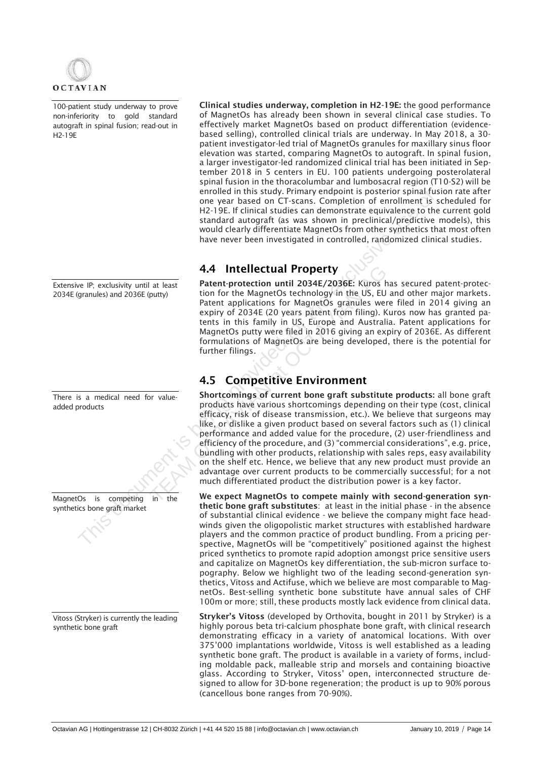

100-patient study underway to prove non-inferiority to gold standard autograft in spinal fusion; read-out in H2-19E

Extensive IP; exclusivity until at least 2034E (granules) and 2036E (putty)

There is a medical need for valueadded products

MagnetOs is competing in the synthetics bone graft market

Vitoss (Stryker) is currently the leading synthetic bone graft

Clinical studies underway, completion in H2-19E: the good performance of MagnetOs has already been shown in several clinical case studies. To effectively market MagnetOs based on product differentiation (evidencebased selling), controlled clinical trials are underway. In May 2018, a 30 patient investigator-led trial of MagnetOs granules for maxillary sinus floor elevation was started, comparing MagnetOs to autograft. In spinal fusion, a larger investigator-led randomized clinical trial has been initiated in September 2018 in 5 centers in EU. 100 patients undergoing posterolateral spinal fusion in the thoracolumbar and lumbosacral region (T10-S2) will be enrolled in this study. Primary endpoint is posterior spinal fusion rate after one year based on CT-scans. Completion of enrollment is scheduled for H2-19E. If clinical studies can demonstrate equivalence to the current gold standard autograft (as was shown in preclinical/predictive models), this would clearly differentiate MagnetOs from other synthetics that most often have never been investigated in controlled, randomized clinical studies.

## 4.4 Intellectual Property

Patent-protection until 2034E/2036E: Kuros has secured patent-protection for the MagnetOs technology in the US, EU and other major markets. Patent applications for MagnetOs granules were filed in 2014 giving an expiry of 2034E (20 years patent from filing). Kuros now has granted patents in this family in US, Europe and Australia. Patent applications for MagnetOs putty were filed in 2016 giving an expiry of 2036E. As different formulations of MagnetOs are being developed, there is the potential for further filings.

## 4.5 Competitive Environment

Shortcomings of current bone graft substitute products: all bone graft products have various shortcomings depending on their type (cost, clinical efficacy, risk of disease transmission, etc.). We believe that surgeons may like, or dislike a given product based on several factors such as (1) clinical performance and added value for the procedure, (2) user-friendliness and efficiency of the procedure, and (3) "commercial considerations", e.g. price, bundling with other products, relationship with sales reps, easy availability on the shelf etc. Hence, we believe that any new product must provide an advantage over current products to be commercially successful; for a not much differentiated product the distribution power is a key factor. enrolled in this study. Primary endpoint is posserior spinal turbs that the exclusive controlled in the studies can demonstate equivalence to the studies the studies of the exclusive use over the studies of the exclusive u **4.4 Intellectual Property**<br>
Patent-protection until 2034E/2036E: Kuros has<br>
fluity)<br>
tion for the MagnetOs technology in the US, EU a<br>
Patent applications for MagnetOs granules were expected as<br>
expiry of 2034E (20 years

We expect MagnetOs to compete mainly with second-generation synthetic bone graft substitutes: at least in the initial phase - in the absence of substantial clinical evidence - we believe the company might face headwinds given the oligopolistic market structures with established hardware players and the common practice of product bundling. From a pricing perspective, MagnetOs will be "competitively" positioned against the highest priced synthetics to promote rapid adoption amongst price sensitive users and capitalize on MagnetOs key differentiation, the sub-micron surface topography. Below we highlight two of the leading second-generation synthetics, Vitoss and Actifuse, which we believe are most comparable to MagnetOs. Best-selling synthetic bone substitute have annual sales of CHF 100m or more; still, these products mostly lack evidence from clinical data.

Stryker's Vitoss (developed by Orthovita, bought in 2011 by Stryker) is a highly porous beta tri-calcium phosphate bone graft, with clinical research demonstrating efficacy in a variety of anatomical locations. With over 375'000 implantations worldwide, Vitoss is well established as a leading synthetic bone graft. The product is available in a variety of forms, including moldable pack, malleable strip and morsels and containing bioactive glass. According to Stryker, Vitoss' open, interconnected structure designed to allow for 3D-bone regeneration; the product is up to 90% porous (cancellous bone ranges from 70-90%).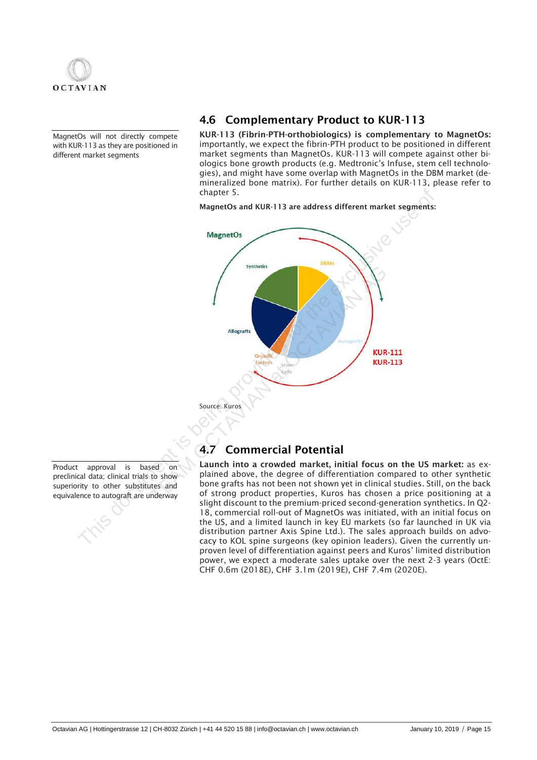

MagnetOs will not directly compete with KUR-113 as they are positioned in different market segments

## 4.6 Complementary Product to KUR-113

KUR-113 (Fibrin-PTH-orthobiologics) is complementary to MagnetOs: importantly, we expect the fibrin-PTH product to be positioned in different market segments than MagnetOs. KUR-113 will compete against other biologics bone growth products (e.g. Medtronic's Infuse, stem cell technologies), and might have some overlap with MagnetOs in the DBM market (demineralized bone matrix). For further details on KUR-113, please refer to chapter 5.

MagnetOs and KUR-113 are address different market segments:



Source: Kuros

## 4.7 Commercial Potential

Launch into a crowded market, initial focus on the US market: as explained above, the degree of differentiation compared to other synthetic bone grafts has not been not shown yet in clinical studies. Still, on the back of strong product properties, Kuros has chosen a price positioning at a slight discount to the premium-priced second-generation synthetics. In Q2- 18, commercial roll-out of MagnetOs was initiated, with an initial focus on the US, and a limited launch in key EU markets (so far launched in UK via distribution partner Axis Spine Ltd.). The sales approach builds on advocacy to KOL spine surgeons (key opinion leaders). Given the currently unproven level of differentiation against peers and Kuros' limited distribution power, we expect a moderate sales uptake over the next 2-3 years (OctE: CHF 0.6m (2018E), CHF 3.1m (2019E), CHF 7.4m (2020E).

Product approval is based on preclinical data; clinical trials to show superiority to other substitutes and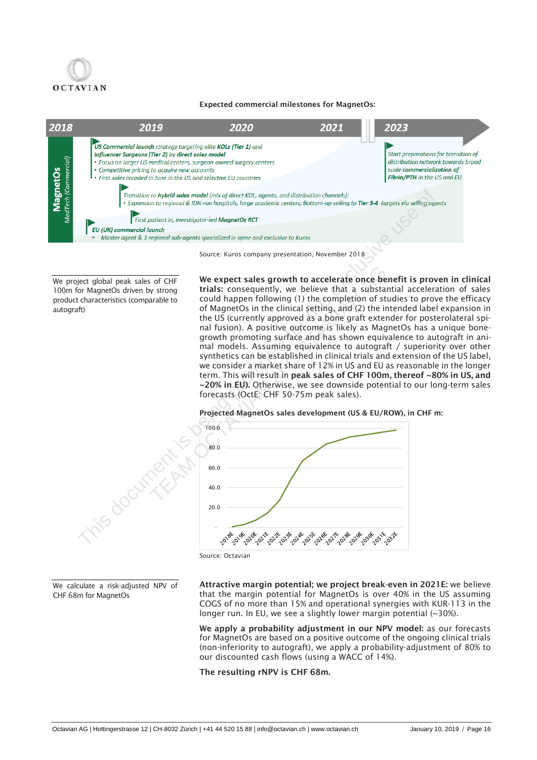

### Expected commercial milestones for MagnetOs:



Source: Kuros company presentation, November 2018

We project global peak sales of CHF 100m for MagnetOs driven by strong product characteristics (comparable to autograft)

We expect sales growth to accelerate once benefit is proven in clinical trials: consequently, we believe that a substantial acceleration of sales could happen following (1) the completion of studies to prove the efficacy of MagnetOs in the clinical setting, and (2) the intended label expansion in the US (currently approved as a bone graft extender for posterolateral spinal fusion). A positive outcome is likely as MagnetOs has a unique bonegrowth promoting surface and has shown equivalence to autograft in animal models. Assuming equivalence to autograft / superiority over other synthetics can be established in clinical trials and extension of the US label, we consider a market share of 12% in US and EU as reasonable in the longer term. This will result in peak sales of CHF 100m, thereof ~80% in US, and ~20% in EU). Otherwise, we see downside potential to our long-term sales forecasts (OctE: CHF 50-75m peak sales). Thus that the media link of the the contain the properties of the modelities that the expert of the expected for the expert of the expert of the expert of the expertent in the solid property of the two stating provided fo The system of the expect sales growth to accelerate once ben<br>trials: consequently, we believe that a substant could happen following (1) the completion of sture of MagnetOs in the clinical setting, and (2) the internet of

### Projected MagnetOs sales development (US & EU/ROW), in CHF m:



Source: Octavian

We calculate a risk-adjusted NPV of CHF 68m for MagnetOs

Attractive margin potential; we project break-even in 2021E: we believe that the margin potential for MagnetOs is over 40% in the US assuming COGS of no more than 15% and operational synergies with KUR-113 in the longer run. In EU, we see a slightly lower margin potential (~30%).

We apply a probability adjustment in our NPV model: as our forecasts for MagnetOs are based on a positive outcome of the ongoing clinical trials (non-inferiority to autograft), we apply a probability-adjustment of 80% to our discounted cash flows (using a WACC of 14%).

The resulting rNPV is CHF 68m.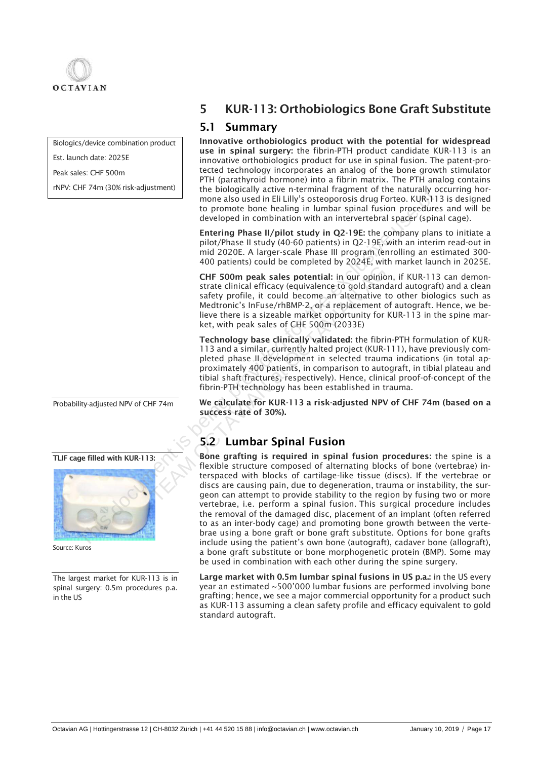

Biologics/device combination product

Est. launch date: 2025E

Peak sales: CHF 500m

rNPV: CHF 74m (30% risk-adjustment)

Probability-adjusted NPV of CHF 74m

TLIF cage filled with KUR-113:



Source: Kuros

The largest market for KUR-113 is in spinal surgery: 0.5m procedures p.a. in the US

# 5 KUR-113: Orthobiologics Bone Graft Substitute

## 5.1 Summary

Innovative orthobiologics product with the potential for widespread use in spinal surgery: the fibrin-PTH product candidate KUR-113 is an innovative orthobiologics product for use in spinal fusion. The patent-protected technology incorporates an analog of the bone growth stimulator PTH (parathyroid hormone) into a fibrin matrix. The PTH analog contains the biologically active n-terminal fragment of the naturally occurring hormone also used in Eli Lilly's osteoporosis drug Forteo. KUR-113 is designed to promote bone healing in lumbar spinal fusion procedures and will be developed in combination with an intervertebral spacer (spinal cage).

Entering Phase II/pilot study in Q2-19E: the company plans to initiate a pilot/Phase II study (40-60 patients) in Q2-19E, with an interim read-out in mid 2020E. A larger-scale Phase III program (enrolling an estimated 300- 400 patients) could be completed by 2024E, with market launch in 2025E.

CHF 500m peak sales potential: in our opinion, if KUR-113 can demonstrate clinical efficacy (equivalence to gold standard autograft) and a clean safety profile, it could become an alternative to other biologics such as Medtronic's InFuse/rhBMP-2, or a replacement of autograft. Hence, we believe there is a sizeable market opportunity for KUR-113 in the spine market, with peak sales of CHF 500m (2033E) **CHE 500m peak sales potential:** in our opinion strate clinical efficacy (equivalence to gold standar safety profile, it could become an alternative to Medtronic's InFuse/rhBMP-2, or a replacement of live there is a sizeab

Technology base clinically validated: the fibrin-PTH formulation of KUR-113 and a similar, currently halted project (KUR-111), have previously completed phase II development in selected trauma indications (in total approximately 400 patients, in comparison to autograft, in tibial plateau and tibial shaft fractures, respectively). Hence, clinical proof-of-concept of the fibrin-PTH technology has been established in trauma.

We calculate for KUR-113 a risk-adjusted NPV of CHF 74m (based on a success rate of 30%).

## 5.2 Lumbar Spinal Fusion

Bone grafting is required in spinal fusion procedures: the spine is a flexible structure composed of alternating blocks of bone (vertebrae) interspaced with blocks of cartilage-like tissue (discs). If the vertebrae or discs are causing pain, due to degeneration, trauma or instability, the surgeon can attempt to provide stability to the region by fusing two or more vertebrae, i.e. perform a spinal fusion. This surgical procedure includes the removal of the damaged disc, placement of an implant (often referred to as an inter-body cage) and promoting bone growth between the vertebrae using a bone graft or bone graft substitute. Options for bone grafts include using the patient's own bone (autograft), cadaver bone (allograft), a bone graft substitute or bone morphogenetic protein (BMP). Some may be used in combination with each other during the [spine surgery.](https://www.spine-health.com/treatment/back-surgery/lumbar-spine-surgery) The biological action in the the three interests are a signal to the three interests and the eveloped in combination with an interertebral spaced (spin) to promote bone healing in lunchar spinal for since the every scale t

> Large market with 0.5m lumbar spinal fusions in US p.a.: in the US every year an estimated ~500'000 lumbar fusions are performed involving bone grafting; hence, we see a major commercial opportunity for a product such as KUR-113 assuming a clean safety profile and efficacy equivalent to gold standard autograft.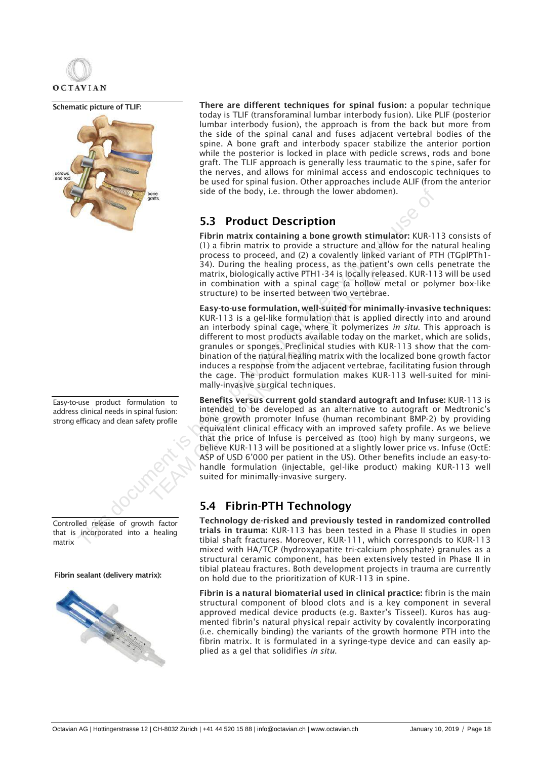

Schematic picture of TLIF:



Easy-to-use product formulation to address clinical needs in spinal fusion: strong efficacy and clean safety profile



that is incorporated into a healing matrix

Fibrin sealant (delivery matrix):



There are different techniques for spinal fusion: a popular technique today is TLIF (transforaminal lumbar interbody fusion). Like PLIF (posterior lumbar interbody fusion), the approach is from the back but more from the side of the spinal canal and fuses adjacent vertebral bodies of the spine. A [bone graft](https://www.spine-health.com/treatment/spinal-fusion/bone-graft-spine-fusion) and interbody spacer stabilize the anterior portion while the posterior is locked in place with pedicle screws, rods and bone graft. The TLIF approach is generally less traumatic to the spine, safer for the nerves, and allows for minimal access and endoscopic techniques to be used for spinal fusion. Other approaches include ALIF (from the anterior side of the body, i.e. through the lower abdomen).

## 5.3 Product Description

Fibrin matrix containing a bone growth stimulator: KUR-113 consists of (1) a fibrin matrix to provide a structure and allow for the natural healing process to proceed, and (2) a covalently linked variant of PTH (TGplPTh1- 34). During the healing process, as the patient's own cells penetrate the matrix, biologically active PTH1-34 is locally released. KUR-113 will be used in combination with a spinal cage (a hollow metal or polymer box-like structure) to be inserted between two vertebrae.

Easy-to-use formulation, well-suited for minimally-invasive techniques: KUR-113 is a gel-like formulation that is applied directly into and around an interbody spinal cage, where it polymerizes *in situ*. This approach is different to most products available today on the market, which are solids, granules or sponges. Preclinical studies with KUR-113 show that the combination of the natural healing matrix with the localized bone growth factor induces a response from the adjacent vertebrae, facilitating fusion through the cage. The product formulation makes KUR-113 well-suited for minimally-invasive surgical techniques. Side of the body, i.e. through the lower abdomen).<br>
5.3 **Product Description**<br>
(1) a fibini matrix to provide a structure and allow for the notes of the process to proceed, and (2) a covalently linked variant of PI 34), Du From the reality process, as the pattent and the reality and the reality and the spinal capturity, biologically active PTH1-34 is locally releasing in combination with a spinal cage (a hollow m structure) to be inserted be

Benefits versus current gold standard autograft and Infuse: KUR-113 is intended to be developed as an alternative to autograft or Medtronic's bone growth promoter Infuse (human recombinant BMP-2) by providing equivalent clinical efficacy with an improved safety profile. As we believe that the price of Infuse is perceived as (too) high by many surgeons, we believe KUR-113 will be positioned at a slightly lower price vs. Infuse (OctE: ASP of USD 6'000 per patient in the US). Other benefits include an easy-tohandle formulation (injectable, gel-like product) making KUR-113 well suited for minimally-invasive surgery.

## 5.4 Fibrin-PTH Technology

Technology de-risked and previously tested in randomized controlled trials in trauma: KUR-113 has been tested in a Phase II studies in open tibial shaft fractures. Moreover, KUR-111, which corresponds to KUR-113 mixed with HA/TCP (hydroxyapatite tri-calcium phosphate) granules as a structural ceramic component, has been extensively tested in Phase II in tibial plateau fractures. Both development projects in trauma are currently on hold due to the prioritization of KUR-113 in spine.

Fibrin is a natural biomaterial used in clinical practice: fibrin is the main structural component of blood clots and is a key component in several approved medical device products (e.g. Baxter's Tisseel). Kuros has augmented fibrin's natural physical repair activity by covalently incorporating (i.e. chemically binding) the variants of the growth hormone PTH into the fibrin matrix. It is formulated in a syringe-type device and can easily applied as a gel that solidifies *in situ*.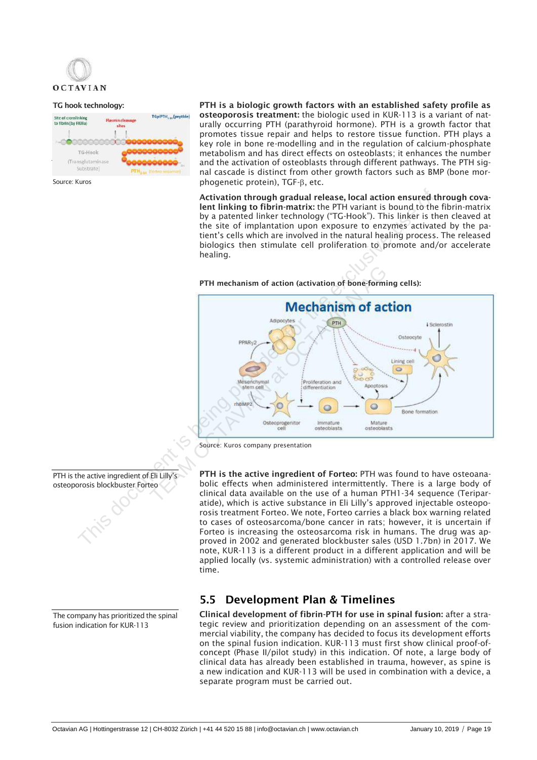

### TG hook technology:



PTH is a biologic growth factors with an established safety profile as osteoporosis treatment: the biologic used in KUR-113 is a variant of naturally occurring PTH (parathyroid hormone). PTH is a growth factor that promotes tissue repair and helps to restore tissue function. PTH plays a key role in bone re-modelling and in the regulation of calcium-phosphate metabolism and has direct effects on osteoblasts; it enhances the number and the activation of osteoblasts through different pathways. The PTH signal cascade is distinct from other growth factors such as BMP (bone morphogenetic protein),  $TGF- $\beta$ , etc.$ 

Activation through gradual release, local action ensured through covalent linking to fibrin-matrix: the PTH variant is bound to the fibrin-matrix by a patented linker technology ("TG-Hook"). This linker is then cleaved at the site of implantation upon exposure to enzymes activated by the patient's cells which are involved in the natural healing process. The released biologics then stimulate cell proliferation to promote and/or accelerate healing.

### PTH mechanism of action (activation of bone-forming cells):





PTH is the active ingredient of Forteo: PTH was found to have osteoanabolic effects when administered intermittently. There is a large body of clinical data available on the use of a human PTH1-34 sequence (Teriparatide), which is active substance in Eli Lilly's approved injectable osteoporosis treatment Forteo. We note, Forteo carries a black box warning related to cases of osteosarcoma/bone cancer in rats; however, it is uncertain if Forteo is increasing the osteosarcoma risk in humans. The drug was approved in 2002 and generated blockbuster sales (USD 1.7bn) in 2017. We note, KUR-113 is a different product in a different application and will be applied locally (vs. systemic administration) with a controlled release over time.

## 5.5 Development Plan & Timelines

Clinical development of fibrin-PTH for use in spinal fusion: after a strategic review and prioritization depending on an assessment of the commercial viability, the company has decided to focus its development efforts on the spinal fusion indication. KUR-113 must first show clinical proof-ofconcept (Phase II/pilot study) in this indication. Of note, a large body of clinical data has already been established in trauma, however, as spine is a new indication and KUR-113 will be used in combination with a device, a separate program must be carried out.

PTH is the active ingredient of Eli Lilly's osteoporosis blockbuster Forteo

The company has prioritized the spinal fusion indication for KUR-113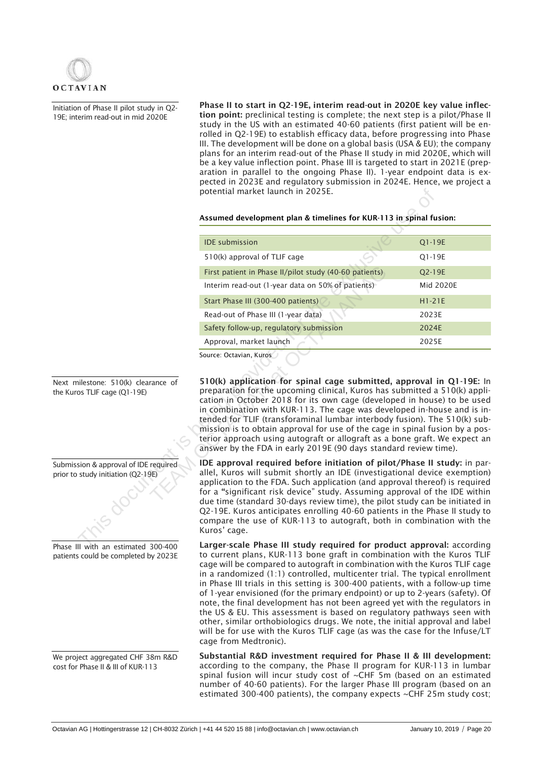

Initiation of Phase II pilot study in Q2- 19E; interim read-out in mid 2020E

Phase II to start in Q2-19E, interim read-out in 2020E key value inflection point: preclinical testing is complete; the next step is a pilot/Phase II study in the US with an estimated 40-60 patients (first patient will be enrolled in Q2-19E) to establish efficacy data, before progressing into Phase III. The development will be done on a global basis (USA & EU); the company plans for an interim read-out of the Phase II study in mid 2020E, which will be a key value inflection point. Phase III is targeted to start in 2021E (preparation in parallel to the ongoing Phase II). 1-year endpoint data is expected in 2023E and regulatory submission in 2024E. Hence, we project a potential market launch in 2025E.

### Assumed development plan & timelines for KUR-113 in spinal fusion:

|                                                              | potential market launch in 2025E.                                                                                                                                                                                                                                                                                                                                                                                                                                                                                                                                                                                       |           |
|--------------------------------------------------------------|-------------------------------------------------------------------------------------------------------------------------------------------------------------------------------------------------------------------------------------------------------------------------------------------------------------------------------------------------------------------------------------------------------------------------------------------------------------------------------------------------------------------------------------------------------------------------------------------------------------------------|-----------|
|                                                              | Assumed development plan & timelines for KUR-113 in spinal fusion:                                                                                                                                                                                                                                                                                                                                                                                                                                                                                                                                                      |           |
|                                                              |                                                                                                                                                                                                                                                                                                                                                                                                                                                                                                                                                                                                                         |           |
|                                                              | <b>IDE</b> submission                                                                                                                                                                                                                                                                                                                                                                                                                                                                                                                                                                                                   | Q1-19E    |
|                                                              | 510(k) approval of TLIF cage                                                                                                                                                                                                                                                                                                                                                                                                                                                                                                                                                                                            | Q1-19E    |
|                                                              | First patient in Phase II/pilot study (40-60 patients)                                                                                                                                                                                                                                                                                                                                                                                                                                                                                                                                                                  | Q2-19E    |
|                                                              | Interim read-out (1-year data on 50% of patients)                                                                                                                                                                                                                                                                                                                                                                                                                                                                                                                                                                       | Mid 2020E |
|                                                              | Start Phase III (300-400 patients)                                                                                                                                                                                                                                                                                                                                                                                                                                                                                                                                                                                      | $H1-21E$  |
|                                                              | Read-out of Phase III (1-year data)                                                                                                                                                                                                                                                                                                                                                                                                                                                                                                                                                                                     | 2023E     |
|                                                              | Safety follow-up, regulatory submission                                                                                                                                                                                                                                                                                                                                                                                                                                                                                                                                                                                 | 2024E     |
|                                                              | Approval, market launch                                                                                                                                                                                                                                                                                                                                                                                                                                                                                                                                                                                                 | 2025E     |
| nilestone: 510(k) clearance of<br>os TLIF cage (Q1-19E)      | 510(k) application for spinal cage submitted, approval in Q1-19E: In<br>preparation for the upcoming clinical, Kuros has submitted a 510(k) appli-<br>cation in October 2018 for its own cage (developed in house) to be used<br>in combination with KUR-113. The cage was developed in-house and is in-<br>tended for TLIF (transforaminal lumbar interbody fusion). The 510(k) sub-<br>mission is to obtain approval for use of the cage in spinal fusion by a pos-<br>terior approach using autograft or allograft as a bone graft. We expect an<br>answer by the FDA in early 2019E (90 days standard review time). |           |
| sion & approval of IDE required<br>study initiation (Q2-19E) | IDE approval required before initiation of pilot/Phase II study: in par-<br>allel, Kuros will submit shortly an IDE (investigational device exemption)<br>application to the FDA. Such application (and approval thereof) is required<br>for a "significant risk device" study. Assuming approval of the IDE within<br>due time (standard 30-days review time), the pilot study can be initiated in<br>Q2-19E. Kuros anticipates enrolling 40-60 patients in the Phase II study to<br>compare the use of KUR-113 to autograft, both in combination with the<br>Kuros' cage.                                             |           |
| $\mu$ with an estimated $300-400$                            | Larger-scale Phase III study required for product approval: according                                                                                                                                                                                                                                                                                                                                                                                                                                                                                                                                                   |           |

Larger-scale Phase III study required for product approval: according to current plans, KUR-113 bone graft in combination with the Kuros TLIF cage will be compared to autograft in combination with the Kuros TLIF cage in a randomized (1:1) controlled, multicenter trial. The typical enrollment in Phase III trials in this setting is 300-400 patients, with a follow-up time of 1-year envisioned (for the primary endpoint) or up to 2-years (safety). Of note, the final development has not been agreed yet with the regulators in the US & EU. This assessment is based on regulatory pathways seen with other, similar orthobiologics drugs. We note, the initial approval and label will be for use with the Kuros TLIF cage (as was the case for the Infuse/LT cage from Medtronic).

Substantial R&D investment required for Phase II & III development: according to the company, the Phase II program for KUR-113 in lumbar spinal fusion will incur study cost of ~CHF 5m (based on an estimated number of 40-60 patients). For the larger Phase III program (based on an estimated 300-400 patients), the company expects ~CHF 25m study cost;

Next milestone: 510(k) clearance of the Kuros TLIF cage (Q1-19E)

Submission & approval of IDE required prior to study initiation (Q2-19E)

Phase III with an estimated 300-400 patients could be completed by 2023E

We project aggregated CHF 38m R&D cost for Phase II & III of KUR-113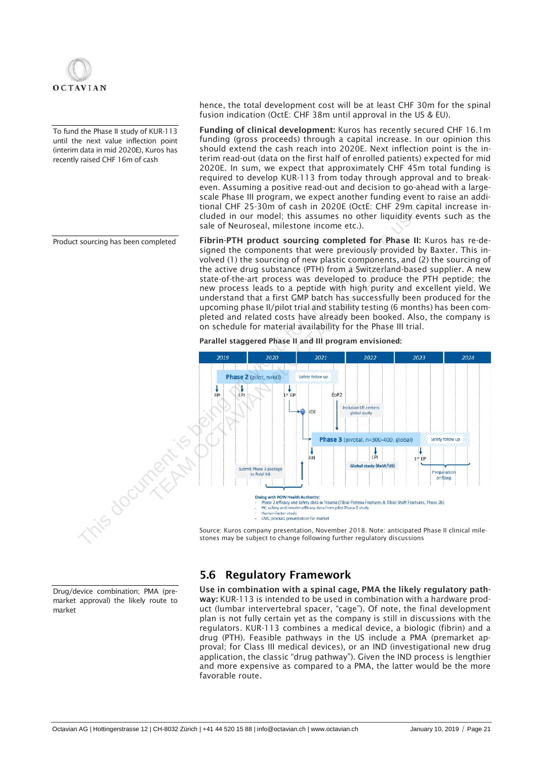

To fund the Phase II study of KUR-113 until the next value inflection point (interim data in mid 2020E), Kuros has recently raised CHF 16m of cash

Product sourcing has been completed

hence, the total development cost will be at least CHF 30m for the spinal fusion indication (OctE: CHF 38m until approval in the US & EU).

Funding of clinical development: Kuros has recently secured CHF 16.1m funding (gross proceeds) through a capital increase. In our opinion this should extend the cash reach into 2020E. Next inflection point is the interim read-out (data on the first half of enrolled patients) expected for mid 2020E. In sum, we expect that approximately CHF 45m total funding is required to develop KUR-113 from today through approval and to breakeven. Assuming a positive read-out and decision to go-ahead with a largescale Phase III program, we expect another funding event to raise an additional CHF 25-30m of cash in 2020E (OctE: CHF 29m capital increase included in our model; this assumes no other liquidity events such as the sale of Neuroseal, milestone income etc.).

Fibrin-PTH product sourcing completed for Phase II: Kuros has re-designed the components that were previously provided by Baxter. This involved (1) the sourcing of new plastic components, and (2) the sourcing of the active drug substance (PTH) from a Switzerland-based supplier. A new state-of-the-art process was developed to produce the PTH peptide; the new process leads to a peptide with high purity and excellent yield. We understand that a first GMP batch has successfully been produced for the upcoming phase II/pilot trial and stability testing (6 months) has been completed and related costs have already been booked. Also, the company is on schedule for material availability for the Phase III trial.

Parallel staggered Phase II and III program envisioned:



Source: Kuros company presentation, November 2018. Note: anticipated Phase II clinical milestones may be subject to change following further regulatory discussions

Drug/device combination; PMA (premarket approval) the likely route to market

## 5.6 Regulatory Framework

Use in combination with a spinal cage, PMA the likely regulatory pathway: KUR-113 is intended to be used in combination with a hardware product (lumbar intervertebral spacer, "cage"). Of note, the final development plan is not fully certain yet as the company is still in discussions with the regulators. KUR-113 combines a medical device, a biologic (fibrin) and a drug (PTH). Feasible pathways in the US include a PMA (premarket approval; for Class III medical devices), or an IND (investigational new drug application, the classic "drug pathway"). Given the IND process is lengthier and more expensive as compared to a PMA, the latter would be the more favorable route.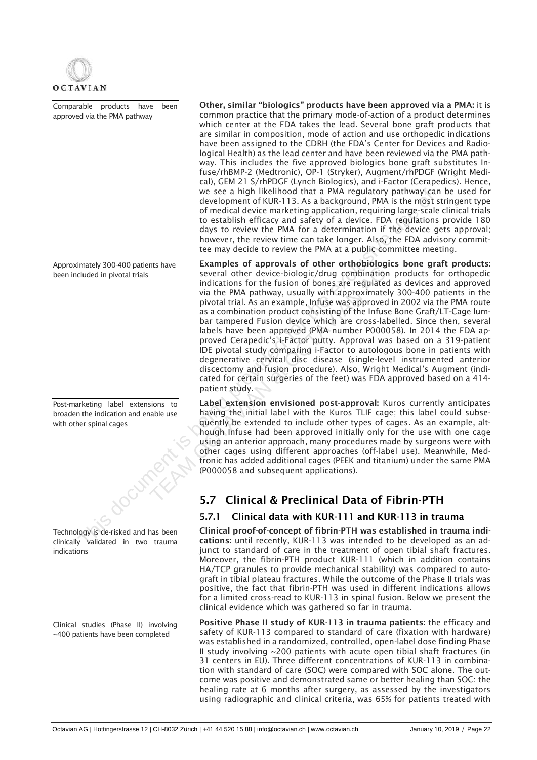

Comparable products have been approved via the PMA pathway

Approximately 300-400 patients have been included in pivotal trials

Post-marketing label extensions to broaden the indication and enable use with other spinal cages



clinically validated in two trauma indications

Clinical studies (Phase II) involving ~400 patients have been completed

Other, similar "biologics" products have been approved via a PMA: it is common practice that the primary mode-of-action of a product determines which center at the FDA takes the lead. Several bone graft products that are similar in composition, mode of action and use orthopedic indications have been assigned to the CDRH (the FDA's Center for Devices and Radiological Health) as the lead center and have been reviewed via the PMA pathway. This includes the five approved biologics bone graft substitutes Infuse/rhBMP-2 (Medtronic), OP-1 (Stryker), Augment/rhPDGF (Wright Medical), GEM 21 S/rhPDGF (Lynch Biologics), and i-Factor (Cerapedics). Hence, we see a high likelihood that a PMA regulatory pathway can be used for development of KUR-113. As a background, PMA is the most stringent type of medical device marketing application, requiring large-scale clinical trials to establish efficacy and safety of a device. FDA regulations provide 180 days to review the PMA for a determination if the device gets approval; however, the review time can take longer. Also, the FDA advisory committee may decide to review the PMA at a public committee meeting.

Examples of approvals of other orthobiologics bone graft products: several other device-biologic/drug combination products for orthopedic indications for the fusion of bones are regulated as devices and approved via the PMA pathway, usually with approximately 300-400 patients in the pivotal trial. As an example, Infuse was approved in 2002 via the PMA route as a combination product consisting of the Infuse Bone Graft/LT-Cage lumbar tampered Fusion device which are cross-labelled. Since then, several labels have been approved (PMA number P000058). In 2014 the FDA approved Cerapedic's i-Factor putty. Approval was based on a 319-patient IDE pivotal study comparing i-Factor to autologous bone in patients with degenerative cervical disc disease (single-level instrumented anterior discectomy and fusion procedure). Also, Wright Medical's Augment (indicated for certain surgeries of the feet) was FDA approved based on a 414 patient study. we see a high likelihood that a PMA regulatory pathway can<br>development of KUR-113. As a background, PMA is the most<br>of medical device marketing application, requiring large-scalar<br>to establish efficacy and safety of a devi Examples the device-biologic/drug combination<br>several other device-biologic/drug combination<br>indications for the fusion of bones are regulated<br>via the PMA pathway, usually with approximately<br>pivotal trial. As an example, I

Label extension envisioned post-approval: Kuros currently anticipates having the initial label with the Kuros TLIF cage; this label could subsequently be extended to include other types of cages. As an example, although Infuse had been approved initially only for the use with one cage using an anterior approach, many procedures made by surgeons were with other cages using different approaches (off-label use). Meanwhile, Medtronic has added additional cages (PEEK and titanium) under the same PMA (P000058 and subsequent applications).

## 5.7 Clinical & Preclinical Data of Fibrin-PTH

## 5.7.1 Clinical data with KUR-111 and KUR-113 in trauma

Clinical proof-of-concept of fibrin-PTH was established in trauma indications: until recently, KUR-113 was intended to be developed as an adjunct to standard of care in the treatment of open tibial shaft fractures. Moreover, the fibrin-PTH product KUR-111 (which in addition contains HA/TCP granules to provide mechanical stability) was compared to autograft in tibial plateau fractures. While the outcome of the Phase II trials was positive, the fact that fibrin-PTH was used in different indications allows for a limited cross-read to KUR-113 in spinal fusion. Below we present the clinical evidence which was gathered so far in trauma.

Positive Phase II study of KUR-113 in trauma patients: the efficacy and safety of KUR-113 compared to standard of care (fixation with hardware) was established in a randomized, controlled, open-label dose finding Phase II study involving ~200 patients with acute open tibial shaft fractures (in 31 centers in EU). Three different concentrations of KUR-113 in combination with standard of care (SOC) were compared with SOC alone. The outcome was positive and demonstrated same or better healing than SOC: the healing rate at 6 months after surgery, as assessed by the investigators using radiographic and clinical criteria, was 65% for patients treated with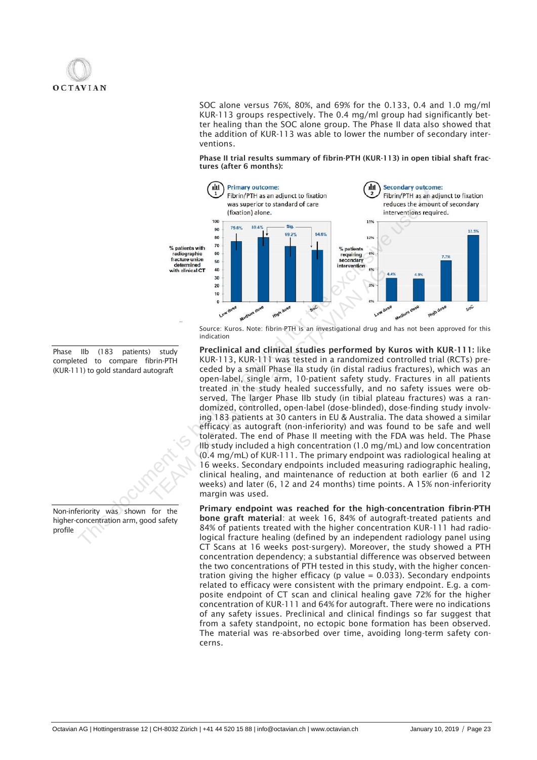SOC alone versus 76%, 80%, and 69% for the 0.133, 0.4 and 1.0 mg/ml KUR-113 groups respectively. The 0.4 mg/ml group had significantly better healing than the SOC alone group. The Phase II data also showed that the addition of KUR-113 was able to lower the number of secondary interventions.

Phase II trial results summary of fibrin-PTH (KUR-113) in open tibial shaft fractures (after 6 months):



Source: Kuros. Note: fibrin-PTH is an investigational drug and has not been approved for this indication

Preclinical and clinical studies performed by Kuros with KUR-111: like KUR-113, KUR-111 was tested in a randomized controlled trial (RCTs) preceded by a small Phase IIa study (in distal radius fractures), which was an open-label, single arm, 10-patient safety study. Fractures in all patients treated in the study healed successfully, and no safety issues were observed. The larger Phase IIb study (in tibial plateau fractures) was a randomized, controlled, open-label (dose-blinded), dose-finding study involving 183 patients at 30 canters in EU & Australia. The data showed a similar efficacy as autograft (non-inferiority) and was found to be safe and well tolerated. The end of Phase II meeting with the FDA was held. The Phase IIb study included a high concentration (1.0 mg/mL) and low concentration (0.4 mg/mL) of KUR-111. The primary endpoint was radiological healing at 16 weeks. Secondary endpoints included measuring radiographic healing, clinical healing, and maintenance of reduction at both earlier (6 and 12 weeks) and later (6, 12 and 24 months) time points. A 15% non-inferiority margin was used. **Excluded the exclusive of the Controlline Controlline Controlline This and Exclusive use of the exclusive use of the exclusive use of the exclusive use of the exclusive use of the exclusive use of the exclusive use of th** With dineal of<br>
20<br>
The difference: Kuros. Note: fibrin-PTH is an investigational drug and<br>
indication<br>
Terms in the study of the study (in distal radius<br>
open-label, single arm, 10-patient age and the study (in distal rad

Primary endpoint was reached for the high-concentration fibrin-PTH bone graft material: at week 16, 84% of autograft-treated patients and 84% of patients treated with the higher concentration KUR-111 had radiological fracture healing (defined by an independent radiology panel using CT Scans at 16 weeks post-surgery). Moreover, the study showed a PTH concentration dependency; a substantial difference was observed between the two concentrations of PTH tested in this study, with the higher concentration giving the higher efficacy (p value =  $0.033$ ). Secondary endpoints related to efficacy were consistent with the primary endpoint. E.g. a composite endpoint of CT scan and clinical healing gave 72% for the higher concentration of KUR-111 and 64% for autograft. There were no indications of any safety issues. Preclinical and clinical findings so far suggest that from a safety standpoint, no ectopic bone formation has been observed. The material was re-absorbed over time, avoiding long-term safety concerns.

Phase IIb (183 patients) study completed to compare fibrin-PTH (KUR-111) to gold standard autograft

Non-inferiority was shown for the higher-concentration arm, good safety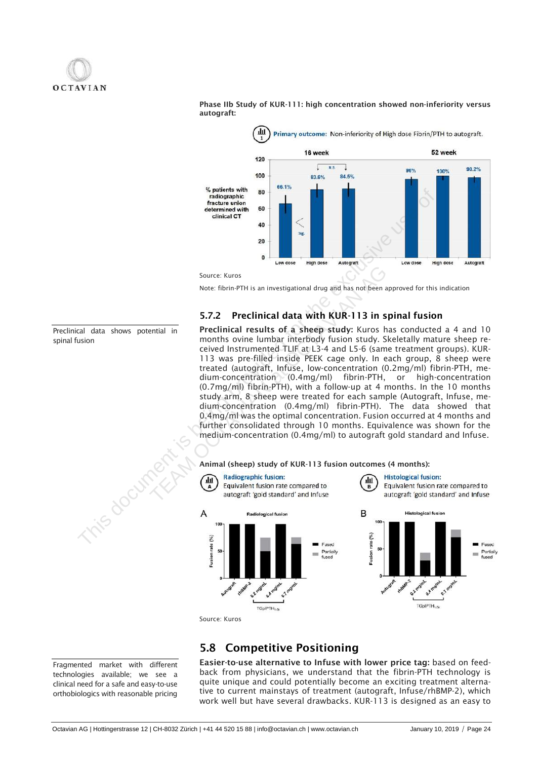

Phase IIb Study of KUR-111: high concentration showed non-inferiority versus autograft:



Note: fibrin-PTH is an investigational drug and has not been approved for this indication

### 5.7.2 Preclinical data with KUR-113 in spinal fusion

Preclinical results of a sheep study: Kuros has conducted a 4 and 10 months ovine lumbar interbody fusion study. Skeletally mature sheep received Instrumented TLIF at L3-4 and L5-6 (same treatment groups). KUR-113 was pre-filled inside PEEK cage only. In each group, 8 sheep were treated (autograft, Infuse, low-concentration (0.2mg/ml) fibrin-PTH, medium-concentration (0.4mg/ml) fibrin-PTH, or high-concentration (0.7mg/ml) fibrin-PTH), with a follow-up at 4 months. In the 10 months study arm, 8 sheep were treated for each sample (Autograft, Infuse, medium-concentration (0.4mg/ml) fibrin-PTH). The data showed that 0.4mg/ml was the optimal concentration. Fusion occurred at 4 months and further consolidated through 10 months. Equivalence was shown for the medium-concentration (0.4mg/ml) to autograft gold standard and Infuse. The contract and the state of the exclusive use of the extendion of the exclusive use of the extent is being provided for the exclusive use of the extent is of the extent is of the extent is being the exclusive use of the Source: Kuros<br>
Note: fibrin-PTH is an investigational drug and has not been ap<br>
The Preclinical results of a sheep study: Kuros has<br>
months oview lumbar interbody fusion study. Sk<br>
ceived Instrumented TLIF at L3-4 and L5-

### Animal (sheep) study of KUR-113 fusion outcomes (4 months):



## 5.8 Competitive Positioning

Easier-to-use alternative to Infuse with lower price tag: based on feedback from physicians, we understand that the fibrin-PTH technology is quite unique and could potentially become an exciting treatment alternative to current mainstays of treatment (autograft, Infuse/rhBMP-2), which work well but have several drawbacks. KUR-113 is designed as an easy to

Preclinical data shows potential in spinal fusion

Fragmented market with different technologies available; we see a clinical need for a safe and easy-to-use orthobiologics with reasonable pricing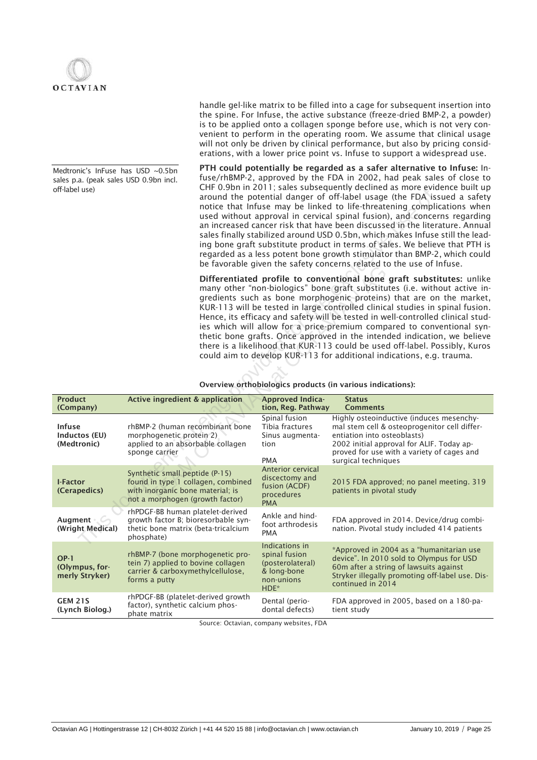

Medtronic's InFuse has USD ~0.5bn sales p.a. (peak sales USD 0.9bn incl. handle gel-like matrix to be filled into a cage for subsequent insertion into the spine. For Infuse, the active substance (freeze-dried BMP-2, a powder) is to be applied onto a collagen sponge before use, which is not very convenient to perform in the operating room. We assume that clinical usage will not only be driven by clinical performance, but also by pricing considerations, with a lower price point vs. Infuse to support a widespread use.

PTH could potentially be regarded as a safer alternative to Infuse: Infuse/rhBMP-2, approved by the FDA in 2002, had peak sales of close to CHF 0.9bn in 2011; sales subsequently declined as more evidence built up around the potential danger of off-label usage (the FDA issued a safety notice that Infuse may be linked to life-threatening complications when used without approval in cervical spinal fusion), and concerns regarding an increased cancer risk that have been discussed in the literature. Annual sales finally stabilized around USD 0.5bn, which makes Infuse still the leading bone graft substitute product in terms of sales. We believe that PTH is regarded as a less potent bone growth stimulator than BMP-2, which could be favorable given the safety concerns related to the use of Infuse.

| Overview orthobiologics products (in various indications): |  |  |  |
|------------------------------------------------------------|--|--|--|
|------------------------------------------------------------|--|--|--|

| off-label use)                                |                                                                                                                                             |                                                                                  | CHE 0.9011 III ZUTT, Sales subsequently decimed as more evidence built up<br>around the potential danger of off-label usage (the FDA issued a safety<br>notice that Infuse may be linked to life-threatening complications when<br>used without approval in cervical spinal fusion), and concerns regarding<br>an increased cancer risk that have been discussed in the literature. Annual<br>sales finally stabilized around USD 0.5bn, which makes Infuse still the lead-<br>ing bone graft substitute product in terms of sales. We believe that PTH is<br>regarded as a less potent bone growth stimulator than BMP-2, which could<br>be favorable given the safety concerns related to the use of Infuse.                                                              |
|-----------------------------------------------|---------------------------------------------------------------------------------------------------------------------------------------------|----------------------------------------------------------------------------------|-----------------------------------------------------------------------------------------------------------------------------------------------------------------------------------------------------------------------------------------------------------------------------------------------------------------------------------------------------------------------------------------------------------------------------------------------------------------------------------------------------------------------------------------------------------------------------------------------------------------------------------------------------------------------------------------------------------------------------------------------------------------------------|
|                                               |                                                                                                                                             |                                                                                  | Differentiated profile to conventional bone graft substitutes: unlike<br>many other "non-biologics" bone graft substitutes (i.e. without active in-<br>gredients such as bone morphogenic proteins) that are on the market,<br>KUR-113 will be tested in large controlled clinical studies in spinal fusion.<br>Hence, its efficacy and safety will be tested in well-controlled clinical stud-<br>ies which will allow for a price-premium compared to conventional syn-<br>thetic bone grafts. Once approved in the intended indication, we believe<br>there is a likelihood that KUR-113 could be used off-label. Possibly, Kuros<br>could aim to develop KUR-113 for additional indications, e.g. trauma.<br>Overview orthobiologics products (in various indications): |
| <b>Product</b><br>(Company)                   | <b>Active ingredient &amp; application</b>                                                                                                  | <b>Approved Indica-</b><br>tion, Reg. Pathway                                    | <b>Status</b><br><b>Comments</b>                                                                                                                                                                                                                                                                                                                                                                                                                                                                                                                                                                                                                                                                                                                                            |
| <b>Infuse</b><br>Inductos (EU)<br>(Medtronic) | rhBMP-2 (human recombinant bone<br>morphogenetic protein 2)<br>applied to an absorbable collagen<br>sponge carrier                          | Spinal fusion<br>Tibia fractures<br>Sinus augmenta-<br>tion<br><b>PMA</b>        | Highly osteoinductive (induces mesenchy-<br>mal stem cell & osteoprogenitor cell differ-<br>entiation into osteoblasts)<br>2002 initial approval for ALIF. Today ap-<br>proved for use with a variety of cages and<br>surgical techniques                                                                                                                                                                                                                                                                                                                                                                                                                                                                                                                                   |
| <b>I-Factor</b><br>(Cerapedics)               | Synthetic small peptide (P-15)<br>found in type 1 collagen, combined<br>with inorganic bone material; is<br>not a morphogen (growth factor) | Anterior cervical<br>discectomy and<br>fusion (ACDF)<br>procedures<br><b>PMA</b> | 2015 FDA approved; no panel meeting. 319<br>patients in pivotal study                                                                                                                                                                                                                                                                                                                                                                                                                                                                                                                                                                                                                                                                                                       |
| Augment $\sim$<br>(Wright Medical)            | rhPDGF-BB human platelet-derived<br>growth factor B; bioresorbable syn-<br>thetic bone matrix (beta-tricalcium<br>phosphate)                | Ankle and hind-<br>foot arthrodesis<br><b>PMA</b>                                | FDA approved in 2014. Device/drug combi-<br>nation. Pivotal study included 414 patients                                                                                                                                                                                                                                                                                                                                                                                                                                                                                                                                                                                                                                                                                     |
|                                               |                                                                                                                                             | Indications in<br>spinal fusion                                                  | *Approved in 2004 as a "humanitarian use                                                                                                                                                                                                                                                                                                                                                                                                                                                                                                                                                                                                                                                                                                                                    |
| $OP-1$<br>(Olympus, for-<br>merly Stryker)    | rhBMP-7 (bone morphogenetic pro-<br>tein 7) applied to bovine collagen<br>carrier & carboxymethylcellulose,<br>forms a putty                | (posterolateral)<br>& long-bone<br>non-unions<br>HDE*                            | device". In 2010 sold to Olympus for USD<br>60m after a string of lawsuits against<br>Stryker illegally promoting off-label use. Dis-<br>continued in 2014                                                                                                                                                                                                                                                                                                                                                                                                                                                                                                                                                                                                                  |

Source: Octavian, company websites, FDA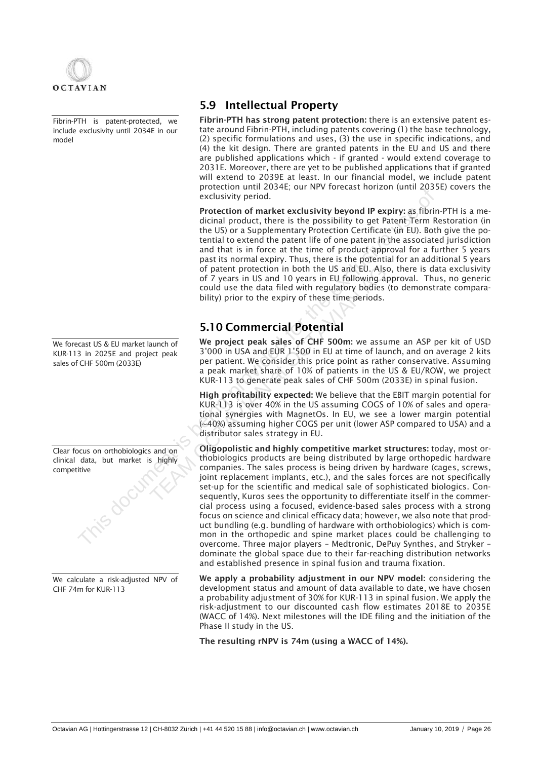

Fibrin-PTH is patent-protected, we include exclusivity until 2034E in our model

We forecast US & EU market launch of KUR-113 in 2025E and project peak sales of CHF 500m (2033E)

Clear focus on orthobiologics and on clinical data, but market is highly competitive

We calculate a risk-adjusted NPV of CHF 74m for KUR-113

## 5.9 Intellectual Property

Fibrin-PTH has strong patent protection: there is an extensive patent estate around Fibrin-PTH, including patents covering (1) the base technology, (2) specific formulations and uses, (3) the use in specific indications, and (4) the kit design. There are granted patents in the EU and US and there are published applications which - if granted - would extend coverage to 2031E. Moreover, there are yet to be published applications that if granted will extend to 2039E at least. In our financial model, we include patent protection until 2034E; our NPV forecast horizon (until 2035E) covers the exclusivity period.

Protection of market exclusivity beyond IP expiry: as fibrin-PTH is a medicinal product, there is the possibility to get Patent Term Restoration (in the US) or a Supplementary Protection Certificate (in EU). Both give the potential to extend the patent life of one patent in the associated jurisdiction and that is in force at the time of product approval for a further 5 years past its normal expiry. Thus, there is the potential for an additional 5 years of patent protection in both the US and EU. Also, there is data exclusivity of 7 years in US and 10 years in EU following approval. Thus, no generic could use the data filed with regulatory bodies (to demonstrate comparability) prior to the expiry of these time periods.

## 5.10 Commercial Potential

We project peak sales of CHF 500m: we assume an ASP per kit of USD 3'000 in USA and EUR 1'500 in EU at time of launch, and on average 2 kits per patient. We consider this price point as rather conservative. Assuming a peak market share of 10% of patients in the US & EU/ROW, we project KUR-113 to generate peak sales of CHF 500m (2033E) in spinal fusion.

High profitability expected: We believe that the EBIT margin potential for KUR-113 is over 40% in the US assuming COGS of 10% of sales and operational synergies with MagnetOs. In EU, we see a lower margin potential (~40%) assuming higher COGS per unit (lower ASP compared to USA) and a distributor sales strategy in EU.

Oligopolistic and highly competitive market structures: today, most orthobiologics products are being distributed by large orthopedic hardware companies. The sales process is being driven by hardware (cages, screws, joint replacement implants, etc.), and the sales forces are not specifically set-up for the scientific and medical sale of sophisticated biologics. Consequently, Kuros sees the opportunity to differentiate itself in the commercial process using a focused, evidence-based sales process with a strong focus on science and clinical efficacy data; however, we also note that product bundling (e.g. bundling of hardware with orthobiologics) which is common in the orthopedic and spine market places could be challenging to overcome. Three major players – Medtronic, DePuy Synthes, and Stryker – dominate the global space due to their far-reaching distribution networks and established presence in spinal fusion and trauma fixation. Exclusivity period.<br>
Protection of market exclusivity beyond IP expiry: as fibired provided protection of market exclusivity beyond IP expire<br>
dicinal product, there is the prospositive of exclusive term the USD.<br>
tend to of 7 years in US and EU. Also<br>of 7 years in US and EU and EU. Also<br>of 7 years in US and 10 years in EU following ap<br>could use the data filed with regulatory bodies (the bility) prior to the expiry of these time periods.<br>**5** 

> We apply a probability adjustment in our NPV model: considering the development status and amount of data available to date, we have chosen a probability adjustment of 30% for KUR-113 in spinal fusion. We apply the risk-adjustment to our discounted cash flow estimates 2018E to 2035E (WACC of 14%). Next milestones will the IDE filing and the initiation of the Phase II study in the US.

The resulting rNPV is 74m (using a WACC of 14%).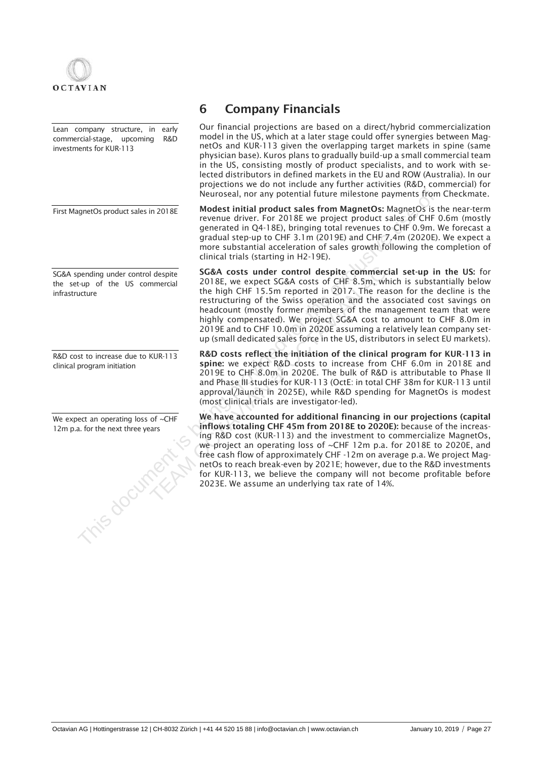

Lean company structure, in early commercial-stage, upcoming R&D investments for KUR-113

First MagnetOs product sales in 2018E

SG&A spending under control despite the set-up of the US commercial infrastructure

R&D cost to increase due to KUR-113 clinical program initiation

We expect an operating loss of ~CHF

## 6 Company Financials

Our financial projections are based on a direct/hybrid commercialization model in the US, which at a later stage could offer synergies between MagnetOs and KUR-113 given the overlapping target markets in spine (same physician base). Kuros plans to gradually build-up a small commercial team in the US, consisting mostly of product specialists, and to work with selected distributors in defined markets in the EU and ROW (Australia). In our projections we do not include any further activities (R&D, commercial) for Neuroseal, nor any potential future milestone payments from Checkmate.

Modest initial product sales from MagnetOs: MagnetOs is the near-term revenue driver. For 2018E we project product sales of CHF 0.6m (mostly generated in Q4-18E), bringing total revenues to CHF 0.9m. We forecast a gradual step-up to CHF 3.1m (2019E) and CHF 7.4m (2020E). We expect a more substantial acceleration of sales growth following the completion of clinical trials (starting in H2-19E).

SG&A costs under control despite commercial set-up in the US: for 2018E, we expect SG&A costs of CHF 8.5m, which is substantially below the high CHF 15.5m reported in 2017. The reason for the decline is the restructuring of the Swiss operation and the associated cost savings on headcount (mostly former members of the management team that were highly compensated). We project SG&A cost to amount to CHF 8.0m in 2019E and to CHF 10.0m in 2020E assuming a relatively lean company setup (small dedicated sales force in the US, distributors in select EU markets).

R&D costs reflect the initiation of the clinical program for KUR-113 in spine: we expect R&D costs to increase from CHF 6.0m in 2018E and 2019E to CHF 8.0m in 2020E. The bulk of R&D is attributable to Phase II and Phase III studies for KUR-113 (OctE: in total CHF 38m for KUR-113 until approval/launch in 2025E), while R&D spending for MagnetOs is modest (most clinical trials are investigator-led).

We have accounted for additional financing in our projections (capital inflows totaling CHF 45m from 2018E to 2020E): because of the increasing R&D cost (KUR-113) and the investment to commercialize MagnetOs, we project an operating loss of ~CHF 12m p.a. for 2018E to 2020E, and free cash flow of approximately CHF -12m on average p.a. We project MagnetOs to reach break-even by 2021E; however, due to the R&D investments for KUR-113, we believe the company will not become profitable before 2023E. We assume an underlying tax rate of 14%. Neuroscal, nor any potential future milestone payments from<br>
Here can initial product sales in COHE metrated in C4-1 SE, phrogenomy and revenue driver, For 2018E we project product sales of CHF<br>
gradual seperty pro CHF 51 **SG&A costs under control despite commercia**<br>
2018E, we expect SG&A costs of CHF 8.5m, whi<br>
the high CHF 15.5m reported in 2017. The reason test<br>
restructuring of the Swiss operation and the as<br>
headcount (mostly former m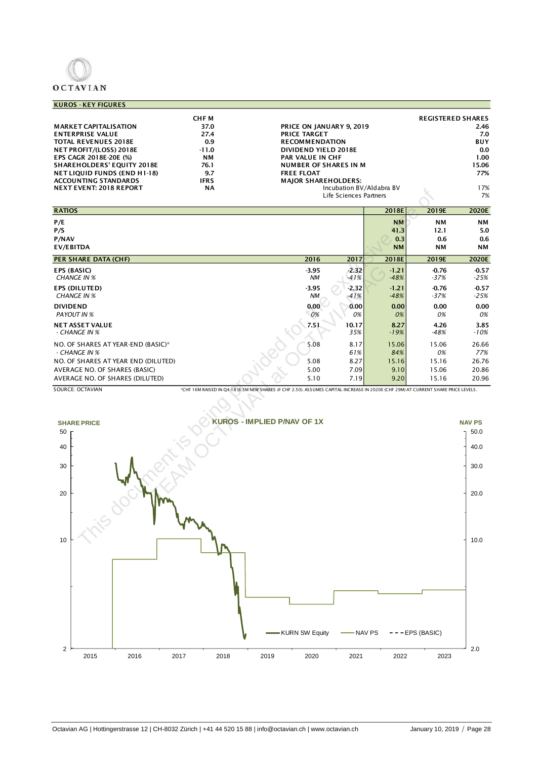# **OCTAVIAN**

### KUROS - KEY FIGURES

|                                     | <b>CHFM</b> |                              | <b>REGISTERED SHARES</b> |
|-------------------------------------|-------------|------------------------------|--------------------------|
| <b>MARKET CAPITALISATION</b>        | 37.0        | PRICE ON JANUARY 9, 2019     | 2.46                     |
| <b>ENTERPRISE VALUE</b>             | 27.4        | <b>PRICE TARGET</b>          | 7.0                      |
| <b>TOTAL REVENUES 2018E</b>         | 0.9         | <b>RECOMMENDATION</b>        | <b>BUY</b>               |
| NET PROFIT/(LOSS) 2018E             | $-11.0$     | DIVIDEND YIELD 2018E         | 0.0                      |
| <b>EPS CAGR 2018E-20E (%)</b>       | <b>NM</b>   | <b>PAR VALUE IN CHF</b>      | 1.00 <sub>1</sub>        |
| <b>SHAREHOLDERS' EQUITY 2018E</b>   | 76.1        | <b>NUMBER OF SHARES IN M</b> | 15.06                    |
| <b>NET LIQUID FUNDS (END H1-18)</b> | 9.7         | <b>FREE FLOAT</b>            | 77%                      |
| <b>ACCOUNTING STANDARDS</b>         | <b>IFRS</b> | <b>MAJOR SHAREHOLDERS:</b>   |                          |
| <b>NEXT EVENT: 2018 REPORT</b>      | <b>NA</b>   | Incubation BV/Aldabra BV     | 17%                      |
|                                     |             | Life Sciences Partners       | 7%                       |

| <b>IVEAT EVENT: 2010 REI ORT</b><br>$\sim$                       |                                                                                                                                   | $m$ cubation by/Aluabia by<br>Life Sciences Partners |                                       |                                       | 1/0<br>7%                     |
|------------------------------------------------------------------|-----------------------------------------------------------------------------------------------------------------------------------|------------------------------------------------------|---------------------------------------|---------------------------------------|-------------------------------|
| <b>RATIOS</b>                                                    |                                                                                                                                   |                                                      | 2018E                                 | 2019E                                 | 2020E                         |
| P/E<br>P/S<br>P/NAV<br>EV/EBITDA                                 |                                                                                                                                   |                                                      | <b>NM</b><br>41.3<br>0.3<br><b>NM</b> | <b>NM</b><br>12.1<br>0.6<br><b>NM</b> | <b>NM</b><br>5.0<br>0.6<br>NΜ |
| <b>PER SHARE DATA (CHF)</b>                                      | 2016                                                                                                                              | 2017                                                 | 2018E                                 | 2019E                                 | 2020E                         |
| EPS (BASIC)<br><b>CHANGE IN %</b>                                | $-3.95$<br>NM                                                                                                                     | $-2.32$<br>$-41%$                                    | $-1.21$<br>$-48%$                     | $-0.76$<br>$-37%$                     | $-0.57$<br>$-25%$             |
| EPS (DILUTED)<br><b>CHANGE IN %</b>                              | $-3.95$<br>ΝM                                                                                                                     | $-2.32$<br>$-41%$                                    | $-1.21$<br>$-48%$                     | $-0.76$<br>$-37%$                     | $-0.57$<br>$-25%$             |
| <b>DIVIDEND</b><br>PAYOUT IN %                                   | 0.00<br>0%                                                                                                                        | 0.00<br>0%                                           | 0.00<br>0%                            | 0.00<br>0%                            | 0.00<br>0%                    |
| NET ASSET VALUE<br>- CHANGE IN %                                 | 7.51                                                                                                                              | 10.17<br>35%                                         | 8.27<br>$-19%$                        | 4.26<br>$-48%$                        | 3.85<br>$-10%$                |
| NO. OF SHARES AT YEAR-END (BASIC)*<br>- CHANGE IN %              | 5.08                                                                                                                              | 8.17<br>61%                                          | 15.06<br>84%                          | 15.06<br>0%                           | 26.66<br>77%                  |
| NO. OF SHARES AT YEAR END (DILUTED)                              | 5.08                                                                                                                              | 8.27                                                 | 15.16                                 | 15.16                                 | 26.76                         |
| AVERAGE NO. OF SHARES (BASIC)<br>AVERAGE NO. OF SHARES (DILUTED) | 5.00<br>5.10                                                                                                                      | 7.09<br>7.19                                         | 9.10<br>9.20                          | 15.06<br>15.16                        | 20.86<br>20.96                |
| <b>SOURCE: OCTAVIAN</b>                                          | *CHF 16M RAISED IN Q4-18 (6.5M NEW SHARES @ CHF 2.50). ASSUMES CAPITAL INCREASE IN 2020E (CHF 29M) AT CURRENT SHARE PRICE LEVELS. |                                                      |                                       |                                       |                               |
| <b>SHARE PRICE</b>                                               | <b>KUROS - IMPLIED P/NAV OF 1X</b>                                                                                                |                                                      |                                       |                                       | <b>NAV PS</b>                 |
| 50                                                               |                                                                                                                                   |                                                      |                                       |                                       | 50.0                          |
| 40                                                               |                                                                                                                                   |                                                      |                                       |                                       | 40.0                          |
| 30                                                               |                                                                                                                                   |                                                      |                                       |                                       | 30.0                          |
| 20                                                               |                                                                                                                                   |                                                      |                                       |                                       | 20.0                          |
| 10                                                               |                                                                                                                                   |                                                      |                                       |                                       | 10.0                          |

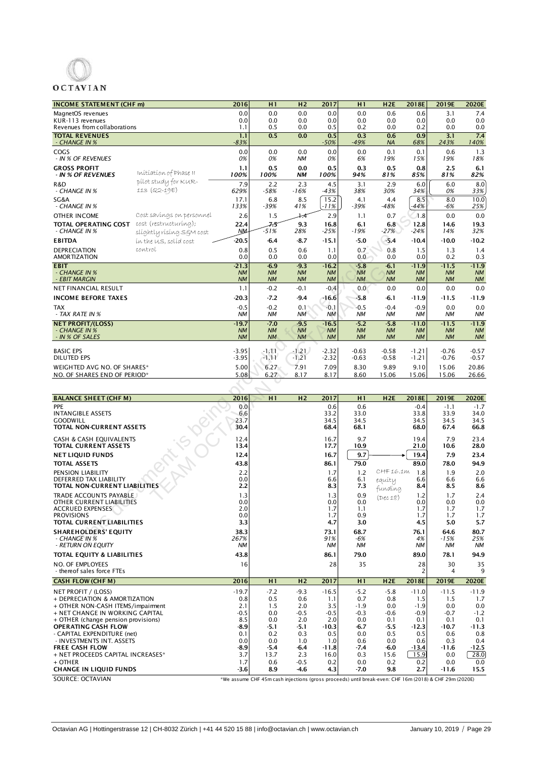

## **OCTAVIAN**

| <b>INCOME STATEMENT (CHF m)</b>                     |                                                   | 2016                   | H1                     | H <sub>2</sub>         | 2017                   | H1                     | H <sub>2E</sub>        | 2018E                  | 2019E                  | 2020E            |
|-----------------------------------------------------|---------------------------------------------------|------------------------|------------------------|------------------------|------------------------|------------------------|------------------------|------------------------|------------------------|------------------|
| MagnetOS revenues                                   |                                                   | 0.0                    | 0.0                    | 0.0                    | 0.0                    | 0.0                    | 0.6                    | 0.6                    | 3.1                    | 7.4              |
| KUR-113 revenues                                    |                                                   | 0.0                    | 0.0                    | 0.0                    | 0.0                    | 0.0                    | 0.0                    | 0.0                    | 0.0                    | 0.0              |
| Revenues from collaborations                        |                                                   | 1.1                    | 0.5                    | 0.0                    | 0.5                    | 0.2                    | 0.0                    | 0.2                    | 0.0                    | 0.0              |
| <b>TOTAL REVENUES</b><br>- CHANGE IN %              |                                                   | 1.1<br>$-83%$          | 0.5                    | 0.0                    | 0.5<br>$-50%$          | 0.3<br>$-49%$          | 0.6<br><b>NA</b>       | 0.9<br>68%             | 3.1<br>243%            | 7.4<br>140%      |
| COGS<br>- IN % OF REVENUES                          |                                                   | 0.0<br>0%              | 0.0<br>0%              | 0.0<br>ΝM              | 0.0<br>0%              | 0.0<br>6%              | 0.1<br>19%             | 0.1<br>15%             | 0.6<br>19%             | 1.3<br>18%       |
| <b>GROSS PROFIT</b><br>- IN % OF REVENUES           | Initiation of Phase II                            | 1.1<br>100%            | 0.5<br>100%            | 0.0<br><b>NM</b>       | 0.5<br>100%            | 0.3<br>94%             | 0.5<br>81%             | 0.8<br>85%             | 2.5<br>81%             | 6.1<br>82%       |
| R&D<br>- CHANGE IN %                                | pilot study for KUR-<br>113 (Q2-19E)              | 7.9<br>629%            | 2.2<br>$-58%$          | 2.3<br>$-16%$          | 4.5<br>$-43%$          | 3.1<br>38%             | 2.9<br>30%             | 6.0<br>34%             | 6.0<br>0%              | 8.0<br>33%       |
| SG&A<br>- CHANGE IN %                               |                                                   | 17.1<br>133%           | 6.8<br>-39%            | 8.5<br>41%             | 15.2<br>-11%           | 4.1<br>$-39%$          | 4.4<br>$-48%$          | 8.5<br>$-44%$          | 8.0<br>-6%             | 10.0<br>25%      |
| <b>OTHER INCOME</b>                                 | Cost savings on personnel                         | 2.6                    | 1.5                    | 7:4                    | 2.9                    | 1.1                    | 0.7                    | 1.8                    | 0.0                    | 0.0              |
| TOTAL OPERATING COST<br>- CHANGE IN %               | cost (restructuring);<br>slíghtly rísíng S§M cost | 22.4<br>ŊМ.            | 75<br>-51%             | 9.3<br>28%             | 16.8<br>-25%           | 6.1<br>-19%            | 6.8<br>$-27%$          | 12.8<br>$-24%$         | 14.6<br>14%            | 19.3<br>32%      |
| <b>EBITDA</b>                                       | in the U.S. solid cost                            | $-20.5$                | -6.4                   | $-8.7$                 | $-15.1$                | -5.0                   | $-5.4$                 | $-10.4$                | $-10.0$                | $-10.2$          |
| <b>DEPRECIATION</b><br><b>AMORTIZATION</b>          | control                                           | 0.8<br>0.0             | 0.5<br>0.0             | 0.6<br>0.0             | 1.1<br>0.0             | 0.7<br>0.0             | 0.8<br>0.0             | 1.5<br>0.0             | 1.3<br>0.2             | 1.4<br>0.3       |
| <b>EBIT</b>                                         |                                                   | $-21.3$                | $-6.9$                 | $-9.3$                 | $-16.2$                | $-5.8$                 | $-6.1$                 | $-11.9$                | $-11.5$                | $-11.9$          |
| - CHANGE IN %                                       |                                                   | <b>NM</b>              | NM                     | <b>NM</b>              | <b>NM</b>              | NM                     | <b>NM</b>              | <b>NM</b>              | <b>NM</b>              | <b>NM</b>        |
| - EBIT MARGIN                                       |                                                   | <b>NM</b>              | <b>NM</b>              | <b>NM</b>              | <b>NM</b>              | NM                     | <b>NM</b>              | <b>NM</b>              | <b>NM</b>              | <b>NM</b>        |
| NET FINANCIAL RESULT                                |                                                   | 1.1                    | $-0.2$                 | $-0.1$                 | $-0.4$                 | 0.0                    | 0.0                    | 0.0                    | 0.0                    | 0.0              |
| <b>INCOME BEFORE TAXES</b>                          |                                                   | $-20.3$                | $-7.2$                 | $-9.4$                 | -16.6                  | $-5.8$                 | -6.1                   | -11.9                  | $-11.5$                | $-11.9$          |
| <b>TAX</b><br>- TAX RATE IN %                       |                                                   | $-0.5$<br><b>NM</b>    | $-0.2$<br><b>NM</b>    | 0.1<br><b>NM</b>       | $-0.1$<br><b>NM</b>    | $-0.5$<br><b>NM</b>    | $-0.4$<br><b>NM</b>    | $-0.9$<br><b>NM</b>    | 0.0<br><b>NM</b>       | 0.0<br><b>NM</b> |
| <b>NET PROFIT/(LOSS)</b>                            |                                                   | $-19.7$                | $-7.0$                 | $-9.5$                 | $-16.5$                | $-5.2$                 | $-5.8$                 | $-11.0$                | $-11.5$                | $-11.9$          |
| - CHANGE IN %<br>- IN % OF SALES                    |                                                   | <b>NM</b><br><b>NM</b> | <b>NM</b><br><b>NM</b> | <b>NM</b><br><b>NM</b> | <b>NM</b><br><b>NM</b> | <b>NM</b><br><b>NM</b> | <b>NM</b><br><b>NM</b> | <b>NM</b><br><b>NM</b> | <b>NM</b><br><b>NM</b> | <b>NM</b><br>NM  |
|                                                     |                                                   |                        |                        |                        |                        |                        |                        |                        |                        |                  |
| <b>BASIC EPS</b>                                    |                                                   | $-3.95$                | -1.11                  | $-1.21$                | $-2.32$                | $-0.63$                | $-0.58$                | $-1.21$                | -0.76                  | $-0.57$          |
| DILUTED EPS                                         |                                                   | $-3.95$                | -1.11                  | $-1.21$                | $-2.32$                | $-0.63$                | $-0.58$                | $-1.21$                | $-0.76$                | $-0.57$          |
| WEIGHTED AVG NO. OF SHARES*                         |                                                   | 5.00                   | 6.27                   | 7.91                   | 7.09                   | 8.30                   | 9.89                   | 9.10                   | 15.06                  | 20.86            |
| NO. OF SHARES END OF PERIOD*                        |                                                   | 5.08                   | 6.27                   | 8.17                   | 8.17                   | 8.60                   | 15.06                  | 15.06                  | 15.06                  | 26.66            |
|                                                     |                                                   |                        |                        |                        |                        |                        |                        |                        |                        |                  |
| <b>BALANCE SHEET (CHF M)</b>                        |                                                   | 2016                   | H <sub>1</sub>         | H <sub>2</sub>         | 2017                   | H1                     | H2E                    | 2018E                  | 2019E                  | 2020E            |
| <b>PPE</b>                                          |                                                   | 0.0                    |                        |                        | 0.6                    | 0.6                    |                        | $-0.4$                 | $-1.1$                 | $-1.7$           |
| <b>INTANGIBLE ASSETS</b>                            |                                                   | 6.6                    |                        |                        | 33.2                   | 33.0                   |                        | 33.8                   | 33.9                   | 34.0             |
| <b>GOODWILL</b>                                     |                                                   | 23.7                   |                        |                        | 34.5                   | 34.5                   |                        | 34.5                   | 34.5                   | 34.5             |
| TOTAL NON-CURRENT ASSETS<br>CASH & CASH EQUIVALENTS |                                                   | 30.4<br>12.4           |                        |                        | 68.4<br>16.7           | 68.1<br>9.7            |                        | 68.0<br>19.4           | 67.4<br>7.9            | 66.8<br>23.4     |
| <b>TOTAL CURRENT ASSETS</b>                         |                                                   | 13.4                   |                        |                        | 17.7                   | 10.9                   |                        | 21.0                   | 10.6                   | 28.0             |
| <b>NET LIQUID FUNDS</b>                             |                                                   | 12.4                   |                        |                        | 16.7                   | 9.7                    |                        | 19.4                   | 7.9                    | 23.4             |
| <b>TOTAL ASSETS</b>                                 |                                                   | 43.8                   |                        |                        | 86.1                   | 79.0                   |                        | 89.0                   | 78.0                   | 94.9             |
| PENSION LIABILITY                                   |                                                   | 2.2                    |                        |                        | 1.7                    | 1.2                    | CHF 16.1m              | 1.8                    | 1.9                    | 2.0              |
| DEFERRED TAX LIABILITY                              |                                                   | 0.0                    |                        |                        | 6.6                    | 6.1                    | equíty                 | 6.6                    | 6.6                    | 6.6              |
| TOTAL NON-CURRENT LIABILITIES                       |                                                   | 2.2                    |                        |                        | 8.3                    | 7.3                    | fundíng                | 8.4                    | 8.5                    | 8.6              |
| TRADE ACCOUNTS PAYABLE<br>OTHER CURRENT LIABILITIES |                                                   | 1.3<br>0.0             |                        |                        | 1.3<br>0.0             | 0.9<br>0.0             | (Dec 18)               | 1.2<br>0.0             | 1.7<br>0.0             | 2.4<br>0.0       |
| <b>ACCRUED EXPENSES</b>                             |                                                   | 2.0                    |                        |                        | 1.7                    | 1.1                    |                        | 1.7                    | 1.7                    | 1.7              |
| <b>PROVISIONS</b>                                   |                                                   | 0.0                    |                        |                        | 1.7                    | 0.9                    |                        | 1.7                    | 1.7                    | 1.7              |
| TOTAL CURRENT LIABILITIES                           |                                                   | 3.3                    |                        |                        | 4.7                    | 3.0                    |                        | 4.5                    | 5.0                    | 5.7              |
| <b>SHAREHOLDERS' EQUITY</b>                         |                                                   | 38.3                   |                        |                        | 73.1                   | 68.7                   |                        | 76.1                   | 64.6                   | 80.7             |
| - CHANGE IN %<br>- RETURN ON EOUITY                 |                                                   | 267%<br><b>NM</b>      |                        |                        | 91%<br><b>NM</b>       | -6%<br><b>NM</b>       |                        | 4%<br><b>NM</b>        | -15%<br><b>NM</b>      | 25%<br><b>NM</b> |

| <b>BALANCE SHEET (CHFM)</b>                                                                                                                                                                                                                                                                                                 | 2016                                                                            | H1                                                                           | H <sub>2</sub>                                                                 | 2017                                                                               | H1                                                                                | H2E                                                                             | 2018E                                                                                 | 2019E                                                                             | 2020E                                                                              |
|-----------------------------------------------------------------------------------------------------------------------------------------------------------------------------------------------------------------------------------------------------------------------------------------------------------------------------|---------------------------------------------------------------------------------|------------------------------------------------------------------------------|--------------------------------------------------------------------------------|------------------------------------------------------------------------------------|-----------------------------------------------------------------------------------|---------------------------------------------------------------------------------|---------------------------------------------------------------------------------------|-----------------------------------------------------------------------------------|------------------------------------------------------------------------------------|
| PPE<br><b>INTANGIBLE ASSETS</b><br><b>GOODWILL</b><br><b>TOTAL NON-CURRENT ASSETS</b>                                                                                                                                                                                                                                       | 0.0<br>6.6<br>23.7<br>30.4                                                      |                                                                              |                                                                                | 0.6<br>33.2<br>34.5<br>68.4                                                        | 0.6<br>33.0<br>34.5<br>68.1                                                       |                                                                                 | $-0.4$<br>33.8<br>34.5<br>68.0                                                        | $-1.1$<br>33.9<br>34.5<br>67.4                                                    | $-1.7$<br>34.0<br>34.5<br>66.8                                                     |
| CASH & CASH EQUIVALENTS<br><b>TOTAL CURRENT ASSETS</b>                                                                                                                                                                                                                                                                      | 12.4<br>13.4                                                                    |                                                                              |                                                                                | 16.7<br>17.7                                                                       | 9.7<br>10.9                                                                       |                                                                                 | 19.4<br>21.0                                                                          | 7.9<br>10.6                                                                       | 23.4<br>28.0                                                                       |
| <b>NET LIQUID FUNDS</b>                                                                                                                                                                                                                                                                                                     | 12.4                                                                            |                                                                              |                                                                                | 16.7                                                                               | 9.7                                                                               |                                                                                 | 19.4                                                                                  | 7.9                                                                               | 23.4                                                                               |
| <b>TOTAL ASSETS</b>                                                                                                                                                                                                                                                                                                         | 43.8                                                                            |                                                                              |                                                                                | 86.1                                                                               | 79.0                                                                              |                                                                                 | 89.0                                                                                  | 78.0                                                                              | 94.9                                                                               |
| PENSION LIABILITY<br>DEFERRED TAX LIABILITY<br>TOTAL NON-CURRENT LIABILITIES                                                                                                                                                                                                                                                | 2.2<br>0.0<br>2.2                                                               |                                                                              |                                                                                | 1.7<br>6.6<br>8.3                                                                  | 1.2<br>6.1<br>7.3                                                                 | CHF16.1m<br>equity<br>fundíng                                                   | 1.8<br>6.6<br>8.4                                                                     | 1.9<br>6.6<br>8.5                                                                 | 2.0<br>6.6<br>8.6                                                                  |
| <b>TRADE ACCOUNTS PAYABLE</b><br>OTHER CURRENT LIABILITIES<br><b>ACCRUED EXPENSES</b><br><b>PROVISIONS</b><br><b>TOTAL CURRENT LIABILITIES</b>                                                                                                                                                                              | 1.3<br>0.0<br>2.0<br>0.0<br>3.3                                                 |                                                                              |                                                                                | 1.3<br>0.0<br>1.7<br>1.7<br>4.7                                                    | 0.9<br>0.0<br>1.1<br>0.9<br>3.0                                                   | (Dec18)                                                                         | 1.2<br>0.0<br>1.7<br>1.7<br>4.5                                                       | 1.7<br>0.0<br>1.7<br>1.7<br>5.0                                                   | 2.4<br>0.0<br>1.7<br>1.7<br>5.7                                                    |
| <b>SHAREHOLDERS' EQUITY</b><br>- CHANGE IN %<br>- RETURN ON EQUITY                                                                                                                                                                                                                                                          | 38.3<br>267%<br><b>NM</b>                                                       |                                                                              |                                                                                | 73.1<br>91%<br><b>NM</b>                                                           | 68.7<br>$-6%$<br><b>NM</b>                                                        |                                                                                 | 76.1<br>4%<br><b>NM</b>                                                               | 64.6<br>$-15%$<br><b>NM</b>                                                       | 80.7<br>25%<br><b>NM</b>                                                           |
| TOTAL EQUITY & LIABILITIES                                                                                                                                                                                                                                                                                                  | 43.8                                                                            |                                                                              |                                                                                | 86.1                                                                               | 79.0                                                                              |                                                                                 | 89.0                                                                                  | 78.1                                                                              | 94.9                                                                               |
| <b>NO. OF EMPLOYEES</b><br>- thereof sales force FTEs                                                                                                                                                                                                                                                                       | 16                                                                              |                                                                              |                                                                                | 28                                                                                 | 35                                                                                |                                                                                 | 28<br>$\overline{\phantom{a}}$                                                        | 30<br>4                                                                           | 35<br>9                                                                            |
| <b>CASH FLOW (CHF M)</b>                                                                                                                                                                                                                                                                                                    | 2016                                                                            | H1                                                                           | H <sub>2</sub>                                                                 | 2017                                                                               | H1                                                                                | H2E                                                                             | 2018E                                                                                 | 2019E                                                                             | 2020E                                                                              |
| NET PROFIT / (LOSS)<br>+ DEPRECIATION & AMORTIZATION<br>+ OTHER NON-CASH ITEMS/impairment<br>+ NET CHANGE IN WORKING CAPITAL<br>+ OTHER (change pension provisions)<br><b>OPERATING CASH FLOW</b><br>- CAPITAL EXPENDITURE (net)<br>- INVESTMENTS INT. ASSETS<br><b>FREE CASH FLOW</b><br>+ NET PROCEEDS CAPITAL INCREASES* | $-19.7$<br>0.8<br>2.1<br>$-0.5$<br>8.5<br>$-8.9$<br>0.1<br>0.0<br>$-8.9$<br>3.7 | $-7.2$<br>0.5<br>1.5<br>0.0<br>0.0<br>$-5.1$<br>0.2<br>0.0<br>$-5.4$<br>13.7 | $-9.3$<br>0.6<br>2.0<br>$-0.5$<br>2.0<br>$-5.1$<br>0.3<br>1.0<br>$-6.4$<br>2.3 | $-16.5$<br>1.1<br>3.5<br>$-0.5$<br>2.0<br>$-10.3$<br>0.5<br>1.0<br>$-11.8$<br>16.0 | $-5.2$<br>0.7<br>$-1.9$<br>$-0.3$<br>0.0<br>$-6.7$<br>0.0<br>0.6<br>$-7.4$<br>0.3 | $-5.8$<br>0.8<br>0.0<br>$-0.6$<br>0.1<br>$-5.5$<br>0.5<br>0.0<br>$-6.0$<br>15.6 | $-11.0$<br>1.5<br>$-1.9$<br>$-0.9$<br>0.1<br>$-12.3$<br>0.5<br>0.6<br>$-13.4$<br>15.9 | $-11.5$<br>1.5<br>0.0<br>$-0.7$<br>0.1<br>$-10.7$<br>0.6<br>0.3<br>$-11.6$<br>0.0 | $-11.9$<br>1.7<br>0.0<br>$-1.2$<br>0.1<br>$-11.3$<br>0.8<br>0.4<br>$-12.5$<br>28.0 |
| + OTHER                                                                                                                                                                                                                                                                                                                     | 1.7                                                                             | 0.6                                                                          | $-0.5$                                                                         | 0.2                                                                                | 0.0                                                                               | 0.2                                                                             | 0.2                                                                                   | 0.0                                                                               | 0.0                                                                                |
| <b>CHANGE IN LIQUID FUNDS</b><br>COURCE OCTAVIAN                                                                                                                                                                                                                                                                            | $-3.6$                                                                          | 8.9                                                                          | $-4.6$                                                                         | 4.3                                                                                | $-7.0$                                                                            | 9.8                                                                             | 2.7                                                                                   | $-11.6$                                                                           | 15.5                                                                               |

SOURCE: OCTAVIAN \*We assume CHF 45m cash injections (gross proceeds) until break-even: CHF 16m (2018) & CHF 29m (2020E)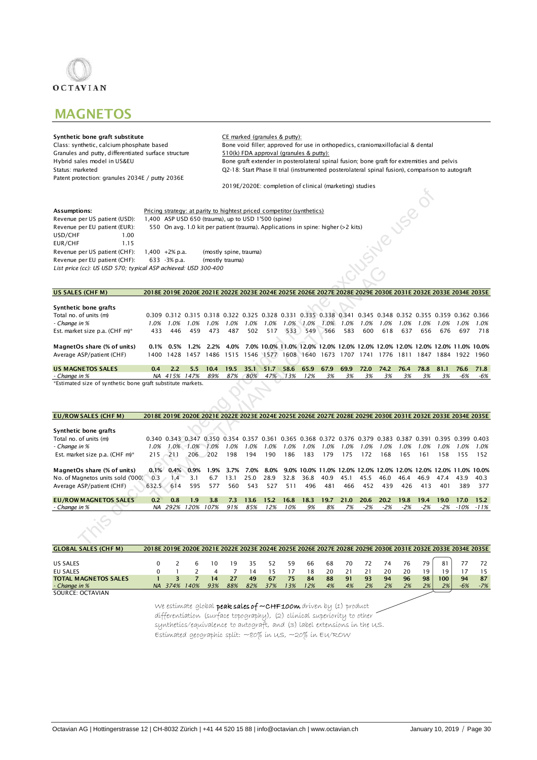

## **MAGNETOS**

Granules and putty, differentiated surface structure<br>Hybrid sales model in US&EU Patent protection: granules 2034E / putty 2036E

Synthetic bone graft substitute<br>
Class: synthetic, calcium phosphate based<br>
Bone void filler, approved for Bone void filler, approved for use in orthopedics, craniomaxillofacial & dental  $510(k)$  FDA approval (granules & putty): Hybrid sales model in US&EU Bone graft extender in posterolateral spinal fusion; bone graft for extremities and pelvis<br>Q2-18: Start Phase II trial (instrumented posterolateral spinal fusion), comparison to auto Q2-18: Start Phase II trial (instrumented posterolateral spinal fusion), comparison to autograft 2019E/2020E: completion of clinical (marketing) studies

| Assumptions:                                                   |                   | Pricing strategy: at parity to hightest priced competitor (synthetics)            |
|----------------------------------------------------------------|-------------------|-----------------------------------------------------------------------------------|
| Revenue per US patient (USD):                                  |                   | 400 ASP USD 650 (trauma), up to USD 1'500 (spine)                                 |
| Revenue per EU patient (EUR):                                  |                   | 550 On avg. 1.0 kit per patient (trauma). Applications in spine: higher (>2 kits) |
| USD/CHF<br>1.00                                                |                   |                                                                                   |
| EUR/CHF<br>115                                                 |                   |                                                                                   |
| Revenue per US patient (CHF):                                  | 1.400 $+2\%$ p.a. | (mostly spine, trauma)                                                            |
| Revenue per EU patient (CHF):                                  | 633 - 3% p.a.     | (mostly trauma)                                                                   |
| List price (cc): US USD 570; typical ASP achieved: USD 300-400 |                   |                                                                                   |

### US SALES (CHF M) 2018E 2019E 2020E 2021E 2022E 2023E 2024E 2025E 2026E 2027E 2028E 2029E 2030E 2031E 2032E 2033E 2034E 2035E

| Synthetic bone grafts                                     |      |              |      |           |      |      |           |        |      |      |      |      |      |      |      |       |      |                                                                                                             |
|-----------------------------------------------------------|------|--------------|------|-----------|------|------|-----------|--------|------|------|------|------|------|------|------|-------|------|-------------------------------------------------------------------------------------------------------------|
| Total no. of units (m)                                    |      |              |      |           |      |      |           |        |      |      |      |      |      |      |      |       |      | 0.309 0.312 0.315 0.318 0.322 0.325 0.328 0.331 0.335 0.338 0.341 0.345 0.348 0.352 0.355 0.359 0.362 0.366 |
| - Change in %                                             | 1.0% | 1.0%         | 1.0% | .0%       | 1.0% | .0%  | .0%       | $.0\%$ | 1.0% | .0%  | '.0% | 1.0% | 1.0% | 1.0% | .0%  | - 0%. | 1.0% | 1.0%                                                                                                        |
| Est. market size p.a. (CHF m)*                            | 433  | 446          | 459  | 473       | 487  | 502  | 517       | 533    | 549  | 566  | 583  | 600  | 618  | 637  | 656  | 676   | 697  | 718                                                                                                         |
|                                                           |      |              |      |           |      |      |           |        |      |      |      |      |      |      |      |       |      |                                                                                                             |
| MagnetOs share (% of units)                               |      | $0.1\%$ 0.5% |      | 1.2% 2.2% | 4.0% |      |           |        |      |      |      |      |      |      |      |       |      | 7.0% 10.0% 11.0% 12.0% 12.0% 12.0% 12.0% 12.0% 12.0% 12.0% 12.0% 11.0% 10.0%                                |
| Average ASP/patient (CHF)                                 | 1400 | 1428         | 1457 | 486       | 1515 |      | 1546 1577 | 608    | 1640 | 1673 | 1707 | 741  | 1776 | 1811 | 847  | 884 ا | 1922 | 1960                                                                                                        |
|                                                           |      |              |      |           |      |      |           |        |      |      |      |      |      |      |      |       |      |                                                                                                             |
| <b>US MAGNETOS SALES</b>                                  | 0.4  | 2.2          | 5.5  | 10.4      | 19.5 | 35.1 | 51.7      | 58.6   | 65.9 | 67.9 | 69.9 | 72.0 | 74.2 | 76.4 | 78.8 | 81.1  |      | 76.6 71.8                                                                                                   |
| - Change in %                                             | NA   | 415%         | 147% | 89%       | 87%  | 80%  | 47%       | 13%    | 12%  | 3%   | 3%   | 3%   | 3%   | 3%   | 3%   | 3%    | -6%  | -6%                                                                                                         |
| 그는 그만 그만 그만 없는 것이 없는 것이 없는 것이 없는 것이 없는 것이 없는 것이 없는 것이 없다. |      |              |      |           |      |      |           |        |      |      |      |      |      |      |      |       |      |                                                                                                             |

|                                                                |       |                                                                                                             |           |                        |      |      |      |      |           |      |      |       |                                                                              |       | JS801 |      |                    |      |
|----------------------------------------------------------------|-------|-------------------------------------------------------------------------------------------------------------|-----------|------------------------|------|------|------|------|-----------|------|------|-------|------------------------------------------------------------------------------|-------|-------|------|--------------------|------|
| Assumptions:                                                   |       | Pricing strategy: at parity to hightest priced competitor (synthetics)                                      |           |                        |      |      |      |      |           |      |      |       |                                                                              |       |       |      |                    |      |
| Revenue per US patient (USD):                                  |       | 1,400 ASP USD 650 (trauma), up to USD 1'500 (spine)                                                         |           |                        |      |      |      |      |           |      |      |       |                                                                              |       |       |      |                    |      |
| Revenue per EU patient (EUR):                                  |       | 550 On avg. 1.0 kit per patient (trauma). Applications in spine: higher (>2 kits)                           |           |                        |      |      |      |      |           |      |      |       |                                                                              |       |       |      |                    |      |
| USD/CHF<br>1.00                                                |       |                                                                                                             |           |                        |      |      |      |      |           |      |      |       |                                                                              |       |       |      |                    |      |
| EUR/CHF<br>1.15                                                |       |                                                                                                             |           |                        |      |      |      |      |           |      |      |       |                                                                              |       |       |      |                    |      |
| Revenue per US patient (CHF):                                  |       | $1,400 +2\%$ p.a.                                                                                           |           | (mostly spine, trauma) |      |      |      |      |           |      |      |       |                                                                              |       |       |      |                    |      |
| Revenue per EU patient (CHF):                                  |       | 633 - 3% p.a.                                                                                               |           | (mostly trauma)        |      |      |      |      |           |      |      |       |                                                                              |       |       |      |                    |      |
| List price (cc): US USD 570; typical ASP achieved: USD 300-400 |       |                                                                                                             |           |                        |      |      |      |      |           |      |      |       |                                                                              |       |       |      |                    |      |
|                                                                |       |                                                                                                             |           |                        |      |      |      |      |           |      |      |       | <b>USSNB</b>                                                                 |       |       |      |                    |      |
|                                                                |       |                                                                                                             |           |                        |      |      |      |      |           |      |      |       |                                                                              |       |       |      |                    |      |
| US SALES (CHF M)                                               |       | 2018E 2019E 2020E 2021E 2022E 2023E 2024E 2025E 2026E 2027E 2028E 2029E 2030E 2031E 2032E 2033E 2034E 2035E |           |                        |      |      |      |      |           |      |      |       |                                                                              |       |       |      |                    |      |
|                                                                |       |                                                                                                             |           |                        |      |      |      |      |           |      |      |       |                                                                              |       |       |      |                    |      |
| Synthetic bone grafts                                          |       |                                                                                                             |           |                        |      |      |      |      |           |      |      |       |                                                                              |       |       |      |                    |      |
| Total no. of units (m)                                         |       | 0.309 0.312 0.315 0.318 0.322 0.325 0.328 0.331 0.335 0.338 0.341 0.345 0.348 0.352 0.355 0.359 0.362 0.366 |           |                        |      |      |      |      |           |      |      |       |                                                                              |       |       |      |                    |      |
| - Change in %                                                  | 1.0%  | 1.0%                                                                                                        | 1.0%      | 1.0%                   | 1.0% | 1.0% | 1.0% |      | 1.0% 1.0% | 1.0% | 1.0% | 1.0%  | 1.0%                                                                         | 1.0%  | 1.0%  | 1.0% | 1.0%               | 1.0% |
| Est. market size p.a. (CHF m)*                                 | 433   | 446                                                                                                         | 459       | 473                    | 487  | 502  | 517  | 533  | 549       | 566  | 583  | 600   | 618                                                                          | 637   | 656   | 676  | 697                | 718  |
| MagnetOs share (% of units)                                    | 0.1%  | 0.5%                                                                                                        | 1.2%      | 2.2%                   | 4.0% |      |      |      |           |      |      |       | 7.0% 10.0% 11.0% 12.0% 12.0% 12.0% 12.0% 12.0% 12.0% 12.0% 12.0% 11.0% 10.0% |       |       |      |                    |      |
| Average ASP/patient (CHF)                                      |       | 1400 1428 1457 1486 1515 1546 1577 1608 1640 1673 1707 1741 1776 1811 1847 1884 1922 1960                   |           |                        |      |      |      |      |           |      |      |       |                                                                              |       |       |      |                    |      |
|                                                                |       |                                                                                                             |           |                        |      |      |      |      |           |      |      |       |                                                                              |       |       |      |                    |      |
| <b>US MAGNETOS SALES</b>                                       | 0.4   | 2.2                                                                                                         | 5.5       | 10.4                   | 19.5 | 35.1 | 51.7 | 58.6 | 65.9      | 67.9 | 69.9 | 72.0  | 74.2                                                                         | 76.4  | 78.8  | 81.1 | 76.6               | 71.8 |
| - Change in %                                                  |       | NA 415%                                                                                                     | 147%      | 89%                    | 87%  | 80%  | 47%  | 13%  | 12%       | 3%   | 3%   | 3%    | 3%                                                                           | 3%    | 3%    | 3%   | $-6%$              | -6%  |
| *Estimated size of synthetic bone graft substitute markets.    |       |                                                                                                             |           |                        |      |      |      |      |           |      |      |       |                                                                              |       |       |      |                    |      |
|                                                                |       |                                                                                                             |           |                        |      |      |      |      |           |      |      |       |                                                                              |       |       |      |                    |      |
|                                                                |       |                                                                                                             |           |                        |      |      |      |      |           |      |      |       |                                                                              |       |       |      |                    |      |
| <b>EU/ROW SALES (CHF M)</b>                                    |       | 2018E 2019E 2020E 2021E 2022E 2023E 2024E 2025E 2026E 2027E 2028E 2029E 2030E 2031E 2032E 2033E 2034E 2035E |           |                        |      |      |      |      |           |      |      |       |                                                                              |       |       |      |                    |      |
|                                                                |       |                                                                                                             |           |                        |      |      |      |      |           |      |      |       |                                                                              |       |       |      |                    |      |
| Synthetic bone grafts                                          |       |                                                                                                             |           |                        |      |      |      |      |           |      |      |       |                                                                              |       |       |      |                    |      |
| Total no. of units (m)                                         |       | 0.340 0.343 0.347 0.350 0.354 0.357 0.361 0.365 0.368 0.372 0.376 0.379 0.383 0.387 0.391 0.395 0.399 0.403 |           |                        |      |      |      |      |           |      |      |       |                                                                              |       |       |      |                    |      |
| - Change in %                                                  | 1.0%  |                                                                                                             | 1.0% 1.0% | 1.0%                   | 1.0% | 1.0% | 1.0% | 1.0% | 1.0%      | 1.0% | 1.0% | 1.0%  | 1.0%                                                                         | 1.0%  | 1.0%  | 1.0% | 1.0%               | 1.0% |
| Est. market size p.a. (CHF m)*                                 | 215   | $-211$                                                                                                      | 206       | 202                    | 198  | 194  | 190  | 186  | 183       | 179  | 175  | 172   | 168                                                                          | 165   | 161   | 158  | 155                | 152  |
|                                                                |       |                                                                                                             |           |                        |      |      |      |      |           |      |      |       |                                                                              |       |       |      |                    |      |
| MagnetOs share (% of units)                                    | 0.1%  | 0.4%                                                                                                        | 0.9%      | 1.9%                   | 3.7% | 7.0% | 8.0% |      |           |      |      |       | 9.0% 10.0% 11.0% 12.0% 12.0% 12.0% 12.0% 12.0% 12.0% 11.0% 10.0%             |       |       |      |                    |      |
| No. of Magnetos units sold ('000)                              | 0.3   | 1.4                                                                                                         | 3.1       | 6.7                    | 13.1 | 25.0 | 28.9 | 32.8 | 36.8      | 40.9 | 45.1 | 45.5  | 46.0                                                                         | 46.4  | 46.9  | 47.4 | 43.9               | 40.3 |
| Average ASP/patient (CHF)                                      | 632.5 | 614                                                                                                         | 595       | 577                    | 560  | 543  | 527  | 511  | 496       | 481  | 466  | 452   | 439                                                                          | 426   | 413   | 401  | 389                | 377  |
| <b>EU/ROW MAGNETOS SALES</b>                                   | 0.2   | 0.8                                                                                                         | 1.9       | 3.8                    | 7.3  | 13.6 | 15.2 | 16.8 | 18.3      | 19.7 | 21.0 | 20.6  | 20.2                                                                         | 19.8  | 19.4  | 19.0 | 17.0               | 15.2 |
| - Change in %                                                  |       | NA 292% 120% 107%                                                                                           |           |                        | 91%  | 85%  | 12%  | 10%  | 9%        | 8%   | 7%   | $-2%$ | $-2%$                                                                        | $-2%$ | $-2%$ |      | $-2\% -10\% -11\%$ |      |
|                                                                |       |                                                                                                             |           |                        |      |      |      |      |           |      |      |       |                                                                              |       |       |      |                    |      |

| <b>GLOBAL SALES (CHF M)</b> |         |                                                                                                      |     |     |     |     |     |     |    |    |    |    |    |    |     | 2018E 2019E 2020E 2021E 2022E 2023E 2024E 2025E 2026E 2027E 2028E 2029E 2030E 2031E 2032E 2033E 2034E 2035E |       |
|-----------------------------|---------|------------------------------------------------------------------------------------------------------|-----|-----|-----|-----|-----|-----|----|----|----|----|----|----|-----|-------------------------------------------------------------------------------------------------------------|-------|
|                             |         |                                                                                                      |     |     |     |     |     |     |    |    |    |    |    |    |     |                                                                                                             |       |
| US SALES                    |         | 6                                                                                                    |     | 19  | 35  | 52  | 59  | 66  | 68 | 70 | 72 | 74 | 76 | 79 |     |                                                                                                             | 72    |
| <b>EU SALES</b>             |         |                                                                                                      |     |     | 14  |     |     | 18  | 20 | 21 |    | 20 | 20 | 19 | ۱9  |                                                                                                             | 15    |
| <b>TOTAL MAGNETOS SALES</b> |         |                                                                                                      | 14  | 27  | 49  | 67  | 75  | 84  | 88 | 91 | 93 | 94 | 96 | 98 | 100 | 94                                                                                                          | 87    |
| - Change in %               | NA 374% | 140%                                                                                                 | 93% | 88% | 82% | 37% | 13% | 12% | 4% | 4% | 2% | 2% | 2% | 2% | 2%  | $-6%$                                                                                                       | $-7%$ |
| SOURCE: OCTAVIAN            |         |                                                                                                      |     |     |     |     |     |     |    |    |    |    |    |    |     |                                                                                                             |       |
|                             |         |                                                                                                      |     |     |     |     |     |     |    |    |    |    |    |    |     |                                                                                                             |       |
|                             |         | $(1/e^{-\rho c})$ in the alghal <b>peak cales of <math>\sim</math> CHE100M</b> driven hy (1) product |     |     |     |     |     |     |    |    |    |    |    |    |     |                                                                                                             |       |

We estimate global **peak sales of ~CHF100m** driven by (1) product differentiation (surface topography), (2) clinical superiority to other synthetics/equivalence to autograft, and (3) label extensions in the US. Estimated geographic split: ~80% in US, ~20% in EU/ROW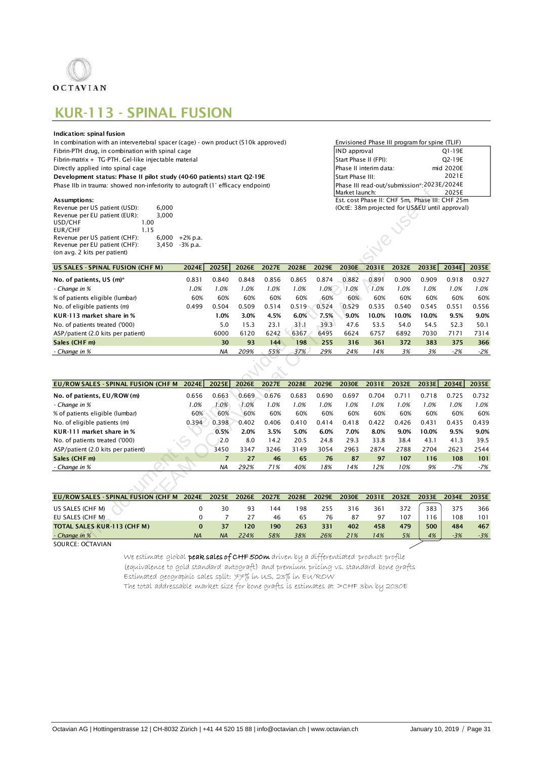

## KUR-113 - SPINAL FUSION

### Indication: spinal fusion

| Revenue per US patient (USD): | 6.000 |             | (OctE: 38m projected for US&EU until approval) |
|-------------------------------|-------|-------------|------------------------------------------------|
| Revenue per EU patient (EUR): | 3.000 |             |                                                |
| USD/CHF                       | .00   |             |                                                |
| EUR/CHF                       |       |             |                                                |
| Revenue per US patient (CHF): | 6.000 | $+2\%$ p.a. |                                                |
| Revenue per EU patient (CHF): | 3.450 | -3% p.a.    |                                                |
| (on avg. 2 kits per patient)  |       |             |                                                |

| In combination with an intervertebral spacer (cage) - own product (510k approved) | Envisioned Phase III program for spine (TLIF)       |           |  |
|-----------------------------------------------------------------------------------|-----------------------------------------------------|-----------|--|
| Fibrin-PTH drug, in combination with spinal cage                                  | IND approval                                        | O1-19E    |  |
| Fibrin-matrix + TG-PTH. Gel-like injectable material                              | Start Phase II (FPI):                               | O2-19E    |  |
| Directly applied into spinal cage                                                 | Phase II interim data:                              | mid 2020E |  |
| Development status: Phase II pilot study (40-60 patients) start Q2-19E            | Start Phase III:                                    | 2021E     |  |
| Phase IIb in trauma: showed non-inferiority to autograft (1° efficacy endpoint)   | Phase III read-out/submission*:2023E/2024E          |           |  |
|                                                                                   | Market launch:                                      | 2025E     |  |
| Assumptions:                                                                      | Est. cost Phase II: CHF 5m, Phase III: CHF 25m      |           |  |
| Payanue nor IIS nationt (IISD).<br>6.000                                          | $(QctF: 38m$ projected for $IIREII$ until approval) |           |  |

|                                                |            |                |       |       |       |       | Market launch:                                 |                          |       |       | 2025E |       |
|------------------------------------------------|------------|----------------|-------|-------|-------|-------|------------------------------------------------|--------------------------|-------|-------|-------|-------|
| Assumptions:                                   |            |                |       |       |       |       | Est. cost Phase II: CHF 5m, Phase III: CHF 25m |                          |       |       |       |       |
| 6.000<br>Revenue per US patient (USD):         |            |                |       |       |       |       | (OctE: 38m projected for US&EU until approval) |                          |       |       |       |       |
| Revenue per EU patient (EUR):<br>3,000         |            |                |       |       |       |       |                                                |                          |       |       |       |       |
| USD/CHF<br>1.00<br>EUR/CHF                     |            |                |       |       |       |       |                                                |                          |       |       |       |       |
| 1.15<br>Revenue per US patient (CHF):<br>6,000 | $+2% p.a.$ |                |       |       |       |       |                                                | $\overline{\mathcal{C}}$ |       |       |       |       |
| Revenue per EU patient (CHF):<br>3,450         | $-3%$ p.a. |                |       |       |       |       |                                                |                          |       |       |       |       |
| (on avg. 2 kits per patient)                   |            |                |       |       |       |       |                                                |                          |       |       |       |       |
|                                                |            |                |       |       |       |       |                                                |                          |       |       |       |       |
| <b>US SALES - SPINAL FUSION (CHF M)</b>        | 2024E      | 2025E          | 2026E | 2027E | 2028E | 2029E | 2030E                                          | 2031E                    | 2032E | 2033E | 2034E | 2035E |
| No. of patients, US (m)*                       | 0.831      | 0.840          | 0.848 | 0.856 | 0.865 | 0.874 | 0.882                                          | 0.891                    | 0.900 | 0.909 | 0.918 | 0.927 |
| - Change in %                                  | 1.0%       | 1.0%           | 1.0%  | 1.0%  | 1.0%  | 1.0%  | 1.0%                                           | 1.0%                     | 1.0%  | 1.0%  | 1.0%  | 1.0%  |
| % of patients eligible (lumbar)                | 60%        | 60%            | 60%   | 60%   | 60%   | 60%   | 60%                                            | 60%                      | 60%   | 60%   | 60%   | 60%   |
| No. of eligible patients (m)                   | 0.499      | 0.504          | 0.509 | 0.514 | 0.519 | 0.524 | 0.529                                          | 0.535                    | 0.540 | 0.545 | 0.551 | 0.556 |
| KUR-113 market share in %                      |            | 1.0%           | 3.0%  | 4.5%  | 6.0%  | 7.5%  | 9.0%                                           | 10.0%                    | 10.0% | 10.0% | 9.5%  | 9.0%  |
| No. of patients treated ('000)                 |            | 5.0            | 15.3  | 23.1  | 31.1  | 39.3  | 47.6                                           | 53.5                     | 54.0  | 54.5  | 52.3  | 50.1  |
| ASP/patient (2.0 kits per patient)             |            | 6000           | 6120  | 6242  | 6367  | 6495  | 6624                                           | 6757                     | 6892  | 7030  | 7171  | 7314  |
| Sales (CHF m)                                  |            | 30             | 93    | 144   | 198   | 255   | 316                                            | 361                      | 372   | 383   | 375   | 366   |
| - Change in %                                  |            | <b>NA</b>      | 209%  | 55%   | 37%   | 29%   | 24%                                            | 14%                      | 3%    | 3%    | $-2%$ | $-2%$ |
|                                                |            |                |       |       |       |       |                                                |                          |       |       |       |       |
|                                                |            |                |       |       |       |       |                                                |                          |       |       |       |       |
| <b>EU/ROWSALES - SPINAL FUSION (CHF M</b>      | 2024E      | 2025E          | 2026E | 2027E | 2028E | 2029E | 2030E                                          | 2031E                    | 2032E | 2033E | 2034E | 2035E |
| No. of patients, EU/ROW (m)                    | 0.656      | 0.663          | 0.669 | 0.676 | 0.683 | 0.690 | 0.697                                          | 0.704                    | 0.711 | 0.718 | 0.725 | 0.732 |
| - Change in %                                  | 1.0%       | 1.0%           | 1.0%  | 1.0%  | 1.0%  | 1.0%  | 1.0%                                           | 1.0%                     | 1.0%  | 1.0%  | 1.0%  | 1.0%  |
| % of patients eligible (lumbar)                | 60%        | 60%            | 60%   | 60%   | 60%   | 60%   | 60%                                            | 60%                      | 60%   | 60%   | 60%   | 60%   |
| No. of eligible patients (m)                   | 0.394      | 0.398          | 0.402 | 0.406 | 0.410 | 0.414 | 0.418                                          | 0.422                    | 0.426 | 0.431 | 0.435 | 0.439 |
| KUR-111 market share in %                      |            | 0.5%           | 2.0%  | 3.5%  | 5.0%  | 6.0%  | 7.0%                                           | 8.0%                     | 9.0%  | 10.0% | 9.5%  | 9.0%  |
| No. of patients treated ('000)                 |            | 2.0            | 8.0   | 14.2  | 20.5  | 24.8  | 29.3                                           | 33.8                     | 38.4  | 43.1  | 41.3  | 39.5  |
| ASP/patient (2.0 kits per patient)             |            | 3450           | 3347  | 3246  | 3149  | 3054  | 2963                                           | 2874                     | 2788  | 2704  | 2623  | 2544  |
| Sales (CHF m)                                  |            | $\overline{7}$ | 27    | 46    | 65    | 76    | 87                                             | 97                       | 107   | 116   | 108   | 101   |
| - Change in %                                  |            | <b>NA</b>      | 292%  | 71%   | 40%   | 18%   | 14%                                            | 12%                      | 10%   | 9%    | $-7%$ | $-7%$ |
|                                                |            |                |       |       |       |       |                                                |                          |       |       |       |       |
|                                                |            |                |       |       |       |       |                                                |                          |       |       |       |       |
| EU/ROW SALES - SPINAL FUSION (CHF M            | 2024E      | 2025E          | 2026E | 2027E | 2028E | 2029E | 2030E                                          | 2031E                    | 2032E | 2033E | 2034E | 2035E |
|                                                |            |                |       |       |       |       |                                                |                          |       |       |       |       |
| US SALES (CHF M)                               | 0          | 30             | 93    | 144   | 198   | 255   | 316                                            | 361                      | 372   | 383   | 375   | 366   |
| EU SALES (CHE M)                               | $\Omega$   | $\overline{7}$ | 27    | 46    | 65    | 76    | 87                                             | 97                       | 107   | 116   | 108   | 101   |
| TOTAL SALES KUR-113 (CHF M)                    | $\bf{0}$   | 37             | 120   | 190   | 263   | 331   | 402                                            | 458                      | 479   | 500   | 484   | 467   |
| - Change in %                                  | <b>NA</b>  | <b>NA</b>      | 224%  | 58%   | 38%   | 26%   | 21%                                            | 14%                      | 5%    | 4%    | $-3%$ | $-3%$ |
| SOURCE: OCTAVIAN                               |            |                |       |       |       |       |                                                |                          |       |       |       |       |

| US SALES - SPINAL FUSION (CHF M)    | 2024E | 2025E          | 2026E | 2027E | 2028E | 2029E | <b>2030E</b> | 2031E | 2032E | 2033E | 2034E | 2035E |
|-------------------------------------|-------|----------------|-------|-------|-------|-------|--------------|-------|-------|-------|-------|-------|
| No. of patients, US (m)*            | 0.831 | 0.840          | 0.848 | 0.856 | 0.865 | 0.874 | 0.882        | 0.891 | 0.900 | 0.909 | 0.918 | 0.927 |
| - Change in %                       | 1.0%  | 1.0%           | 1.0%  | 1.0%  | 1.0%  | 1.0%  | 1.0%         | 1.0%  | 1.0%  | 1.0%  | 1.0%  | 1.0%  |
| % of patients eligible (lumbar)     | 60%   | 60%            | 60%   | 60%   | 60%   | 60%   | 60%          | 60%   | 60%   | 60%   | 60%   | 60%   |
| No. of eligible patients (m)        | 0.499 | 0.504          | 0.509 | 0.514 | 0.519 | 0.524 | 0.529        | 0.535 | 0.540 | 0.545 | 0.551 | 0.556 |
| KUR-113 market share in %           |       | 1.0%           | 3.0%  | 4.5%  | 6.0%  | 7.5%  | 9.0%         | 10.0% | 10.0% | 10.0% | 9.5%  | 9.0%  |
| No. of patients treated ('000)      |       | 5.0            | 15.3  | 23.1  | 31.1  | 39.3  | 47.6         | 53.5  | 54.0  | 54.5  | 52.3  | 50.1  |
| ASP/patient (2.0 kits per patient)  |       | 6000           | 6120  | 6242  | 6367  | 6495  | 6624         | 6757  | 6892  | 7030  | 7171  | 7314  |
| Sales (CHF m)                       |       | 30             | 93    | 144   | 198   | 255   | 316          | 361   | 372   | 383   | 375   | 366   |
| - Change in %                       |       | <b>NA</b>      | 209%  | 55%   | 37%   | 29%   | 24%          | 14%   | 3%    | 3%    | $-2%$ | $-2%$ |
|                                     |       |                |       |       |       |       |              |       |       |       |       |       |
|                                     |       |                |       |       |       |       |              |       |       |       |       |       |
| EU/ROWSALES - SPINAL FUSION (CHF M  | 2024E | 2025E          | 2026E | 2027E | 2028E | 2029E | 2030E        | 2031E | 2032E | 2033E | 2034E | 2035E |
| No. of patients, EU/ROW (m)         | 0.656 | 0.663          | 0.669 | 0.676 | 0.683 | 0.690 | 0.697        | 0.704 | 0.711 | 0.718 | 0.725 | 0.732 |
| - Change in %                       | 1.0%  | 1.0%           | 1.0%  | 1.0%  | 1.0%  | 1.0%  | 1.0%         | 1.0%  | 1.0%  | 1.0%  | 1.0%  | 1.0%  |
| % of patients eligible (lumbar)     | 60%   | 60%            | 60%   | 60%   | 60%   | 60%   | 60%          | 60%   | 60%   | 60%   | 60%   | 60%   |
| No. of eligible patients (m)        | 0.394 | 0.398          | 0.402 | 0.406 | 0.410 | 0.414 | 0.418        | 0.422 | 0.426 | 0.431 | 0.435 | 0.439 |
| KUR-111 market share in %           |       | 0.5%           | 2.0%  | 3.5%  | 5.0%  | 6.0%  | 7.0%         | 8.0%  | 9.0%  | 10.0% | 9.5%  | 9.0%  |
| No. of patients treated ('000)      |       | 2.0            | 8.0   | 14.2  | 20.5  | 24.8  | 29.3         | 33.8  | 38.4  | 43.1  | 41.3  | 39.5  |
| ASP/patient (2.0 kits per patient)  |       | 3450           | 3347  | 3246  | 3149  | 3054  | 2963         | 2874  | 2788  | 2704  | 2623  | 2544  |
| Sales (CHF m)                       |       | $\overline{7}$ | 27    | 46    | 65    | 76    | 87           | 97    | 107   | 116   | 108   | 101   |
| - Change in %                       |       | <b>NA</b>      | 292%  | 71%   | 40%   | 18%   | 14%          | 12%   | 10%   | 9%    | $-7%$ | -7%   |
|                                     |       |                |       |       |       |       |              |       |       |       |       |       |
| EU/ROW SALES - SPINAL FUSION (CHF M | 2024E | 2025E          | 2026E | 2027E | 2028E | 2029E | 2030E        | 2031E | 2032E | 2033E | 2034E | 2035E |
|                                     |       |                |       |       |       |       |              |       |       |       |       |       |

| EU/ROWSALES - SPINAL FUSION (CHF M | 2024E     | 2025E     | 2026E | 2027E | 2028E | 2029E | 2030E | 2031E | 2032E | 2033E | 2034E | 2035E |
|------------------------------------|-----------|-----------|-------|-------|-------|-------|-------|-------|-------|-------|-------|-------|
| US SALES (CHF M)                   |           | 30        | 93    | 44    | 198   | 255   | 316   | 361   | 372   | 383   | 375   | 366   |
| EU SALES (CHE M)                   |           |           |       | 46    | 65    | 76    | 87    | 97    | 107   | 116   | 108   | 101   |
| <b>TOTAL SALES KUR-113 (CHF M)</b> |           |           | 120   | 190   | 263   | 331   | 402   | 458   | 479   | 500   | 484   | 467   |
| - Change in %                      | <b>NA</b> | <b>NA</b> | 224%  | 58%   | 38%   | 26%   | 21%   | 14%   | 5%    | 4%    | $-3%$ | $-3%$ |

We estimate global **peak sales of CHF 500m** driven by a differentiated product profile (equivalence to gold standard autograft) and premium pricing vs. standard bone grafts Estimated geographic sales split: 77% in us, 23% in Eu/ROW The total addressable market size for bone grafts is estimates at >CHF 3bn by 2030E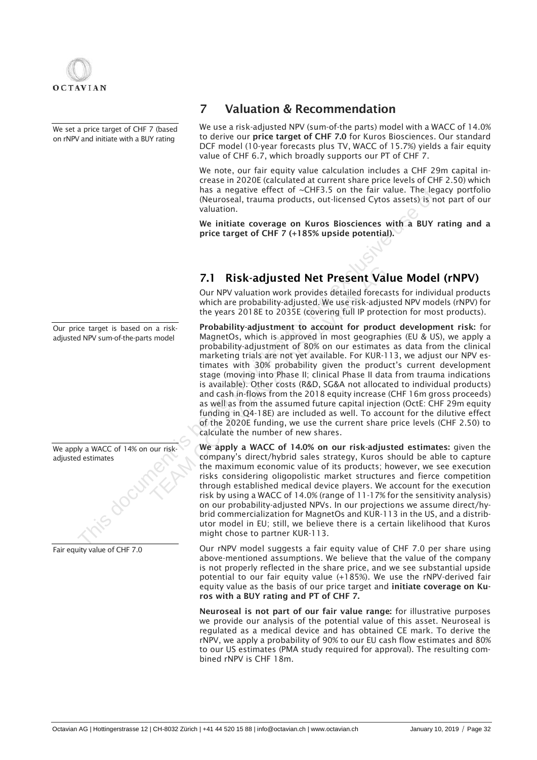

We set a price target of CHF 7 (based on rNPV and initiate with a BUY rating

Our price target is based on a riskadjusted NPV sum-of-the-parts model

| We apply a WACC of 14% on our risk-<br>adjusted estimates |
|-----------------------------------------------------------|
|                                                           |
|                                                           |
|                                                           |
|                                                           |

## 7 Valuation & Recommendation

We use a risk-adjusted NPV (sum-of-the parts) model with a WACC of 14.0% to derive our price target of CHF 7.0 for Kuros Biosciences. Our standard DCF model (10-year forecasts plus TV, WACC of 15.7%) yields a fair equity value of CHF 6.7, which broadly supports our PT of CHF 7.

We note, our fair equity value calculation includes a CHF 29m capital increase in 2020E (calculated at current share price levels of CHF 2.50) which has a negative effect of ~CHF3.5 on the fair value. The legacy portfolio (Neuroseal, trauma products, out-licensed Cytos assets) is not part of our valuation.

We initiate coverage on Kuros Biosciences with a BUY rating and a price target of CHF 7 (+185% upside potential).

## 7.1 Risk-adjusted Net Present Value Model (rNPV)

Our NPV valuation work provides detailed forecasts for individual products which are probability-adjusted. We use risk-adjusted NPV models (rNPV) for the years 2018E to 2035E (covering full IP protection for most products).

Probability-adjustment to account for product development risk: for MagnetOs, which is approved in most geographies (EU & US), we apply a probability-adjustment of 80% on our estimates as data from the clinical marketing trials are not yet available. For KUR-113, we adjust our NPV estimates with 30% probability given the product's current development stage (moving into Phase II; clinical Phase II data from trauma indications is available). Other costs (R&D, SG&A not allocated to individual products) and cash in-flows from the 2018 equity increase (CHF 16m gross proceeds) as well as from the assumed future capital injection (OctE: CHF 29m equity funding in Q4-18E) are included as well. To account for the dilutive effect of the 2020E funding, we use the current share price levels (CHF 2.50) to calculate the number of new shares. Fraire and a negative entert of CHF 2.5 on the last walue of the Nation (Neuroseal, Italian products, out-licensed Cytos assets) is near that we initiate coverage on Kuros Biosciences with a BUY<br>
We initiate coverage on Ku 7.1 **Risk-adjusted Net Present Vall**<br>Our NPV valuation work provides detailed forecase which are probability-adjusted. We use risk-<br>atility and the years 2018E to 2035E (covering full IP protection at risk-<br>probability-ad

We apply a WACC of 14.0% on our risk-adjusted estimates: given the company's direct/hybrid sales strategy, Kuros should be able to capture the maximum economic value of its products; however, we see execution risks considering oligopolistic market structures and fierce competition through established medical device players. We account for the execution risk by using a WACC of 14.0% (range of 11-17% for the sensitivity analysis) on our probability-adjusted NPVs. In our projections we assume direct/hybrid commercialization for MagnetOs and KUR-113 in the US, and a distributor model in EU; still, we believe there is a certain likelihood that Kuros might chose to partner KUR-113.

Our rNPV model suggests a fair equity value of CHF 7.0 per share using above-mentioned assumptions. We believe that the value of the company is not properly reflected in the share price, and we see substantial upside potential to our fair equity value (+185%). We use the rNPV-derived fair equity value as the basis of our price target and initiate coverage on Kuros with a BUY rating and PT of CHF 7.

Neuroseal is not part of our fair value range: for illustrative purposes we provide our analysis of the potential value of this asset. Neuroseal is regulated as a medical device and has obtained CE mark. To derive the rNPV, we apply a probability of 90% to our EU cash flow estimates and 80% to our US estimates (PMA study required for approval). The resulting combined rNPV is CHF 18m.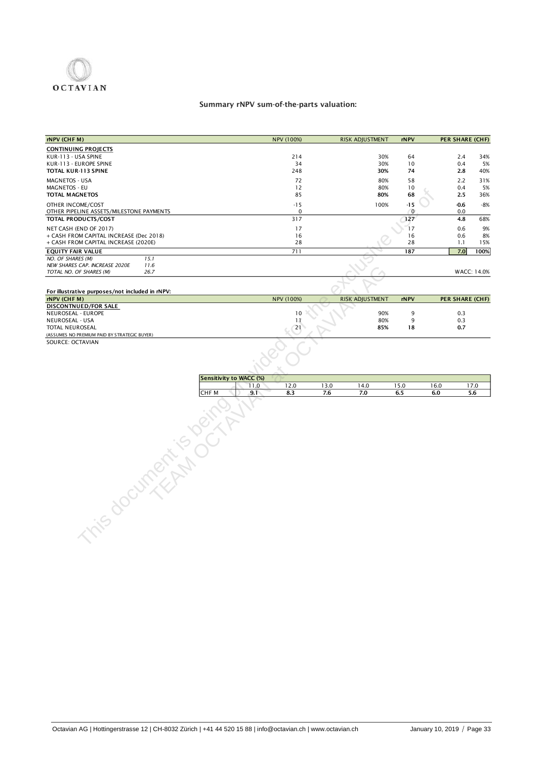

### Summary rNPV sum-of-the-parts valuation:

| rNPV (CHF M)                                                  |                         | NPV (100%)           |      | <b>RISK ADJUSTMENT</b> | rNPV                    |      | PER SHARE (CHF)        |             |
|---------------------------------------------------------------|-------------------------|----------------------|------|------------------------|-------------------------|------|------------------------|-------------|
| <b>CONTINUING PROJECTS</b>                                    |                         |                      |      |                        |                         |      |                        |             |
| KUR-113 - USA SPINE                                           |                         | 214                  |      | 30%                    | 64                      |      | 2.4                    | 34%         |
| KUR-113 - EUROPE SPINE                                        |                         | 34                   |      | 30%                    | 10                      |      | 0.4                    | 5%          |
| TOTAL KUR-113 SPINE                                           |                         | 248                  |      | 30%                    | 74                      |      | 2.8                    | 40%         |
| MAGNETOS - USA                                                |                         | 72                   |      | 80%                    | 58                      |      | 2.2                    | 31%         |
| <b>MAGNETOS - EU</b>                                          |                         | 12                   |      | 80%                    | 10                      |      | 0.4                    | 5%          |
| <b>TOTAL MAGNETOS</b>                                         |                         | 85                   |      | 80%                    | 68                      |      | 2.5                    | 36%         |
| OTHER INCOME/COST<br>OTHER PIPELINE ASSETS/MILESTONE PAYMENTS |                         | $-15$<br>$\mathbf 0$ |      | 100%                   | $-15$<br>$\overline{0}$ |      | $-0.6$<br>0.0          | $-8%$       |
| TOTAL PRODUCTS/COST                                           |                         | 317                  |      |                        | 127                     |      | 4.8                    | 68%         |
| NET CASH (END OF 2017)                                        |                         | 17                   |      |                        | 17                      |      | 0.6                    | 9%          |
| + CASH FROM CAPITAL INCREASE (Dec 2018)                       |                         | 16                   |      |                        | 16                      |      | 0.6                    | 8%          |
| + CASH FROM CAPITAL INCREASE (2020E)                          |                         | 28                   |      |                        | 28                      |      | 1.1                    | 15%         |
| <b>EQUITY FAIR VALUE</b>                                      |                         | 711                  |      |                        | 187                     |      | 7.0                    | 100%        |
| NO. OF SHARES (M)<br>15.1                                     |                         |                      |      |                        |                         |      |                        |             |
| NEW SHARES CAP. INCREASE 2020E<br>11.6                        |                         |                      |      |                        |                         |      |                        |             |
| TOTAL NO. OF SHARES (M)<br>26.7                               |                         |                      |      |                        |                         |      |                        | WACC: 14.0% |
|                                                               |                         |                      |      |                        |                         |      |                        |             |
| For illustrative purposes/not included in rNPV:               |                         |                      |      |                        |                         |      |                        |             |
| rNPV (CHFM)                                                   |                         | NPV (100%)           |      | RISK ADJUSTMENT        | rNPV                    |      | <b>PER SHARE (CHF)</b> |             |
| DISCONTNUED/FOR SALE                                          |                         |                      |      |                        |                         |      |                        |             |
| NEUROSEAL - EUROPE                                            |                         | 10                   |      | 90%                    | 9                       |      | 0.3                    |             |
| NEUROSEAL - USA                                               |                         | 11                   |      | 80%                    | 9                       |      | 0.3                    |             |
| TOTAL NEUROSEAL                                               |                         | 21                   |      | 85%                    | 18                      |      | 0.7                    |             |
| (ASSUMES NO PREMIUM PAID BY STRATEGIC BUYER)                  |                         |                      |      |                        |                         |      |                        |             |
| SOURCE: OCTAVIAN                                              |                         |                      |      |                        |                         |      |                        |             |
|                                                               | Sensitivity to WACC (%) |                      |      |                        |                         |      |                        |             |
|                                                               | 11.0                    | 12.0                 | 13.0 | 14.0                   | 15.0                    | 16.0 |                        | 17.0        |
|                                                               | CHF M<br>9.1            | 8.3                  | 7.6  | 7.0                    | 6.5                     | 6.0  |                        | 5.6         |
| nis document is oo.                                           |                         |                      |      |                        |                         |      |                        |             |
|                                                               |                         |                      |      |                        |                         |      |                        |             |

| Sensitivity to WACC (%) |           |     |     |     |     |     |   |
|-------------------------|-----------|-----|-----|-----|-----|-----|---|
|                         | 1.V       | 2.U |     | 4.0 | 5.0 | 6.0 |   |
| <b>CHFM</b>             | ີ<br>э. I | د.ه | 7.U | 7.U | 6.5 | o.u | U |
|                         |           |     |     |     |     |     |   |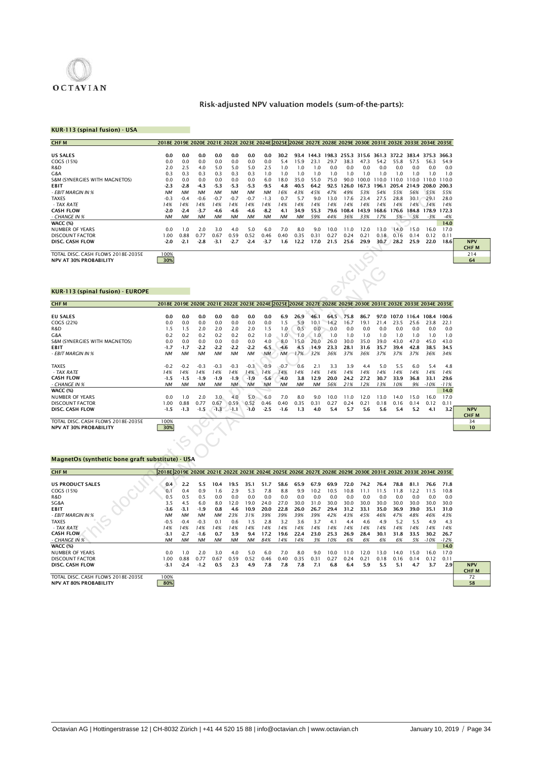

### Risk-adjusted NPV valuation models (sum-of-the-parts):

### KUR-113 (spinal fusion) - USA

| <b>CHFM</b>                        | 2018E 2019E 2020E 2021E 2022E 2023E 2024E 2025E 2026E 2027E 2028E 2029E 2030E 2031E 2032E 2033E 2034E 2035E |           |           |           |           |           |           |           |           |      |             |       |       |                   |       |       |                   |             |
|------------------------------------|-------------------------------------------------------------------------------------------------------------|-----------|-----------|-----------|-----------|-----------|-----------|-----------|-----------|------|-------------|-------|-------|-------------------|-------|-------|-------------------|-------------|
|                                    |                                                                                                             |           |           |           |           |           |           |           |           |      |             |       |       |                   |       |       |                   |             |
| <b>US SALES</b>                    | 0.0                                                                                                         | 0.0       | 0.0       | 0.0       | 0.0       | 0.0       | 0.0       | 30.2      | 93.4      | 1443 | 198.3 255.3 |       |       | 315.6 361.3 372.2 |       |       | 383.4 375.3 366.3 |             |
| COGS (15%)                         | 0.0                                                                                                         | 0.0       | 0.0       | 0.0       | 0.0       | 0.0       | 0.0       | 5.4       | 15.9      | 23.1 | 29.7        | 38.3  | 47.3  | 54.2              | 55.8  | 57.5  | 56.3              | 54.9        |
| R&D                                | 2.0                                                                                                         | 2.5       | 4.0       | 5.0       | 5.0       | 5.0       | 2.5       | 1.0       | 1.0       | 0. ا | 0.0         | 0.0   | 0.0   | 0.0               | 0.0   | 0.0   | 0.0               | 0.0         |
| G&A                                | 0.3                                                                                                         | 0.3       | 0.3       | 0.3       | 0.3       | 0.3       | 1.0       | 1.0       | 1.0       | 1.0  | 1.0         | 1.0   | 1.0   | 1.0               | 1.0   | 1.0   | 1.0               | 1.0         |
| S&M (SYNERGIES WITH MAGNETOS)      | 0.0                                                                                                         | 0.0       | 0.0       | 0.0       | 0.0       | 0.0       | 6.0       | 18.0      | 35.0      | 55.0 | 75.0        | 90.0  | 100.0 | 110.0             | 110.0 | 110.0 | 110.0             | 110.0       |
| <b>EBIT</b>                        | $-2.3$                                                                                                      | $-2.8$    | $-4.3$    | $-5.3$    | $-5.3$    | $-5.3$    | $-9.5$    | 4.8       | 40.5      | 64.2 | 92.5        | 126.0 | 167.3 | 196.1             | 205.4 | 214.9 |                   | 208.0 200.3 |
| - EBIT MARGIN IN %                 | <b>NM</b>                                                                                                   | <b>NM</b> | <b>NM</b> | <b>NM</b> | <b>NM</b> | <b>NM</b> | <b>NM</b> | 16%       | 43%       | 45%  | 47%         | 49%   | 53%   | 54%               | 55%   | 56%   | 55%               | 55%         |
| <b>TAXES</b>                       | $-0.3$                                                                                                      | $-0.4$    | $-0.6$    | $-0.7$    | $-0.7$    | $-0.7$    | $-1.3$    | 0.7       | 5.7       | 9.0  | 13.0        | 17.6  | 23.4  | 27.5              | 28.8  | 30.1  | 29.1              | 28.0        |
| - TAX RATE                         | 14%                                                                                                         | 14%       | 14%       | 14%       | 14%       | 14%       | 14%       | 14%       | 14%       | 14%  | 14%         | 14%   | 14%   | 14%               | 14%   | 14%   | 14%               | 14%         |
| <b>CASH FLOW</b>                   | $-2.0$                                                                                                      | $-2.4$    | $-3.7$    | -4.6      | $-4.6$    | $-4.6$    | $-8.2$    | 4.1       | 34.9      | 55.3 | 79.6        | 108.4 | 143.9 | 168.6             | 176.6 | 184.8 | 178.9             | 172.3       |
| - CHANGE IN %                      | <b>NM</b>                                                                                                   | <b>NM</b> | <b>NM</b> | <b>NM</b> | <b>NM</b> | <b>NM</b> | <b>NM</b> | <b>NM</b> | <b>NM</b> | 59%  | 44%         | 36%   | 33%   | 17%               | 5%    | 5%    | $-3%$             | $-4%$       |
| <b>WACC (%)</b>                    |                                                                                                             |           |           |           |           |           |           |           |           |      |             |       |       |                   |       |       |                   | 14.0        |
| <b>NUMBER OF YEARS</b>             | 0.0                                                                                                         | 1.0       | 2.0       | 3.0       | 4.0       | 5.0       | 6.0       | 7.0       | 8.0       | 9.0  | 10.0        | 11.0  | 12.0  | 13.0              | 14.0  | 15.0  | 16.0              | 17.0        |
| DISCOUNT FACTOR                    | 00.1                                                                                                        | 0.88      | 0.77      | 0.67      | 0.59      | 0.52      | 0.46      | 0.40      | 0.35      | 0.31 | 0.27        | 0.24  | 0.21  | 0.18              | 0.16  | 0.14  | 0.12              | 0.11        |
| DISC. CASH FLOW                    | $-2.0$                                                                                                      | $-2.1$    | $-2.8$    | $-3.1$    | $-2.7$    | $-2.4$    | $-3.7$    | 1.6       | 12.2      | 17.0 | 21.5        | 25.6  | 29.9  | 30.7              | 28.2  | 25.9  | 22.0              | 18.6        |
|                                    |                                                                                                             |           |           |           |           |           |           |           |           |      |             |       |       |                   |       |       |                   |             |
| TOTAL DISC. CASH FLOWS 2018E-2035E | 100%                                                                                                        |           |           |           |           |           |           |           |           |      |             |       |       |                   |       |       |                   |             |
| <b>NPV AT 30% PROBABILITY</b>      | 30%                                                                                                         |           |           |           |           |           |           |           |           |      |             |       |       |                   |       |       |                   |             |
|                                    |                                                                                                             |           |           |           |           |           |           |           |           |      |             |       |       |                   |       |       |                   |             |
|                                    |                                                                                                             |           |           |           |           |           |           |           |           |      |             |       |       |                   |       |       |                   |             |
|                                    |                                                                                                             |           |           |           |           |           |           |           |           |      |             |       |       |                   |       |       |                   |             |
|                                    |                                                                                                             |           |           |           |           |           |           |           |           |      |             |       |       |                   |       |       |                   |             |
| KUR-113 (spinal fusion) - EUROPE   |                                                                                                             |           |           |           |           |           |           |           |           |      |             |       |       |                   |       |       |                   |             |
|                                    |                                                                                                             |           |           |           |           |           |           |           |           |      |             |       |       |                   |       |       |                   |             |

| - EBIT MARGIN IN %                               | <b>NM</b>                                                                                                   | <b>NM</b>           | <b>NM</b>         | <b>NM</b>     | <b>NM</b>     | <b>NM</b>     | <b>NM</b>     | 16%           | 43%         | 45%         | 47%         | 49%         | 53%         | 54%         | 55%         | 56%         | 55%         | 55%          |             |
|--------------------------------------------------|-------------------------------------------------------------------------------------------------------------|---------------------|-------------------|---------------|---------------|---------------|---------------|---------------|-------------|-------------|-------------|-------------|-------------|-------------|-------------|-------------|-------------|--------------|-------------|
| <b>TAXES</b>                                     | $-0.3$                                                                                                      | $-0.4$              | $-0.6$            | $-0.7$        | $-0.7$        | $-0.7$        | $-1.3$        | 0.7           | 5.7         | 9.0         | 13.0        | 17.6        | 23.4        | 27.5        | 28.8        | 30.1        | 29.1        | 28.0         |             |
| - TAX RATE                                       | 14%                                                                                                         | 14%                 | 14%               | 14%           | 14%           | 14%           | 14%           | 14%           | 14%         | 14%         | 14%         | 14%         | 14%         | 14%         | 14%         | 14%         | 14%         | 14%          |             |
| <b>CASH FLOW</b>                                 | $-2.0$                                                                                                      | $-2.4$              | $-3.7$            | -4.6          | $-4.6$        | $-4.6$        | $-8.2$        | 4.1           | 34.9        | 55.3        | 79.6        | 108.4       | 143.9       | 168.6       | 176.6       | 184.8       | 178.9       | 172.3        |             |
| - CHANGE IN %                                    | <b>NM</b>                                                                                                   | NM                  | NM                | NΜ            | <b>NM</b>     | <b>NM</b>     | <b>NM</b>     | NM            | <b>NM</b>   | 59%         | 44%         | 36%         | 33%         | 17%         | 5%          | 5%          | $-3%$       | $-4%$        |             |
| <b>WACC (%)</b><br>NUMBER OF YEARS               | 0.0                                                                                                         | 1.0                 | 2.0               | 3.0           | 4.0           | 5.0           | 6.0           | 7.0           | 8.0         | 9.0         | 10.0        | 11.0        | 12.0        | 13.0        | 14.0        | 15.0        | 16.0        | 14.0<br>17.0 |             |
| <b>DISCOUNT FACTOR</b>                           | 1.00                                                                                                        | 0.88                | 0.77              | 0.67          | 0.59          | 0.52          | 0.46          | 0.40          | 0.35        | 0.31        | 0.27        | 0.24        | 0.21        | 0.18        | 0.16        | 0.14        | 0.12        | 0.11         |             |
| DISC. CASH FLOW                                  | $-2.0$                                                                                                      | $-2.1$              | $-2.8$            | $-3.1$        | $-2.7$        | $-2.4$        | -3.7          | 1.6           | 12.2        | 17.0        | 21.5        | 25.6        | 29.9        | 30.7        | 28.2        | 25.9        | 22.0        | 18.6         | <b>NPV</b>  |
|                                                  |                                                                                                             |                     |                   |               |               |               |               |               |             |             |             |             |             |             |             |             |             |              | <b>CHFM</b> |
| TOTAL DISC. CASH FLOWS 2018E-2035E               | 100%                                                                                                        |                     |                   |               |               |               |               |               |             |             |             |             |             |             |             |             |             |              | 214         |
| NPV AT 30% PROBABILITY                           | 30%                                                                                                         |                     |                   |               |               |               |               |               |             |             |             |             |             |             |             |             |             |              | 64          |
|                                                  |                                                                                                             |                     |                   |               |               |               |               |               |             |             |             |             |             |             |             |             |             |              |             |
|                                                  |                                                                                                             |                     |                   |               |               |               |               |               |             |             |             |             | <b>DADE</b> |             |             |             |             |              |             |
|                                                  |                                                                                                             |                     |                   |               |               |               |               |               |             |             |             |             |             |             |             |             |             |              |             |
|                                                  |                                                                                                             |                     |                   |               |               |               |               |               |             |             |             |             |             |             |             |             |             |              |             |
| KUR-113 (spinal fusion) - EUROPE                 |                                                                                                             |                     |                   |               |               |               |               |               |             |             |             |             |             |             |             |             |             |              |             |
| <b>CHFM</b>                                      | 2018E 2019E 2020E 2021E 2022E 2023E 2024E 2025E 2026E 2027E 2028E 2029E 2030E 2031E 2032E 2033E 2034E 2035E |                     |                   |               |               |               |               |               |             |             |             |             |             |             |             |             |             |              |             |
|                                                  |                                                                                                             |                     |                   |               |               |               |               |               |             |             |             |             |             |             |             |             |             |              |             |
| <b>EU SALES</b>                                  | 0.0                                                                                                         | 0.0                 | 0.0               | 0.0           | 0.0           | 0.0           | 0.0           | 6.9           | 26.9        | 46.1        | 64.5        | 75.8        | 86.7        | 97.0        | 107.0 116.4 |             | 108.4       | 100.6        |             |
| COGS (22%)                                       | 0.0                                                                                                         | 0.0                 | 0.0               | 0.0           | 0.0           | 0.0           | 0.0           | 1.5           | 5.9         | 10.1        | 14.2        | 16.7        | 19.1        | 21.4        | 23.5        | 25.6        | 23.8        | 22.1         |             |
| R&D                                              | 1.5                                                                                                         | 1.5                 | 2.0               | 2.0           | 2.0           | 2.0           | 1.5           | 1.0           | 0.5         | 0.0         | 0.0         | 0.0         | 0.0         | 0.0         | 0.0         | 0.0         | 0.0         | 0.0          |             |
| G&A                                              | 0.2                                                                                                         | 0.2                 | 0.2               | 0.2           | 0.2           | 0.2           | 1.0           | 1.0           | 1.0         | 1.0         | 1.0         | 1.0         | 1.0         | 1.0         | 1.0         | 1.0         | 1.0         | 1.0          |             |
| S&M (SYNERGIES WITH MAGNETOS)                    | 0.0                                                                                                         | 0.0                 | 0.0               | 0.0           | 0.0           | 0.0           | 4.0           | 8.0           | 15.0        | 20.0        | 26.0        | 30.0        | 35.0        | 39.0        | 43.0        | 47.0        | 45.0        | 43.0         |             |
| EBIT                                             | $-1.7$                                                                                                      | $-1.7$              | $-2.2$            | $-2.2$        | $-2.2$        | $-2.2$        | -6.5          | $-4.6$        | 4.5         | 14.9        | 23.3        | 28.1        | 31.6        | 35.7        | 39.4        | 42.8        | 38.5        | 34.5         |             |
| - EBIT MARGIN IN %                               | <b>NM</b>                                                                                                   | <b>NM</b>           | <b>NM</b>         | <b>NM</b>     | <b>NM</b>     | <b>NM</b>     | <b>NM</b>     | NΜ            | 17%         | 32%         | 36%         | 37%         | 36%         | 37%         | 37%         | 37%         | 36%         | 34%          |             |
|                                                  |                                                                                                             |                     |                   |               |               |               |               |               |             |             |             |             |             |             |             |             |             |              |             |
| <b>TAXES</b><br>- TAX RATE                       | $-0.2$<br>14%                                                                                               | $-0.2$<br>14%       | $-0.3$<br>14%     | $-0.3$<br>14% | $-0.3$<br>14% | $-0.3$<br>14% | $-0.9$<br>14% | $-0.7$        | 0.6         | 2.1<br>14%  | 3.3<br>14%  | 3.9<br>14%  | 4.4<br>14%  | 5.0         | 5.5<br>14%  | 6.0<br>14%  | 5.4<br>14%  | 4.8<br>14%   |             |
| <b>CASH FLOW</b>                                 | $-1.5$                                                                                                      | $-1.5$              | $-1.9$            | $-1.9$        | $-1.9$        | $-1.9$        | $-5.6$        | 14%<br>$-4.0$ | 14%<br>3.8  | 12.9        | 20.0        | 24.2        | 27.2        | 14%<br>30.7 | 33.9        | 36.8        | 33.1        | 29.6         |             |
| - CHANGE IN %                                    | <b>NM</b>                                                                                                   | NM                  | <b>NM</b>         | NΜ            | <b>NM</b>     | <b>NM</b>     | <b>NM</b>     | <b>NM</b>     | <b>NM</b>   | <b>NM</b>   | 56%         | 21%         | 12%         | 13%         | 10%         | 9%          | $-10%$      | $-11%$       |             |
| WACC (%)                                         |                                                                                                             |                     |                   |               |               |               |               |               |             |             |             |             |             |             |             |             |             | 14.0         |             |
| NUMBER OF YEARS                                  | 0.0                                                                                                         | 1.0                 | 2.0               | 3.0           | 4.0           | 5.0           | 6.0           | 7.0           | 8.0         | 9.0         | 10.0        | 11.0        | 12.0        | 13.0        | 14.0        | 15.0        | 16.0        | 17.0         |             |
| <b>DISCOUNT FACTOR</b>                           | 1.00                                                                                                        | 0.88                | 0.77              | 0.67          | 0.59          | 0.52          | 0.46          | 0.40          | 0.35        | 0.31        | 0.27        | 0.24        | 0.21        | 0.18        | 0.16        | 0.14        | 0.12        | 0.11         |             |
| DISC. CASH FLOW                                  | $-1.5$                                                                                                      | $-1.3$              | $-1.5$            | $-1.3$        | $-1.1$        | $-1.0$        | $-2.5$        | -1.6          | 1.3         | 4.0         | 5.4         | 5.7         | 5.6         | 5.6         | 5.4         | 5.2         | 4.1         | 3.2          | <b>NPV</b>  |
|                                                  |                                                                                                             |                     |                   |               |               |               |               |               |             |             |             |             |             |             |             |             |             |              | <b>CHFM</b> |
| TOTAL DISC. CASH FLOWS 2018E-2035E               | 100%                                                                                                        |                     |                   |               |               |               |               |               |             |             |             |             |             |             |             |             |             |              | 34          |
| NPV AT 30% PROBABILITY                           | 30%                                                                                                         |                     |                   |               |               |               |               |               |             |             |             |             |             |             |             |             |             |              | 10          |
|                                                  |                                                                                                             |                     |                   |               |               |               |               |               |             |             |             |             |             |             |             |             |             |              |             |
|                                                  |                                                                                                             |                     |                   |               |               |               |               |               |             |             |             |             |             |             |             |             |             |              |             |
|                                                  |                                                                                                             |                     |                   |               |               |               |               |               |             |             |             |             |             |             |             |             |             |              |             |
| MagnetOs (synthetic bone graft substitute) - USA |                                                                                                             |                     |                   |               |               |               |               |               |             |             |             |             |             |             |             |             |             |              |             |
|                                                  |                                                                                                             |                     |                   |               |               |               |               |               |             |             |             |             |             |             |             |             |             |              |             |
| <b>CHFM</b>                                      | 2018E 2019E 2020E 2021E 2022E 2023E 2024E 2025E 2026E 2027E 2028E 2029E 2030E 2031E 2032E 2033E 2034E 2035E |                     |                   |               |               |               |               |               |             |             |             |             |             |             |             |             |             |              |             |
|                                                  |                                                                                                             |                     |                   |               |               |               |               |               |             |             |             |             |             |             |             |             |             |              |             |
| <b>US PRODUCT SALES</b>                          | 0.4                                                                                                         | 2.2                 | 5.5               | 10.4          | 19.5          | 35.1          | 51.7          | 58.6          | 65.9        | 67.9        | 69.9        | 72.0        | 74.2        | 76.4        | 78.8        | 81.1        | 76.6        | 71.8         |             |
| COGS (15%)                                       | 0.1                                                                                                         | 0.4                 | 0.9               | 1.6           | 2.9           | 5.3           | 7.8           | 8.8           | 9.9         | 10.2        | 10.5        | 10.8        | 11.1        | 11.5        | 11.8        | 12.2        | 11.5        | 10.8         |             |
| R&D                                              | 0.5                                                                                                         | 0.5                 | 0.5               | 0.0           | 0.0           | 0.0           | 0.0           | 0.0           | 0.0         | 0.0         | 0.0         | 0.0         | 0.0         | 0.0         | 0.0         | 0.0         | 0.0         | 0.0          |             |
| SG&A                                             | 3.5                                                                                                         | 4.5                 | 6.0               | 8.0           | 12.0          | 19.0          | 24.0          | 27.0          | 30.0        | 31.0        | 30.0        | 30.0        | 30.0        | 30.0        | 30.0        | 30.0        | 30.0        | 30.0         |             |
| EBIT<br>- EBIT MARGIN IN %                       | $-3.6$<br><b>NM</b>                                                                                         | $-3.1$<br><b>NM</b> | -1.9<br><b>NM</b> | 0.8<br>NМ     | 4.6<br>23%    | 10.9<br>31%   | 20.0<br>39%   | 22.8<br>39%   | 26.0<br>39% | 26.7<br>39% | 29.4<br>42% | 31.2<br>43% | 33.1<br>45% | 35.0<br>46% | 36.9<br>47% | 39.0<br>48% | 35.1<br>46% | 31.0<br>43%  |             |
| <b>TAXES</b>                                     | $-0.5$                                                                                                      | $-0.4$              | $-0.3$            | 0.1           | 0.6           | 1.5           | 2.8           | 3.2           | 3.6         | 3.7         | 4.1         | 4.4         | 4.6         | 4.9         | 5.2         | 5.5         | 4.9         | 4.3          |             |
| - TAX RATE                                       | 14%                                                                                                         | 14%                 | 14%               | 14%           | 14%           | 14%           | 14%           | 14%           | 14%         | 14%         | 14%         | 14%         | 14%         | 14%         | 14%         | 14%         | 14%         | 14%          |             |
| <b>CASH FLOW</b>                                 | $-3.1$                                                                                                      | $-2.7$              | -1.6              | 0.7           | 3.9           | 9.4           | 17.2          | 19.6          | 22.4        | 23.0        | 25.3        | 26.9        | 28.4        | 30.1        | 31.8        | 33.5        | 30.2        | 26.7         |             |
| - CHANGE IN %                                    | <b>NM</b>                                                                                                   | NM                  | <b>NM</b>         | <b>NM</b>     | <b>NM</b>     | <b>NM</b>     | 84%           | 14%           | 14%         | 3%          | 10%         | 6%          | 6%          | 6%          | 6%          | 5%          | $-10%$      | $-12%$       |             |
| WACC (%)                                         |                                                                                                             |                     |                   |               |               |               |               |               |             |             |             |             |             |             |             |             |             | 140          |             |

### MagnetOs (synthetic bone graft substitute) - USA

| CHF <sub>M</sub>                   | 2018E 2019E 2020E 2021E 2022E 2023E 2024E 2025E 2026E 2027E 2028E 2029E 2030E 2031E 2032E 2033E 2034E 2035E |                  |           |           |           |           |      |      |      |      |      |      |      |      |      |      |        |        |             |
|------------------------------------|-------------------------------------------------------------------------------------------------------------|------------------|-----------|-----------|-----------|-----------|------|------|------|------|------|------|------|------|------|------|--------|--------|-------------|
|                                    |                                                                                                             |                  |           |           |           |           |      |      |      |      |      |      |      |      |      |      |        |        |             |
| <b>US PRODUCT SALES</b>            | 0.4                                                                                                         | 2.2              | 5.5       | 10.4      | 19.5      | 35.1      | 51.7 | 58.6 | 65.9 | 67.9 | 69.9 | 72.0 | 74.2 | 76.4 | 78.8 | 81.1 | 76.6   | 71.8   |             |
| COGS (15%)                         | 0.1                                                                                                         | 0.4              | 0.9       | 1.6       | 2.9       | 5.3       | 7.8  | 8.8  | 9.9  | 10.2 | 10.5 | 10.8 | 11.1 | 1.5  | 11.8 | 2.2  | 11.5   | 10.8   |             |
| R&D                                | 0.5                                                                                                         | 0.5              | 0.5       | 0.0       | 0.0       | 0.0       | 0.0  | 0.0  | 0.0  | 0.0  | 0.0  | 0.0  | 0.0  | 0.0  | 0.0  | 0.0  | 0.0    | 0.0    |             |
| SG&A                               | 3.5                                                                                                         | 4.5              | 6.0       | 8.0       | 12.0      | 19.0      | 24.0 | 27.0 | 30.0 | 31.0 | 30.0 | 30.0 | 30.0 | 30.0 | 30.0 | 30.0 | 30.0   | 30.0   |             |
| <b>EBIT</b>                        | $-3.6$                                                                                                      | -3.1             | $-1.9$    | 0.8       | 4.6       | 10.9      | 20.0 | 22.8 | 26.0 | 26.7 | 29.4 | 31.2 | 33.1 | 35.0 | 36.9 | 39.0 | 35.1   | 31.0   |             |
| - EBIT MARGIN IN %                 | <b>NM</b>                                                                                                   | <b>NM</b>        | <b>NM</b> | <b>NM</b> | 23%       | 31%       | 39%  | 39%  | 39%  | 39%  | 42%  | 43%  | 45%  | 46%  | 47%  | 48%  | 46%    | 43%    |             |
| <b>TAXES</b>                       | $-0.5$                                                                                                      | $-0.4$           | $-0.3$    | 0.1       | 0.6       | .5        | 2.8  | 3.2  | 3.6  | 3.7  | 4.1  | 4.4  | 4.6  | 4.9  | 5.2  | 5.5  | 4.9    | 4.3    |             |
| - TAX RATE                         | 14%                                                                                                         | 14%              | 14%       | 14%       | 14%       | 14%       | 14%  | 14%  | 14%  | 14%  | 14%  | 14%  | 14%  | 14%  | 14%  | 14%  | 14%    | 14%    |             |
| <b>CASH FLOW</b>                   | $-3.1$                                                                                                      | $-2.7$           | $-1.6$    | 0.7       | 3.9       | 9.4       | 17.2 | 19.6 | 22.4 | 23.0 | 25.3 | 26.9 | 28.4 | 30.1 | 31.8 | 33.5 | 30.2   | 26.7   |             |
| - CHANGE IN %                      | NМ                                                                                                          | <b>NM</b>        | <b>NM</b> | <b>NM</b> | <b>NM</b> | <b>NM</b> | 84%  | 14%  | 14%  | 3%   | 10%  | 6%   | 6%   | 6%   | 6%   | 5%   | $-10%$ | $-12%$ |             |
| <b>WACC (%)</b>                    |                                                                                                             |                  |           |           |           |           |      |      |      |      |      |      |      |      |      |      |        | 14.0   |             |
| NUMBER OF YEARS                    | 0.0                                                                                                         | $\overline{0}$ . | 2.0       | 3.0       | 4.0       | 5.0       | 6.0  | 7.0  | 8.0  | 9.0  | 10.0 | 11.0 | 12.0 | 13.0 | 14.0 | 15.0 | 16.0   | 17.0   |             |
| <b>DISCOUNT FACTOR</b>             | .00                                                                                                         | 0.88             | 0.77      | 0.67      | 0.59      | 0.52      | 0.46 | 0.40 | 0.35 | 0.31 | 0.27 | 0.24 | 0.2  | 0.18 | 0.16 | 0.14 | 0.12   | 0.11   |             |
| <b>DISC. CASH FLOW</b>             | $-3.1$                                                                                                      | $-2.4$           | $-1.2$    | 0.5       | 2.3       | 4.9       | 7.8  | 7.8  | 7.8  | 7.1  | 6.8  | 6.4  | 5.9  | 5.5  | 5.1  | 4.7  | 3.7    | 2.9    | <b>NPV</b>  |
|                                    |                                                                                                             |                  |           |           |           |           |      |      |      |      |      |      |      |      |      |      |        |        | <b>CHFM</b> |
| TOTAL DISC. CASH FLOWS 2018E-2035E | 100%                                                                                                        |                  |           |           |           |           |      |      |      |      |      |      |      |      |      |      |        |        | 72          |
| <b>NPV AT 80% PROBABILITY</b>      | 80%                                                                                                         |                  |           |           |           |           |      |      |      |      |      |      |      |      |      |      |        |        | 58          |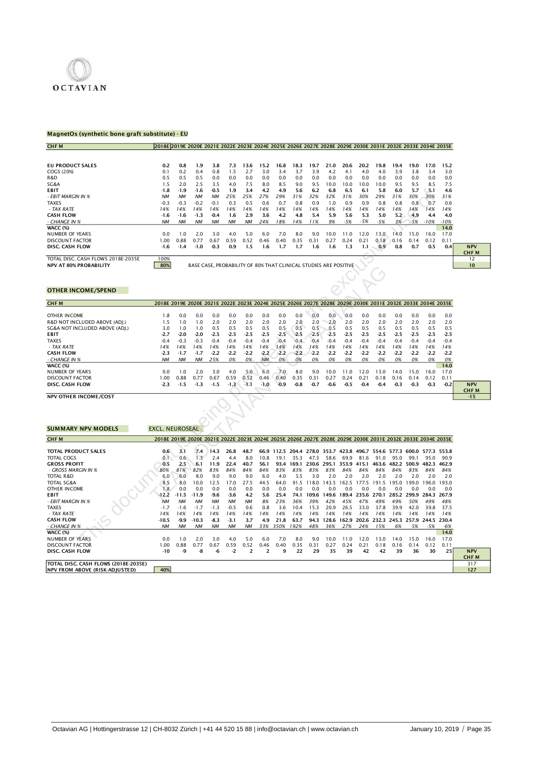

### MagnetOs (synthetic bone graft substitute) - EU

| <b>CHFM</b>                        | 2018E 2019E 2020E 2021E 2022E 2023E 2024E 2025E 2026E 2027E 2028E 2029E 2030E 2031E 2032E 2033E 2034E 2035E |           |                                                                  |           |           |           |      |      |      |      |         |       |               |       |      |       |        |        |
|------------------------------------|-------------------------------------------------------------------------------------------------------------|-----------|------------------------------------------------------------------|-----------|-----------|-----------|------|------|------|------|---------|-------|---------------|-------|------|-------|--------|--------|
|                                    |                                                                                                             |           |                                                                  |           |           |           |      |      |      |      |         |       |               |       |      |       |        |        |
| <b>EU PRODUCT SALES</b>            | 0.2                                                                                                         | 0.8       | 1.9                                                              | 3.8       | 7.3       | 13.6      | 15.2 | 16.8 | 18.3 | 19.7 | 21.0    | 20.6  | 20.2          | 19.8  | 19.4 | 19.0  | 17.0   | 15.2   |
| COGS (20%)                         | 0.1                                                                                                         | 0.2       | 0.4                                                              | 0.8       | 1.5       | 2.7       | 3.0  | 3.4  | 3.7  | 3.9  | 4.2     | 4.1   | 4.0           | 4.0   | 3.9  | 3.8   | 3.4    | 3.0    |
| R&D                                | 0.5                                                                                                         | 0.5       | 0.5                                                              | 0.0       | 0.0       | 0.0       | 0.0  | 0.0  | 0.0  | 0.0  | 0.0     | 0.0   | 0.0           | 0.0   | 0.0  | 0.0   | 0.0    | 0.0    |
| SG&A                               | 1.5                                                                                                         | 2.0       | 2.5                                                              | 3.5       | 4.0       | 7.5       | 8.0  | 8.5  | 9.0  | 9.5  | 10.0    | 10.0  | 10.0          | 10.0  | 9.5  | 9.5   | 8.5    | 7.5    |
| <b>EBIT</b>                        | $-1.8$                                                                                                      | -1.9      | $-1.6$                                                           | $-0.5$    | 1.9       | 3.4       | 4.2  | 4.9  | 5.6  | 6.2  | 6.8     | 6.5   | -6.1          | 5.8   | 6.0  | 5.7   | -5.1   | 4.6    |
| - EBIT MARGIN IN %                 | <b>NM</b>                                                                                                   | <b>NM</b> | <b>NM</b>                                                        | <b>NM</b> | 25%       | 25%       | 27%  | 29%  | 31%  | 32%  | 32%     | 31%   | 30%           | 29%   | 31%  | 30%   | 30%    | 31%    |
| <b>TAXES</b>                       | $-0.3$                                                                                                      | $-0.3$    | $-0.2$                                                           | $-0.1$    | 0.3       | 0.5       | 0.6  | 0.7  | 0.8  | 0.9  | $\cdot$ | 0.9   | 0.9           | 0.8   | 0.8  | 0.8   | 0.7    | 0.6    |
| - TAX RATE                         | 14%                                                                                                         | 14%       | 14%                                                              | 14%       | 14%       | 14%       | 14%  | 14%  | 14%  | 14%  | 14%     | 14%   | 14%           | 14%   | 14%  | 14%   | 14%    | 14%    |
| <b>CASH FLOW</b>                   | $-1.6$                                                                                                      | $-1.6$    | $-1.3$                                                           | $-0.4$    | 1.6       | 2.9       | 3.6  | 4.2  | 4.8  | 5.4  | 5.9     | 5.6   | 5.3           | 5.0   | 5.2  | 4.9   | 4.4    | 4.0    |
| - CHANGE IN %                      | <b>NM</b>                                                                                                   | NΜ        | <b>NM</b>                                                        | <b>NM</b> | <b>NM</b> | <b>NM</b> | 24%  | 18%  | 14%  | 11%  | 9%      | $-5%$ | $-5%$         | $-5%$ | 3%   | $-5%$ | $-10%$ | $-10%$ |
| <b>WACC (%)</b>                    |                                                                                                             |           |                                                                  |           |           |           |      |      |      |      |         |       |               |       |      |       |        | 14.0   |
| <b>NUMBER OF YEARS</b>             | 0.0                                                                                                         | $\Omega$  | 2.0                                                              | 3.0       | 4.0       | 5.0       | 6.0  | 7.0  | 8.0  | 9.0  | 10.0    | 11.0  | 12.0          | 13.0  | 14.0 | 15.0  | 16.0   | 17.0   |
| DISCOUNT FACTOR                    | 00. ا                                                                                                       | 0.88      | 0.77                                                             | 0.67      | 0.59      | 0.52      | 0.46 | በ 4በ | 0.35 | 0.3  | 0.27    | 0.24  | $0.2^{\circ}$ | 0.18  | 0.16 | 0.14  | 0.12   | 0.11   |
| DISC. CASH FLOW                    | $-1.6$                                                                                                      | $-1.4$    | $-1.0$                                                           | $-0.3$    | 0.9       | 1.5       | 1.6  | 1.7  | 1.7  | 1.6  | 1.6     | 1.3   | 1.1           | 0.9   | 0.8  | 0.7   | 0.5    | 0.4    |
|                                    |                                                                                                             |           |                                                                  |           |           |           |      |      |      |      |         |       |               |       |      |       |        |        |
| TOTAL DISC. CASH FLOWS 2018E-2035E | 100%                                                                                                        |           |                                                                  |           |           |           |      |      |      |      |         |       |               |       |      |       |        |        |
| <b>NPV AT 80% PROBABILITY</b>      | 80%                                                                                                         |           | BASE CASE, PROBABILITY OF 80% THAT CLINICAL STUDIES ARE POSITIVE |           |           |           |      |      |      |      |         |       |               |       |      |       |        |        |

### OTHER INCOME/SPEND

| <b>INPV AI OU% PRUDADILIII</b> | O <sub>20</sub>                                                                                             |           |           |           |           |           |        | BASE CASE, PROBABILITY OF 60% THAT CLINICAL STUDIES ARE POSITIVE |        |        |        |        |             |        |        |                                                                        |        |        | $\mathbf{U}$ |
|--------------------------------|-------------------------------------------------------------------------------------------------------------|-----------|-----------|-----------|-----------|-----------|--------|------------------------------------------------------------------|--------|--------|--------|--------|-------------|--------|--------|------------------------------------------------------------------------|--------|--------|--------------|
|                                |                                                                                                             |           |           |           |           |           |        |                                                                  |        |        |        |        |             |        |        |                                                                        |        |        |              |
| <b>OTHER INCOME/SPEND</b>      |                                                                                                             |           |           |           |           |           |        |                                                                  |        |        |        |        |             |        |        |                                                                        |        |        |              |
| <b>CHFM</b>                    | 2018E 2019E 2020E 2021E 2022E 2023E 2024E 2025E 2026E 2027E 2028E 2029E 2030E 2031E 2032E 2033E 2034E 2035E |           |           |           |           |           |        |                                                                  |        |        |        |        |             |        |        |                                                                        |        |        |              |
| OTHER INCOME                   | 1.8                                                                                                         | 0.0       | 0.0       | 0.0       | 0.0       | 0.0       | 0.0    | 0.0                                                              | 0.0    | 0.0    | 0.0    | 0.0    | 0.0         | 0.0    | 0.0    | 0.0                                                                    | 0.0    | 0.0    |              |
| R&D NOT INCLUDED ABOVE (ADJ.)  | 1.5                                                                                                         | 1.0       | 1.0       | 2.0       | 2.0       | 2.0       | 2.0    | 2.0                                                              | 2.0    | 2.0    | 2.0    | 2.0    | 2.0         | 2.0    | 2.0    | 2.0                                                                    | 2.0    | 2.0    |              |
| SG&A NOT INCLUDED ABOVE (ADI.) | 3.0                                                                                                         | 1.0       | 1.0       | 0.5       | 0.5       | 0.5       | 0.5    | 0.5                                                              | 0.5    | 0.5    | 0.5    | 0.5    | 0.5         | 0.5    | 0.5    | 0.5                                                                    | 0.5    | 0.5    |              |
| <b>EBIT</b>                    | $-2.7$                                                                                                      | $-2.0$    | $-2.0$    | $-2.5$    | $-2.5$    | $-2.5$    | $-2.5$ | $-2.5$                                                           | $-2.5$ | $-2.5$ | $-2.5$ | $-2.5$ | $-2.5$      | $-2.5$ | $-2.5$ | $-2.5$                                                                 | $-2.5$ | $-2.5$ |              |
| <b>TAXES</b>                   | $-0.4$                                                                                                      | $-0.3$    | $-0.3$    | $-0.4$    | $-0.4$    | $-0.4$    | $-0.4$ | $-0.4$                                                           | $-0.4$ | $-0.4$ | $-0.4$ | $-0.4$ | $-0.4$      | $-0.4$ | $-0.4$ | $-0.4$                                                                 | $-0.4$ | $-0.4$ |              |
| - TAX RATE                     | 14%                                                                                                         | 14%       | 14%       | 14%       | 14%       | 14%       | 14%    | 14%                                                              | 14%    | 14%    | 14%    | 14%    | 14%         | 14%    | 14%    | 14%                                                                    | 14%    | 14%    |              |
| <b>CASH FLOW</b>               | $-2.3$                                                                                                      | $-1.7$    | $-1.7$    | $-2.2$    | $-2.2$    | $-2.2$    | $-2.2$ | $-2.2$                                                           | $-2.2$ | $-2.2$ | $-2.2$ | $-2.2$ | $-2.2$      | $-2.2$ | $-2.2$ | $-2.2$                                                                 | $-2.2$ | $-2.2$ |              |
| - CHANGE IN %                  | <b>NM</b>                                                                                                   | <b>NM</b> | <b>NM</b> | 25%       | 0%        | 0%        | NM     | 0%                                                               | 0%     | 0%     | 0%     | 0%     | 0%          | 0%     | 0%     | 0%                                                                     | 0%     | 0%     |              |
| WACC (%)                       |                                                                                                             |           |           |           |           |           |        |                                                                  |        |        |        |        |             |        |        |                                                                        |        | 14.0   |              |
| <b>NUMBER OF YEARS</b>         | 0.0                                                                                                         | 1.0       | 2.0       | 3.0       | 4.0       | 5.0       | 6.0    | 7.0                                                              | 8.0    | 9.0    | 10.0   | 11.0   | 12.0        | 13.0   | 14.0   | 15.0                                                                   | 16.0   | 17.0   |              |
| <b>DISCOUNT FACTOR</b>         | 1.00                                                                                                        | 0.88      | 0.77      | 0.67      | 0.59      | 0.52      | 0.46   | 0.40                                                             | 0.35   | 0.31   | 0.27   | 0.24   | 0.21        | 0.18   | 0.16   | 0.14                                                                   | 0.12   | 0.11   |              |
| DISC. CASH FLOW                | $-2.3$                                                                                                      | $-1.5$    | $-1.3$    | $-1.5$    | $-1.3$    | $-1.1$    | $-1.0$ | $-0.9$                                                           | $-0.8$ | $-0.7$ | $-0.6$ | $-0.5$ | $-0.4$      | $-0.4$ | $-0.3$ | $-0.3$                                                                 | $-0.3$ | $-0.2$ | <b>NPV</b>   |
|                                |                                                                                                             |           |           |           |           |           |        |                                                                  |        |        |        |        |             |        |        |                                                                        |        |        | <b>CHFM</b>  |
| <b>NPV OTHER INCOME/COST</b>   |                                                                                                             |           |           |           |           |           |        |                                                                  |        |        |        |        |             |        |        |                                                                        |        |        | $-15$        |
|                                |                                                                                                             |           |           |           |           |           |        |                                                                  |        |        |        |        |             |        |        |                                                                        |        |        |              |
| <b>SUMMARY NPV MODELS</b>      | <b>EXCL. NEUROSEAL</b>                                                                                      |           |           |           |           |           |        |                                                                  |        |        |        |        |             |        |        |                                                                        |        |        |              |
| <b>CHFM</b>                    | 2018E 2019E 2020E 2021E 2022E 2023E 2024E 2025E 2026E 2027E 2028E 2029E 2030E 2031E 2032E 2033E 2034E 2035E |           |           |           |           |           |        |                                                                  |        |        |        |        |             |        |        |                                                                        |        |        |              |
| <b>TOTAL PRODUCT SALES</b>     | 0.6                                                                                                         | 3.1       | 7.4       | 14.3      | 26.8      | 48.7      |        |                                                                  |        |        |        |        |             |        |        | 66.9 112.5 204.4 278.0 353.7 423.8 496.7 554.6 577.3 600.0 577.3 553.8 |        |        |              |
| <b>TOTAL COGS</b>              | 0.1                                                                                                         | 0.6       | 1.3       | 2.4       | 4.4       | 8.0       | 10.8   | 19.1                                                             | 35.3   | 47.3   | 58.6   | 69.9   | 81.6        | 91.0   | 95.0   | 99.1                                                                   | 95.0   | 90.9   |              |
| <b>GROSS PROFIT</b>            | 0.5                                                                                                         | 2.5       | 6.1       | 11.9      | 22.4      | 40.7      | 56.1   | 93.4                                                             | 169.1  | 230.6  | 295.1  | 353.9  | 415.1       | 463.6  | 482.2  | 500.9                                                                  | 482.3  | 462.9  |              |
| - GROSS MARGIN IN %            | 80%                                                                                                         | 81%       | 82%       | 83%       | 84%       | 84%       | 84%    | 83%                                                              | 83%    | 83%    | 83%    | 84%    | 84%         | 84%    | 84%    | 83%                                                                    | 84%    | 84%    |              |
| <b>TOTAL R&amp;D</b>           | 6.0                                                                                                         | 6.0       | 8.0       | 9.0       | 9.0       | 9.0       | 6.0    | 4.0                                                              | 3.5    | 3.0    | 2.0    | 2.0    | 2.0         | 2.0    | 2.0    | 2.0                                                                    | 2.0    | 2.0    |              |
| <b>TOTAL SG&amp;A</b>          | 8.5                                                                                                         | 8.0       | 10.0      | 12.5      | 17.0      | 27.5      | 44.5   | 64.0                                                             | 91.5   | 118.0  | 143.5  |        | 162.5 177.5 | 191.5  | 195.0  | 199.0                                                                  | 196.0  | 193.0  |              |
| OTHER INCOME                   | 1.8                                                                                                         | 0.0       | 0.0       | 0.0       | 0.0       | 0.0       | 0.0    | 0.0                                                              | 0.0    | 0.0    | 0.0    | 0.0    | 0.0         | 0.0    | 0.0    | 0.0                                                                    | 0.0    | 0.0    |              |
| <b>EBIT</b>                    | $-12.2$                                                                                                     | $-11.5$   | $-11.9$   | $-9.6$    | $-3.6$    | 4.2       | 5.6    | 25.4                                                             | 74.1   | 109.6  | 149.6  |        | 189.4 235.6 | 270.1  | 285.2  | 299.9                                                                  | 284.3  | 267.9  |              |
| - EBIT MARGIN IN %             | <b>NM</b>                                                                                                   | <b>NM</b> | <b>NM</b> | <b>NM</b> | <b>NM</b> | <b>NM</b> | 8%     | 23%                                                              | 36%    | 39%    | 42%    | 45%    | 47%         | 49%    | 49%    | 50%                                                                    | 49%    | 48%    |              |

| EBIT                                                                | -1.8                                                                                                        | -1.9      | -1.6      | -0.5      | 1.9       | 3.4       | 4.2       | 4.9    | 5.6                                                                    | 6.2        | 6.8    | 6.5    | 6.1    | 5.8               | 6.0         | 5.7    | 5.1    | 4.6    |             |
|---------------------------------------------------------------------|-------------------------------------------------------------------------------------------------------------|-----------|-----------|-----------|-----------|-----------|-----------|--------|------------------------------------------------------------------------|------------|--------|--------|--------|-------------------|-------------|--------|--------|--------|-------------|
| - EBIT MARGIN IN %                                                  | <b>NM</b>                                                                                                   | <b>NM</b> | <b>NM</b> | <b>NM</b> | 25%       | 25%       | 27%       | 29%    | 31%                                                                    | 32%        | 32%    | 31%    | 30%    | 29%               | 31%         | 30%    | 30%    | 31%    |             |
| <b>TAXES</b>                                                        | $-0.3$                                                                                                      | $-0.3$    | $-0.2$    | $-0.1$    | 0.3       | 0.5       | 0.6       | 0.7    | 0.8                                                                    | 0.9        | 1.0    | 0.9    | 0.9    | 0.8               | 0.8         | 0.8    | 0.7    | 0.6    |             |
| - TAX RATE                                                          | 14%                                                                                                         | 14%       | 14%       | 14%       | 14%       | 14%       | 14%       | 14%    | 14%                                                                    | 14%        | 14%    | 14%    | 14%    | 14%               | 14%         | 14%    | 14%    | 14%    |             |
| <b>CASH FLOW</b>                                                    | -1.6                                                                                                        | $-1.6$    | $-1.3$    | $-0.4$    | 1.6       | 2.9       | 3.6       | 4.2    | 4.8                                                                    | 5.4        | 5.9    | 5.6    | 5.3    | 5.0               | 5.2         | 4.9    | 4.4    | 4.0    |             |
| - CHANGE IN %                                                       | NΜ                                                                                                          | <b>NM</b> | NM        | <b>NM</b> | <b>NM</b> | NΜ        | 24%       | 18%    | 14%                                                                    | 11%        | 9%     | -5%    | -5%    | -5%               | 3%          | $-5%$  | $-10%$ | -10%   |             |
| <b>WACC (%)</b>                                                     |                                                                                                             |           |           |           |           |           |           |        |                                                                        |            |        |        |        |                   |             |        |        | 14.0   |             |
| NUMBER OF YEARS                                                     | 0.0                                                                                                         | 1.0       | 2.0       | 3.0       | 4.0       | 5.0       | 6.0       | 7.0    | 8.0                                                                    | 9.0        | 10.0   | 11.0   | 12.0   | 13.0              | 14.0        | 15.0   | 16.0   | 17.0   |             |
| <b>DISCOUNT FACTOR</b>                                              | 1.00                                                                                                        | 0.88      | 0.77      | 0.67      | 0.59      | 0.52      | 0.46      | 0.40   | 0.35                                                                   | 0.31       | 0.27   | 0.24   | 0.21   | 0.18              | 0.16        | 0.14   | 0.12   | 0.11   |             |
| DISC. CASH FLOW                                                     | -1.6                                                                                                        | $-1.4$    | $-1.0$    | $-0.3$    | 0.9       | 1.5       | 1.6       | 1.7    | 1.7                                                                    | 1.6        | 1.6    | 1.3    | 1.1    | 0.9               | 0.8         | 0.7    | 0.5    | 0.4    | <b>NPV</b>  |
|                                                                     |                                                                                                             |           |           |           |           |           |           |        |                                                                        |            |        |        |        |                   |             |        |        |        | <b>CHFM</b> |
| TOTAL DISC. CASH FLOWS 2018E-2035E<br><b>NPV AT 80% PROBABILITY</b> | 100%<br>80%                                                                                                 |           |           |           |           |           |           |        |                                                                        |            |        |        |        |                   |             |        |        |        | 12<br>10    |
|                                                                     |                                                                                                             |           |           |           |           |           |           |        | BASE CASE, PROBABILITY OF 80% THAT CLINICAL STUDIES ARE POSITIVE       |            |        |        |        |                   |             |        |        |        |             |
|                                                                     |                                                                                                             |           |           |           |           |           |           |        |                                                                        |            |        |        |        |                   |             |        |        |        |             |
|                                                                     |                                                                                                             |           |           |           |           |           |           |        |                                                                        |            |        |        |        |                   |             |        |        |        |             |
|                                                                     |                                                                                                             |           |           |           |           |           |           |        |                                                                        |            |        |        |        | Le                |             |        |        |        |             |
| <b>OTHER INCOME/SPEND</b>                                           |                                                                                                             |           |           |           |           |           |           |        |                                                                        |            |        |        |        |                   |             |        |        |        |             |
| <b>CHFM</b>                                                         | 2018E 2019E 2020E 2021E 2022E 2023E 2024E 2025E 2026E 2027E 2028E 2029E 2030E 2031E 2032E 2033E 2034E 2035E |           |           |           |           |           |           |        |                                                                        |            |        |        |        |                   |             |        |        |        |             |
|                                                                     |                                                                                                             |           |           |           |           |           |           |        |                                                                        |            |        |        |        |                   |             |        |        |        |             |
| <b>OTHER INCOME</b>                                                 | 1.8                                                                                                         | 0.0       | 0.0       | 0.0       | 0.0       | 0.0       | 0.0       | 0.0    | 0.0                                                                    | 0.0        | 0.0    | 0.0    | 0.0    | 0.0               | 0.0         | 0.0    | 0.0    | 0.0    |             |
| R&D NOT INCLUDED ABOVE (ADJ.)                                       | 1.5                                                                                                         | 1.0       | 1.0       | 2.0       | 2.0       | 2.0       | 2.0       | 2.0    | 2.0                                                                    | 2.0        | 2.0    | 2.0    | 2.0    | 2.0               | 2.0         | 2.0    | 2.0    | 2.0    |             |
| SG&A NOT INCLUDED ABOVE (ADJ.)                                      | 3.0                                                                                                         | 1.0       | 1.0       | 0.5       | 0.5       | 0.5       | 0.5       | 0.5    | 0.5                                                                    | 0.5        | 0.5    | 0.5    | 0.5    | 0.5               | 0.5         | 0.5    | 0.5    | 0.5    |             |
| EBIT                                                                | $-2.7$                                                                                                      | $-2.0$    | $-2.0$    | -2.5      | $-2.5$    | $-2.5$    | -2.5      | $-2.5$ | $-2.5$                                                                 | -2.5       | $-2.5$ | $-2.5$ | $-2.5$ | $-2.5$            | $-2.5$      | $-2.5$ | -2.5   | $-2.5$ |             |
| <b>TAXES</b>                                                        | $-0.4$                                                                                                      | $-0.3$    | $-0.3$    | $-0.4$    | $-0.4$    | $-0.4$    | $-0.4$    | $-0.4$ | $-0.4$                                                                 | $-0.4$     | $-0.4$ | $-0.4$ | $-0.4$ | $-0.4$            | $-0.4$      | $-0.4$ | $-0.4$ | $-0.4$ |             |
| - TAX RATE                                                          | 14%                                                                                                         | 14%       | 14%       | 14%       | 14%       | 14%       | 14%       | 14%    | 14%                                                                    | 14%        | 14%    | 14%    | 14%    | 14%               | 14%         | 14%    | 14%    | 14%    |             |
| <b>CASH FLOW</b>                                                    | $-2.3$                                                                                                      | $-1.7$    | $-1.7$    | $-2.2$    | $-2.2$    | $-2.2$    | $-2.2$    | $-2.2$ | $-2.2$                                                                 | $-2.2$     | $-2.2$ | $-2.2$ | $-2.2$ | $-2.2$            | $-2.2$      | $-2.2$ | $-2.2$ | $-2.2$ |             |
| - CHANGE IN %                                                       | <b>NM</b>                                                                                                   | <b>NM</b> | <b>NM</b> | 25%       | 0%        | 0%        | <b>NM</b> | 0%     | 0%                                                                     | 0%         | 0%     | 0%     | 0%     | 0%                | 0%          | 0%     | 0%     | 0%     |             |
| WACC (%)                                                            |                                                                                                             |           |           |           |           |           |           |        |                                                                        |            |        |        |        |                   |             |        |        | 14.0   |             |
| NUMBER OF YEARS                                                     | 0.0                                                                                                         | 1.0       | 2.0       | 3.0       | 4.0       | 5.0       | 6.0       | 7.0    | 8.0                                                                    | 9.0        | 10.0   | 11.0   | 12.0   | 13.0              | 14.0        | 15.0   | 16.0   | 17.0   |             |
| <b>DISCOUNT FACTOR</b>                                              | 1.00                                                                                                        | 0.88      | 0.77      | 0.67      | 0.59      | 0.52      | 0.46      | 0.40   | 0.35                                                                   | 0.31       | 0.27   | 0.24   | 0.21   | 0.18              | 0.16        | 0.14   | 0.12   | 0.11   |             |
| DISC. CASH FLOW                                                     | $-2.3$                                                                                                      | -1.5      | $-1.3$    | $-1.5$    | $-1.3$    | $-1.1$    | $-1.0$    | $-0.9$ | $-0.8$                                                                 | $-0.7$     | $-0.6$ | $-0.5$ | $-0.4$ | $-0.4$            | $-0.3$      | $-0.3$ | $-0.3$ | $-0.2$ | <b>NPV</b>  |
|                                                                     |                                                                                                             |           |           |           |           |           |           |        |                                                                        |            |        |        |        |                   |             |        |        |        | СНЕ М       |
| <b>NPV OTHER INCOME/COST</b>                                        |                                                                                                             |           |           |           |           |           |           |        |                                                                        |            |        |        |        |                   |             |        |        |        | $-15$       |
|                                                                     |                                                                                                             |           |           |           |           |           |           |        |                                                                        |            |        |        |        |                   |             |        |        |        |             |
|                                                                     |                                                                                                             |           |           |           |           |           |           |        |                                                                        |            |        |        |        |                   |             |        |        |        |             |
|                                                                     |                                                                                                             |           |           |           |           |           |           |        |                                                                        |            |        |        |        |                   |             |        |        |        |             |
|                                                                     |                                                                                                             |           |           |           |           |           |           |        |                                                                        |            |        |        |        |                   |             |        |        |        |             |
| <b>SUMMARY NPV MODELS</b>                                           | <b>EXCL. NEUROSEAL</b>                                                                                      |           |           |           |           |           |           |        |                                                                        |            |        |        |        |                   |             |        |        |        |             |
| <b>CHFM</b>                                                         | 2018E 2019E 2020E 2021E 2022E 2023E 2024E 2025E 2026E 2027E 2028E 2029E 2030E 2031E 2032E 2033E 2034E 2035E |           |           |           |           |           |           |        |                                                                        |            |        |        |        |                   |             |        |        |        |             |
|                                                                     |                                                                                                             |           |           |           |           |           |           |        |                                                                        |            |        |        |        |                   |             |        |        |        |             |
| <b>TOTAL PRODUCT SALES</b>                                          | 0.6                                                                                                         | 3.1       | 7.4       | 14.3      | 26.8      | 48.7      |           |        | 66.9 112.5 204.4 278.0 353.7 423.8 496.7 554.6 577.3 600.0 577.3 553.8 |            |        |        |        |                   |             |        |        |        |             |
| <b>TOTAL COGS</b>                                                   | 0.1                                                                                                         | 0.6       | 1.3       | 2.4       | 4.4       | 8.0       | 10.8      | 19.1   | 35.3                                                                   | 47.3       | 58.6   | 69.9   | 81.6   | 91.0              | 95.0        | 99.1   | 95.0   | 90.9   |             |
| <b>GROSS PROFIT</b>                                                 | 0.5                                                                                                         | 2.5       | 6.1       | 11.9      | 22.4      | 40.7      | 56.1      | 93.4   | 169.1                                                                  | 230.6      | 295.1  | 353.9  | 415.1  | 463.6             | 482.2       | 500.9  | 482.3  | 462.9  |             |
| - GROSS MARGIN IN %                                                 | 80%                                                                                                         | 81%       | 82%       | 83%       | 84%       | 84%       | 84%       | 83%    | 83%                                                                    | 83%        | 83%    | 84%    | 84%    | 84%               | 84%         | 83%    | 84%    | 84%    |             |
| <b>TOTAL R&amp;D</b>                                                | 6.0                                                                                                         | 6.0       | 8.0       | 9.0       | 9.0       | 9.0       | 6.0       | 4.0    | 3.5                                                                    | 3.0        | 2.0    | 2.0    | 2.0    | 2.0               | 2.0         | 2.0    | 2.0    | 2.0    |             |
| <b>TOTAL SG&amp;A</b>                                               | 8.5                                                                                                         | 8.0       | 10.0      | 12.5      | 17.0      | 27.5      | 44.5      | 64.0   |                                                                        | 91.5 118.0 | 143.5  | 162.5  | 177.5  | 191.5             | 195.0       | 199.0  | 196.0  | 193.0  |             |
| <b>OTHER INCOME</b>                                                 | 1.8                                                                                                         | 0.0       | 0.0       | 0.0       | 0.0       | 0.0       | 0.0       | 0.0    | 0.0                                                                    | 0.0        | 0.0    | 0.0    | 0.0    | 0.0               | 0.0         | 0.0    | 0.0    | 0.0    |             |
| EBIT                                                                | $-12.2$                                                                                                     | $-11.5$   | $-11.9$   | -9.6      | $-3.6$    | 4.2       | 5.6       | 25.4   | 74.1                                                                   | 109.6      | 149.6  | 189.4  |        | 235.6 270.1 285.2 |             | 299.9  | 284.3  | 267.9  |             |
| - EBIT MARGIN IN %                                                  | <b>NM</b>                                                                                                   | <b>NM</b> | <b>NM</b> | <b>NM</b> | <b>NM</b> | <b>NM</b> | 8%        | 23%    | 36%                                                                    | 39%        | 42%    | 45%    | 47%    | 49%               | 49%         | 50%    | 49%    | 48%    |             |
|                                                                     |                                                                                                             |           |           |           |           |           |           |        |                                                                        |            |        |        |        |                   |             |        |        |        |             |
| <b>TAXES</b>                                                        | -1.7                                                                                                        | $-1.6$    | $-1.7$    | $-1.3$    | $-0.5$    | 0.6       | 0.8       | 3.6    | 10.4                                                                   | 15.3       | 20.9   | 26.5   | 33.0   | 37.8              | 39.9        | 42.0   | 39.8   | 37.5   |             |
| - TAX RATE                                                          | 14%                                                                                                         | 14%       | 14%       | 14%       | 14%       | 14%       | 14%       | 14%    | 14%                                                                    | 14%        | 14%    | 14%    | 14%    | 14%               | 14%         | 14%    | 14%    | 14%    |             |
| <b>CASH FLOW</b>                                                    | $-10.5$                                                                                                     | $-9.9$    | $-10.3$   | $-8.3$    | -3.1      | 3.7       | 4.9       | 21.8   | 63.7                                                                   | 94.3       | 128.6  | 162.9  | 202.6  |                   | 232.3 245.3 | 257.9  | 244.5  | 230.4  |             |
| <b>CHANGE IN %</b>                                                  | NM                                                                                                          | <b>NM</b> | <b>NM</b> | <b>NM</b> | <b>NM</b> | NΜ        | 33%       | 350%   | 192%                                                                   | 48%        | 36%    | 27%    | 24%    | 15%               | 6%          | 5%     | $-5%$  | -6%    |             |
| <b>WACC (%)</b>                                                     |                                                                                                             |           |           |           |           |           |           |        |                                                                        |            |        |        |        |                   |             |        |        | 14.0   |             |
| NUMBER OF YEARS                                                     | 0.0                                                                                                         | 1.0       | 2.0       | 3.0       | 4.0       | 5.0       | 6.0       | 7.0    | 8.0                                                                    | 9.0        | 10.0   | 11.0   | 12.0   | 13.0              | 14.0        | 15.0   | 16.0   | 17.0   |             |
| <b>DISCOUNT FACTOR</b>                                              | 1.00                                                                                                        | 0.88      | 0.77      | 0.67      | 0.59      | 0.52      | 0.46      | 0.40   | 0.35                                                                   | 0.31       | 0.27   | 0.24   | 0.21   | 0.18              | 0.16        | 0.14   | 0.12   | 0.11   |             |
| DISC. CASH FLOW                                                     | -10                                                                                                         | -9        | -8        | -6        | -2        | 2         | 2         | 9      | 22                                                                     | 29         | 35     | 39     | 42     | 42                | 39          | 36     | 30     | 25     | <b>NPV</b>  |
|                                                                     |                                                                                                             |           |           |           |           |           |           |        |                                                                        |            |        |        |        |                   |             |        |        |        | <b>CHFM</b> |
| TOTAL DISC. CASH FLOWS (2018E-2035E)                                | 40%                                                                                                         |           |           |           |           |           |           |        |                                                                        |            |        |        |        |                   |             |        |        |        | 317         |
| NPV FROM ABOVE (RISK-ADJUSTED)                                      |                                                                                                             |           |           |           |           |           |           |        |                                                                        |            |        |        |        |                   |             |        |        |        | 127         |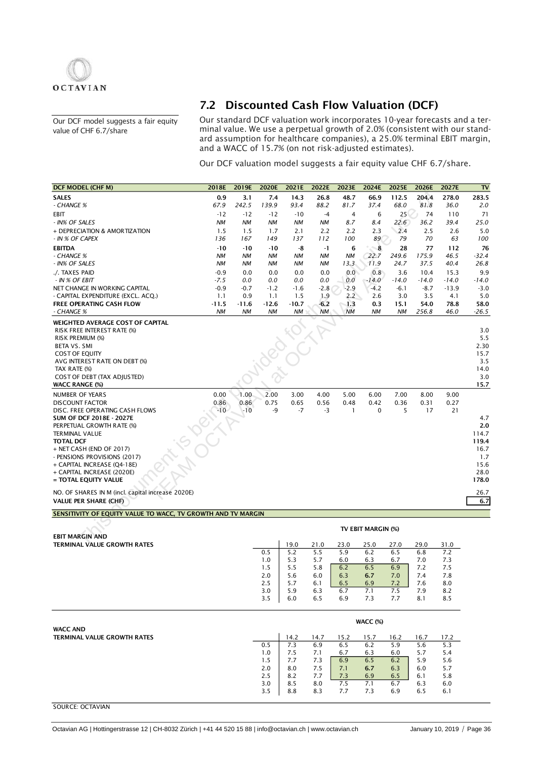

Our DCF model suggests a fair equity value of CHF 6.7/share

## 7.2 Discounted Cash Flow Valuation (DCF)

Our standard DCF valuation work incorporates 10-year forecasts and a terminal value. We use a perpetual growth of 2.0% (consistent with our standard assumption for healthcare companies), a 25.0% terminal EBIT margin, and a WACC of 15.7% (on not risk-adjusted estimates).

Our DCF valuation model suggests a fair equity value CHF 6.7/share.

| <b>DCF MODEL (CHF M)</b>                                                                                                                                                                                                                                                                                                                                                     | 2018E         | 2019E                  | 2020E      | 2021E        | 2022E      | 2023E                | 2024E              | 2025E         | 2026E        | 2027E        | T <sub>V</sub>                                                               |
|------------------------------------------------------------------------------------------------------------------------------------------------------------------------------------------------------------------------------------------------------------------------------------------------------------------------------------------------------------------------------|---------------|------------------------|------------|--------------|------------|----------------------|--------------------|---------------|--------------|--------------|------------------------------------------------------------------------------|
| <b>SALES</b>                                                                                                                                                                                                                                                                                                                                                                 | 0.9           | 3.1                    | 7.4        | 14.3         | 26.8       | 48.7                 | 66.9               | 112.5         | 204.4        | 278.0        | 283.5                                                                        |
| - CHANGE %                                                                                                                                                                                                                                                                                                                                                                   | 67.9          | 242.5                  | 139.9      | 93.4         | 88.2       | 81.7                 | 37.4               | 68.0          | 81.8         | 36.0         | 2.0                                                                          |
| EBIT                                                                                                                                                                                                                                                                                                                                                                         | $-12$         | $-12$                  | $-12$      | $-10$        | -4         | 4                    | 6                  | 25            | 74           | 110          | 71                                                                           |
| - IN% OF SALES                                                                                                                                                                                                                                                                                                                                                               | <b>NM</b>     | <b>NM</b>              | NM         | ΝM           | NM         | 8.7                  | 8.4                | 22.6          | 36.2         | 39.4         | 25.0                                                                         |
| + DEPRECIATION & AMORTIZATION                                                                                                                                                                                                                                                                                                                                                | 1.5           | 1.5                    | 1.7        | 2.1          | 2.2        | 2.2                  | 2.3                | 2.4           | 2.5          | 2.6          | 5.0                                                                          |
| - IN % OF CAPEX                                                                                                                                                                                                                                                                                                                                                              | 136           | 167                    | 149        | 137          | 112        | 100                  | 89                 | 79            | 70           | 63           | 100                                                                          |
| <b>EBITDA</b>                                                                                                                                                                                                                                                                                                                                                                | $-10$         | $-10$                  | $-10$      | -8           | -1         | 6                    | $^{\circ}8$        | 28            | 77           | 112          | 76                                                                           |
| - CHANGE %<br>- IN% OF SALES                                                                                                                                                                                                                                                                                                                                                 | NΜ<br>ΝM      | <b>NM</b><br><b>NM</b> | ΝM<br>ΝM   | ΝM<br>ΝM     | NM         | <b>NM</b><br>13.3    | 22.7<br>11.9       | 249.6<br>24.7 | 175.9        | 46.5<br>40.4 | $-32.4$<br>26.8                                                              |
| ./. TAXES PAID                                                                                                                                                                                                                                                                                                                                                               | $-0.9$        | 0.0                    | 0.0        | 0.0          | ΝM<br>0.0  | 0.0                  |                    | 3.6           | 37.5<br>10.4 | 15.3         | 9.9                                                                          |
| - IN % OF EBIT                                                                                                                                                                                                                                                                                                                                                               | $-7.5$        | 0.0                    | 0.0        | 0.0          | 0.0        | 0.0                  | 0.8<br>$-14.0$     | $-14.0$       | $-14.0$      | $-14.0$      | $-14.0$                                                                      |
| NET CHANGE IN WORKING CAPITAL                                                                                                                                                                                                                                                                                                                                                | $-0.9$        | $-0.7$                 | $-1.2$     | $-1.6$       | $-2.8$     | $-2.9$               | $-4.2$             | $-6.1$        | $-8.7$       | $-13.9$      | $-3.0$                                                                       |
| - CAPITAL EXPENDITURE (EXCL. ACQ.)                                                                                                                                                                                                                                                                                                                                           | 1.1           | 0.9                    | 1.1        | 1.5          | 1.9        | 2.2                  | 2.6                | 3.0           | 3.5          | 4.1          | 5.0                                                                          |
| FREE OPERATING CASH FLOW                                                                                                                                                                                                                                                                                                                                                     | -11.5         | $-11.6$                | $-12.6$    | $-10.7$      | $-6.2$     | 1.3                  | 0.3                | 15.1          | 54.0         | 78.8         | 58.0                                                                         |
| - CHANGE %                                                                                                                                                                                                                                                                                                                                                                   | <b>NM</b>     | ΝM                     | ΝM         | ΝM           | <b>NM</b>  | <b>NM</b>            | ΝM                 | <b>NM</b>     | 256.8        | 46.0         | $-26.5$                                                                      |
| WEIGHTED AVERAGE COST OF CAPITAL<br><b>RISK FREE INTEREST RATE (%)</b><br>RISK PREMIUM (%)<br><b>BETA VS. SMI</b><br><b>COST OF EQUITY</b><br>AVG INTEREST RATE ON DEBT (%)<br>TAX RATE (%)<br>COST OF DEBT (TAX ADJUSTED)<br><b>WACC RANGE (%)</b>                                                                                                                          |               |                        |            |              |            |                      |                    |               |              |              | 3.0<br>5.5<br>2.30<br>15.7<br>3.5<br>14.0<br>3.0<br>15.7                     |
| <b>NUMBER OF YEARS</b>                                                                                                                                                                                                                                                                                                                                                       | 0.00          | 1.00                   | 2.00       | 3.00         | 4.00       | 5.00                 | 6.00               | 7.00          | 8.00         | 9.00         |                                                                              |
| <b>DISCOUNT FACTOR</b><br>DISC. FREE OPERATING CASH FLOWS<br><b>SUM OF DCF 2018E - 2027E</b><br>PERPETUAL GROWTH RATE (%)<br><b>TERMINAL VALUE</b><br><b>TOTAL DCF</b><br>+ NET CASH (END OF 2017)<br>- PENSIONS PROVISIONS (2017)<br>+ CAPITAL INCREASE (Q4-18E)<br>+ CAPITAL INCREASE (2020E)<br>= TOTAL EQUITY VALUE<br>NO. OF SHARES IN M (incl. capital increase 2020E) | 0.86<br>$-10$ | 0.86<br>$-10$          | 0.75<br>-9 | 0.65<br>$-7$ | 0.56<br>-3 | 0.48<br>$\mathbf{1}$ | 0.42<br>0          | 0.36<br>5     | 0.31<br>17   | 0.27<br>21   | 4.7<br>2.0<br>114.7<br>119.4<br>16.7<br>1.7<br>15.6<br>28.0<br>178.0<br>26.7 |
| <b>VALUE PER SHARE (CHF)</b>                                                                                                                                                                                                                                                                                                                                                 |               |                        |            |              |            |                      |                    |               |              |              | 6.7                                                                          |
| SENSITIVITY OF EQUITY VALUE TO WACC, TV GROWTH AND TV MARGIN                                                                                                                                                                                                                                                                                                                 |               |                        |            |              |            |                      |                    |               |              |              |                                                                              |
|                                                                                                                                                                                                                                                                                                                                                                              |               |                        |            |              |            |                      | TV EBIT MARGIN (%) |               |              |              |                                                                              |
| <b>EBIT MARGIN AND</b><br><b>TERMINAL VALUE GROWTH RATES</b>                                                                                                                                                                                                                                                                                                                 |               |                        |            | 19.0         | 21.0       | 23.0                 | 25.0               | 27.0          | 29.0         | 31.0         |                                                                              |
|                                                                                                                                                                                                                                                                                                                                                                              |               |                        | 0.5        | 5.2          | 5.5        | 5.9                  | 6.2                | 6.5           | 6.8          | 7.2          |                                                                              |
|                                                                                                                                                                                                                                                                                                                                                                              |               |                        | 1.0        | 5.3          | 5.7        | 6.0                  | 6.3                | 6.7           | 7.0          | 7.3          |                                                                              |
|                                                                                                                                                                                                                                                                                                                                                                              |               |                        | 1.5        | 5.5          | 5.8        | 6.2                  | 6.5                | 6.9           | 7.2          | 7.5          |                                                                              |
|                                                                                                                                                                                                                                                                                                                                                                              |               |                        | 2.0        | 5.6          | 6.0        | 6.3                  | 6.7                | 7.0           | 7.4          | 7.8          |                                                                              |
|                                                                                                                                                                                                                                                                                                                                                                              |               |                        | 2.5<br>3.0 | 5.7<br>5.9   | 6.1<br>6.3 | 6.5<br>6.7           | 6.9<br>7.1         | 7.2<br>7.5    | 7.6<br>7.9   | 8.0<br>8.2   |                                                                              |
|                                                                                                                                                                                                                                                                                                                                                                              |               |                        | 3.5        | 6.0          | 6.5        | 6.9                  | 7.3                | 7.7           | 8.1          | 8.5          |                                                                              |
|                                                                                                                                                                                                                                                                                                                                                                              |               |                        |            |              |            |                      | WACC (%)           |               |              |              |                                                                              |
| <b>WACC AND</b>                                                                                                                                                                                                                                                                                                                                                              |               |                        |            |              |            |                      |                    |               |              |              |                                                                              |
| <b>TERMINAL VALUE GROWTH RATES</b>                                                                                                                                                                                                                                                                                                                                           |               |                        |            | 14.2         | 14.7       | 15.2                 | 15.7               | 16.2          | 16.7         | 17.2         |                                                                              |
|                                                                                                                                                                                                                                                                                                                                                                              |               |                        | 0.5<br>1.0 | 7.3<br>7.5   | 6.9<br>7.1 | 6.5<br>6.7           | 6.2<br>6.3         | 5.9<br>6.0    | 5.6<br>5.7   | 5.3<br>5.4   |                                                                              |
|                                                                                                                                                                                                                                                                                                                                                                              |               |                        | 1.5        | 7.7          | 7.3        | 6.9                  | 6.5                | 6.2           | 5.9          | 5.6          |                                                                              |
|                                                                                                                                                                                                                                                                                                                                                                              |               |                        | 2.0        | 8.0          | 7.5        | 7.1                  | 6.7                | 6.3           | 6.0          | 5.7          |                                                                              |
|                                                                                                                                                                                                                                                                                                                                                                              |               |                        | 2.5        | 8.2          | 7.7        | 7.3                  | 6.9                | 6.5           | 6.1          | 5.8          |                                                                              |
|                                                                                                                                                                                                                                                                                                                                                                              |               |                        | 3.0        | 8.5          | 8.0        | 7.5                  | 7.1                | 6.7           | 6.3          | 6.0          |                                                                              |
|                                                                                                                                                                                                                                                                                                                                                                              |               |                        | 3.5        | 8.8          | 8.3        | 7.7                  | 7.3                | 6.9           | 6.5          | 6.1          |                                                                              |

SOURCE: OCTAVIAN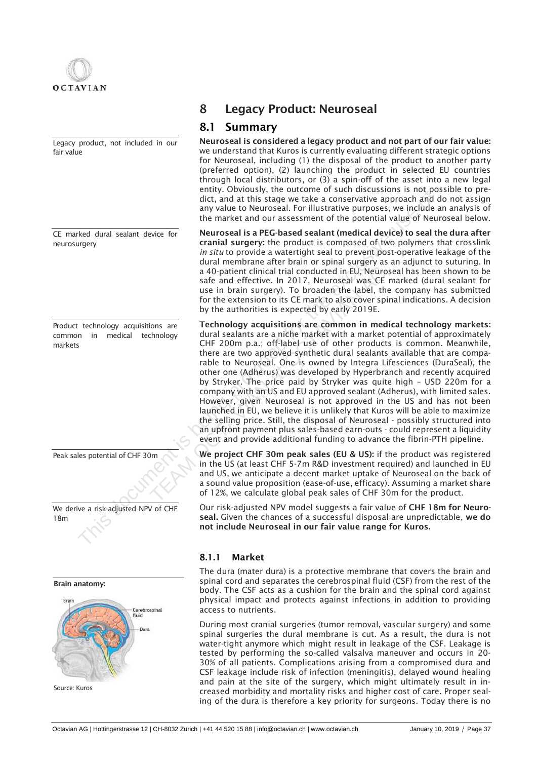

Legacy product, not included in our fair value

CE marked dural sealant device for neurosurgery

Product technology acquisitions are common in medical technology markets

Peak sales potential of CHF 30m

We derive a risk-adjusted NPV of CHF 18m

### Brain anatomy:



Source: Kuros

## 8 Legacy Product: Neuroseal

## 8.1 Summary

Neuroseal is considered a legacy product and not part of our fair value: we understand that Kuros is currently evaluating different strategic options for Neuroseal, including (1) the disposal of the product to another party (preferred option), (2) launching the product in selected EU countries through local distributors, or (3) a spin-off of the asset into a new legal entity. Obviously, the outcome of such discussions is not possible to predict, and at this stage we take a conservative approach and do not assign any value to Neuroseal. For illustrative purposes, we include an analysis of the market and our assessment of the potential value of Neuroseal below.

Neuroseal is a PEG-based sealant (medical device) to seal the dura after cranial surgery: the product is composed of two polymers that crosslink *in situ* to provide a watertight seal to prevent post-operative leakage of the dural membrane after brain or spinal surgery as an adjunct to suturing. In a 40-patient clinical trial conducted in EU, Neuroseal has been shown to be safe and effective. In 2017, Neuroseal was CE marked (dural sealant for use in brain surgery). To broaden the label, the company has submitted for the extension to its CE mark to also cover spinal indications. A decision by the authorities is expected by early 2019E.

Technology acquisitions are common in medical technology markets: dural sealants are a niche market with a market potential of approximately CHF 200m p.a.; off-label use of other products is common. Meanwhile, there are two approved synthetic dural sealants available that are comparable to Neuroseal. One is owned by Integra Lifesciences (DuraSeal), the other one (Adherus) was developed by Hyperbranch and recently acquired by Stryker. The price paid by Stryker was quite high – USD 220m for a company with an US and EU approved sealant (Adherus), with limited sales. However, given Neuroseal is not approved in the US and has not been launched in EU, we believe it is unlikely that Kuros will be able to maximize the selling price. Still, the disposal of Neuroseal - possibly structured into an upfront payment plus sales-based earn-outs - could represent a liquidity event and provide additional funding to advance the fibrin-PTH pipeline. entity, volumally, the outcome of the matrice is the proposition is the proposition of the matrice is a conservative approach and any other to Neurosed. For illustrative purposes, we include the market and our assessment o a 40-patient clinical trial conducted in EU, Neuros<br>safe and effective. In 2017, Neuroseal was CE r<br>use in brain surgery). To broaden the label, the<br>for the extension to its CE mark to also cover spir-<br>by the authorities i

We project CHF 30m peak sales (EU & US): if the product was registered in the US (at least CHF 5-7m R&D investment required) and launched in EU and US, we anticipate a decent market uptake of Neuroseal on the back of a sound value proposition (ease-of-use, efficacy). Assuming a market share of 12%, we calculate global peak sales of CHF 30m for the product.

Our risk-adjusted NPV model suggests a fair value of CHF 18m for Neuroseal. Given the chances of a successful disposal are unpredictable, we do not include Neuroseal in our fair value range for Kuros.

### 8.1.1 Market

The dura (mater dura) is a protective membrane that covers the brain and spinal cord and separates the cerebrospinal fluid (CSF) from the rest of the body. The CSF acts as a cushion for the brain and the spinal cord against physical impact and protects against infections in addition to providing access to nutrients.

During most cranial surgeries (tumor removal, vascular surgery) and some spinal surgeries the dural membrane is cut. As a result, the dura is not water-tight anymore which might result in leakage of the CSF. Leakage is tested by performing the so-called valsalva maneuver and occurs in 20- 30% of all patients. Complications arising from a compromised dura and CSF leakage include risk of infection (meningitis), delayed wound healing and pain at the site of the surgery, which might ultimately result in increased morbidity and mortality risks and higher cost of care. Proper sealing of the dura is therefore a key priority for surgeons. Today there is no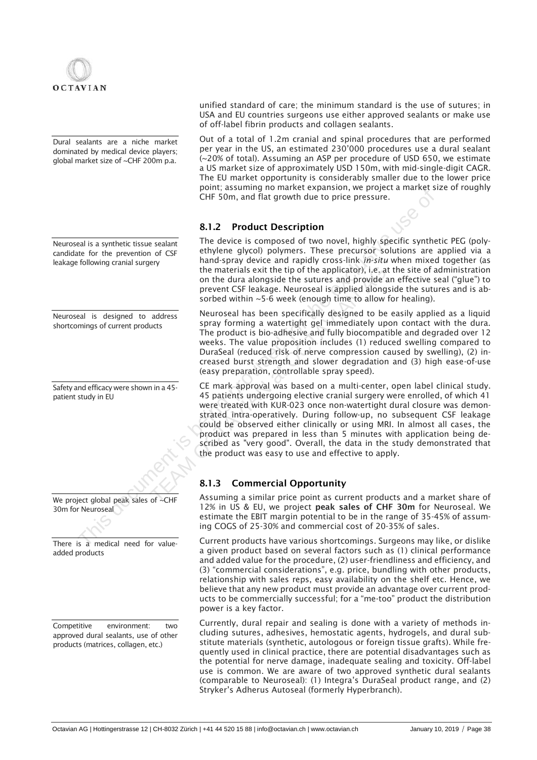

Dural sealants are a niche market dominated by medical device players; global market size of ~CHF 200m p.a.

Neuroseal is a synthetic tissue sealant candidate for the prevention of CSF leakage following cranial surgery

Neuroseal is designed to address shortcomings of current products

Safety and efficacy were shown in a 45 patient study in EU

We project global peak sales of ~CHF 30m for Neuroseal

There is a medical need for valueadded products

Competitive environment: two approved dural sealants, use of other products (matrices, collagen, etc.)

unified standard of care; the minimum standard is the use of sutures; in USA and EU countries surgeons use either approved sealants or make use of off-label fibrin products and collagen sealants.

Out of a total of 1.2m cranial and spinal procedures that are performed per year in the US, an estimated 230'000 procedures use a dural sealant (~20% of total). Assuming an ASP per procedure of USD 650, we estimate a US market size of approximately USD 150m, with mid-single-digit CAGR. The EU market opportunity is considerably smaller due to the lower price point; assuming no market expansion, we project a market size of roughly CHF 50m, and flat growth due to price pressure.

### 8.1.2 Product Description

The device is composed of two novel, highly specific synthetic PEG (polyethylene glycol) polymers. These precursor solutions are applied via a hand-spray device and rapidly cross-link *in-situ* when mixed together (as the materials exit the tip of the applicator), i.e. at the site of administration on the dura alongside the sutures and provide an effective seal ("glue") to prevent CSF leakage. Neuroseal is applied alongside the sutures and is absorbed within ~5-6 week (enough time to allow for healing).

Neuroseal has been specifically designed to be easily applied as a liquid spray forming a watertight gel immediately upon contact with the dura. The product is bio-adhesive and fully biocompatible and degraded over 12 weeks. The value proposition includes (1) reduced swelling compared to DuraSeal (reduced risk of nerve compression caused by swelling), (2) increased burst strength and slower degradation and (3) high ease-of-use (easy preparation, controllable spray speed).

CE mark approval was based on a multi-center, open label clinical study. 45 patients undergoing elective cranial surgery were enrolled, of which 41 were treated with KUR-023 once non-watertight dural closure was demonstrated intra-operatively. During follow-up, no subsequent CSF leakage could be observed either clinically or using MRI. In almost all cases, the product was prepared in less than 5 minutes with application being described as "very good". Overall, the data in the study demonstrated that the product was easy to use and effective to apply. CHIT SOM, and flat growth due to price pressure.<br>
S.1.2 Product Description<br>
The device is composed of two novel, highly specific synthetic<br>
ten for the provident effective is composed of two novel, highly specific synthet The materials exit the tip of the applicator), i.e. at<br>on the dura alongside the sutures and provide an<br>prevent CSF leakage. Neuroseal is applied alongs<br>sorbed within ~5-6 week (enough time to allow for<br>address<br>Neuroseal h

## 8.1.3 Commercial Opportunity

Assuming a similar price point as current products and a market share of 12% in US & EU, we project peak sales of CHF 30m for Neuroseal. We estimate the EBIT margin potential to be in the range of 35-45% of assuming COGS of 25-30% and commercial cost of 20-35% of sales.

Current products have various shortcomings. Surgeons may like, or dislike a given product based on several factors such as (1) clinical performance and added value for the procedure, (2) user-friendliness and efficiency, and (3) "commercial considerations", e.g. price, bundling with other products, relationship with sales reps, easy availability on the shelf etc. Hence, we believe that any new product must provide an advantage over current products to be commercially successful; for a "me-too" product the distribution power is a key factor.

Currently, dural repair and sealing is done with a variety of methods including sutures, adhesives, hemostatic agents, hydrogels, and dural substitute materials (synthetic, autologous or foreign tissue grafts). While frequently used in clinical practice, there are potential disadvantages such as the potential for nerve damage, inadequate sealing and toxicity. Off-label use is common. We are aware of two approved synthetic dural sealants (comparable to Neuroseal): (1) Integra's DuraSeal product range, and (2) Stryker's Adherus Autoseal (formerly Hyperbranch).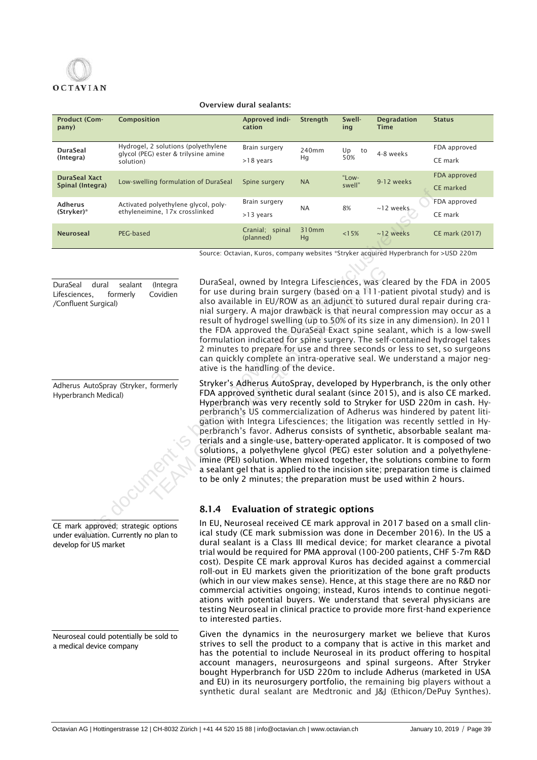# **OCTAVIAN**

### Overview dural sealants:

| <b>Product (Com-</b><br>pany)            | <b>Composition</b>                                                                       | Approved indi-<br>cation     | <b>Strenath</b> | Swell-<br>ing   | <b>Degradation</b><br>Time | <b>Status</b>             |
|------------------------------------------|------------------------------------------------------------------------------------------|------------------------------|-----------------|-----------------|----------------------------|---------------------------|
| <b>DuraSeal</b><br>(Integra)             | Hydrogel, 2 solutions (polyethylene<br>glycol (PEG) ester & trilysine amine<br>solution) | Brain surgery<br>$>18$ years | 240mm<br>Hg     | Up<br>to<br>50% | 4-8 weeks                  | FDA approved<br>CE mark   |
| <b>DuraSeal Xact</b><br>Spinal (Integra) | Low-swelling formulation of DuraSeal                                                     | Spine surgery                | <b>NA</b>       | "Low-<br>swell" | 9-12 weeks                 | FDA approved<br>CE marked |
| <b>Adherus</b><br>(Stryker)*             | Activated polyethylene glycol, poly-<br>ethyleneimine, 17x crosslinked                   | Brain surgery<br>>13 years   | <b>NA</b>       | 8%              | $~12$ weeks                | FDA approved<br>CE mark   |
| <b>Neuroseal</b>                         | PEG-based                                                                                | Cranial; spinal<br>(planned) | 310mm<br>Hq     | < 15%           | $~12$ weeks                | CE mark (2017)            |

Source: Octavian, Kuros, company websites \*Stryker acquired Hyperbranch for >USD 220m

DuraSeal dural sealant (Integra Lifesciences, formerly Covidien /Confluent Surgical)

Adherus AutoSpray (Stryker, formerly Hyperbranch Medical)

|  | CE mark approved; strategic options |  |
|--|-------------------------------------|--|

under evaluation. Currently no plan to develop for US market

Neuroseal could potentially be sold to a medical device company

DuraSeal, owned by Integra Lifesciences, was cleared by the FDA in 2005 for use during brain surgery (based on a 111-patient pivotal study) and is also available in EU/ROW as an adjunct to sutured dural repair during cranial surgery. A major drawback is that neural compression may occur as a result of hydrogel swelling (up to 50% of its size in any dimension). In 2011 the FDA approved the DuraSeal Exact spine sealant, which is a low-swell formulation indicated for spine surgery. The self-contained hydrogel takes 2 minutes to prepare for use and three seconds or less to set, so surgeons can quickly complete an intra-operative seal. We understand a major negative is the handling of the device.

Stryker's Adherus AutoSpray, developed by Hyperbranch, is the only other FDA approved synthetic dural sealant (since 2015), and is also CE marked. Hyperbranch was very recently sold to Stryker for USD 220m in cash. Hyperbranch's US commercialization of Adherus was hindered by patent litigation with Integra Lifesciences; the litigation was recently settled in Hyperbranch's favor. Adherus consists of synthetic, absorbable sealant materials and a single-use, battery-operated applicator. It is composed of two solutions, a polyethylene glycol (PEG) ester solution and a polyethyleneimine (PEI) solution. When mixed together, the solutions combine to form a sealant gel that is applied to the incision site; preparation time is claimed to be only 2 minutes; the preparation must be used within 2 hours. Activated polyethylene glycol, poly<br>
ethyleneimine, 17x crosslinked<br>
FC-based<br>
FC-based<br>
FC-based<br>
FC-based<br>
Exclusive is being being and 310mm<br>
Source Octavian, Kunos, company websites "Strivke acquired thyperbranch for<br> OuraSeal, owned by Integra Lifesciences, was clear to covidien<br>
for use during brain surgery (based on a 111-patal<br>
also available in EU/ROW as an adjunct to suture<br>
inal surgery. A major drawback is that neural con<br>
resul

## 8.1.4 Evaluation of strategic options

In EU, Neuroseal received CE mark approval in 2017 based on a small clinical study (CE mark submission was done in December 2016). In the US a dural sealant is a Class III medical device; for market clearance a pivotal trial would be required for PMA approval (100-200 patients, CHF 5-7m R&D cost). Despite CE mark approval Kuros has decided against a commercial roll-out in EU markets given the prioritization of the bone graft products (which in our view makes sense). Hence, at this stage there are no R&D nor commercial activities ongoing; instead, Kuros intends to continue negotiations with potential buyers. We understand that several physicians are testing Neuroseal in clinical practice to provide more first-hand experience to interested parties.

Given the dynamics in the neurosurgery market we believe that Kuros strives to sell the product to a company that is active in this market and has the potential to include Neuroseal in its product offering to hospital account managers, neurosurgeons and spinal surgeons. After Stryker bought Hyperbranch for USD 220m to include Adherus (marketed in USA and EU) in its neurosurgery portfolio, the remaining big players without a synthetic dural sealant are Medtronic and J&J (Ethicon/DePuy Synthes).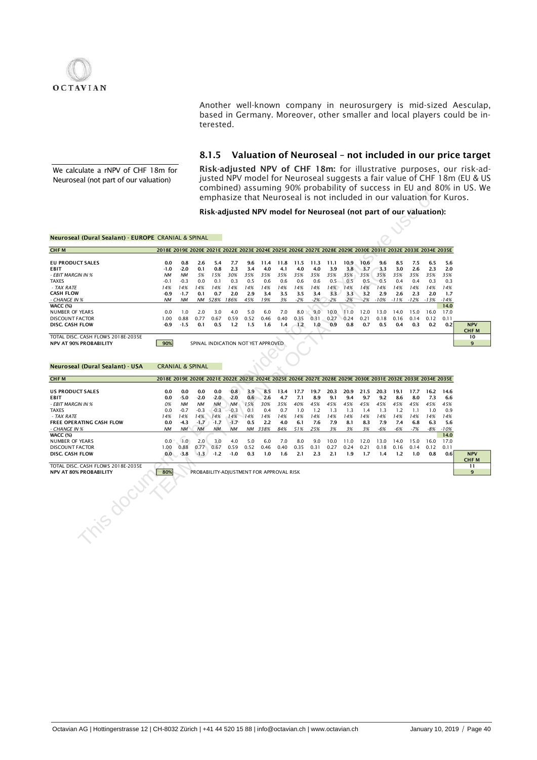

Another well-known company in neurosurgery is mid-sized Aesculap, based in Germany. Moreover, other smaller and local players could be interested.

### 8.1.5 Valuation of Neuroseal – not included in our price target

We calculate a rNPV of CHF 18m for Neuroseal (not part of our valuation)

Risk-adjusted NPV of CHF 18m: for illustrative purposes, our risk-adjusted NPV model for Neuroseal suggests a fair value of CHF 18m (EU & US combined) assuming 90% probability of success in EU and 80% in US. We emphasize that Neuroseal is not included in our valuation for Kuros.

### Neuroseal (Dural Sealant) - EUROPE CRANIAL & SPINAL

|                                                     |                                                                                                             |           |           |           |           |      |                                                                    |      |       |       |       |       |       |        |        |        |        | emphasize that Neuroseal is not included in our valuation for Kuros. | complical assuming 50% probability or success in Lo and 00% in 05. We |
|-----------------------------------------------------|-------------------------------------------------------------------------------------------------------------|-----------|-----------|-----------|-----------|------|--------------------------------------------------------------------|------|-------|-------|-------|-------|-------|--------|--------|--------|--------|----------------------------------------------------------------------|-----------------------------------------------------------------------|
|                                                     |                                                                                                             |           |           |           |           |      | Risk-adjusted NPV model for Neuroseal (not part of our valuation): |      |       |       |       |       |       |        |        |        |        |                                                                      |                                                                       |
|                                                     |                                                                                                             |           |           |           |           |      |                                                                    |      |       |       |       |       |       |        |        |        |        |                                                                      |                                                                       |
| Neuroseal (Dural Sealant) - EUROPE CRANIAL & SPINAL |                                                                                                             |           |           |           |           |      |                                                                    |      |       |       |       |       |       |        |        |        |        |                                                                      |                                                                       |
| <b>CHFM</b>                                         | 2018E 2019E 2020E 2021E 2022E 2023E 2024E 2025E 2026E 2027E 2028E 2029E 2030E 2031E 2032E 2033E 2034E 2035E |           |           |           |           |      |                                                                    |      |       |       |       |       |       |        |        |        |        |                                                                      |                                                                       |
| <b>EU PRODUCT SALES</b>                             | 0.0                                                                                                         | 0.8       | 2.6       | 5.4       | 7.7       | 9.6  | 11.4                                                               | 11.8 | 11.5  | 11.3  | 11.1  | 10.9  | 10.6  | 9.6    | 8.5    | 7.5    | 6.5    | 5.6                                                                  |                                                                       |
| EBIT                                                | $-1.0$                                                                                                      | $-2.0$    | 0.1       | 0.8       | 2.3       | 3.4  | 4.0                                                                | 4.1  | 4.0   | 4.0   | 3.9   | 3.8   | 3.7   | 3.3    | 3.0    | 2.6    | 2.3    | 2.0                                                                  |                                                                       |
| - EBIT MARCIN IN %                                  | <b>NM</b>                                                                                                   | <b>NM</b> | 5%        | 15%       | 30%       | 35%  | 35%                                                                | 35%  | 35%   | 35%   | 35%   | 35%   | 35%   | 35%    | 35%    | 35%    | 35%    | 35%                                                                  |                                                                       |
| <b>TAXES</b>                                        | $-0.1$                                                                                                      | $-0.3$    | 0.0       | 0.1       | 0.3       | 0.5  | 0.6                                                                | 0.6  | 0.6   | 0.6   | 0.5   | 0.5   | 0.5   | 0.5    | 0.4    | 0.4    | 0.3    | 0.3                                                                  |                                                                       |
| - TAX RATE                                          | 14%                                                                                                         | 14%       | 14%       | 14%       | 14%       | 14%  | 14%                                                                | 14%  | 14%   | 14%   | 14%   | 14%   | 14%   | 14%    | 14%    | 14%    | 14%    | 14%                                                                  |                                                                       |
| <b>CASH FLOW</b>                                    | $-0.9$                                                                                                      | $-1.7$    | 0.1       | 0.7       | 2.0       | 2.9  | 3.4                                                                | 3.5  | 3.5   | 3.4   | 3.3   | 3.3   | 3.2   | 2.9    | 2.6    | 2.3    | 2.0    | 1.7                                                                  |                                                                       |
| - CHANGE IN %                                       | NM                                                                                                          | NΜ        |           | NM 528%   | 186%      | 45%  | 19%                                                                | 3%   | $-2%$ | $-2%$ | $-2%$ | $-2%$ | $-2%$ | $-10%$ | $-11%$ | $-12%$ | $-13%$ | $-14%$                                                               |                                                                       |
| <b>WACC (%)</b>                                     |                                                                                                             |           |           |           |           |      |                                                                    |      |       |       |       |       |       |        |        |        |        | 14.0                                                                 |                                                                       |
| <b>NUMBER OF YEARS</b>                              | 0.0                                                                                                         | 1.0       | 2.0       | 3.0       | 4.0       | 5.0  | 6.0                                                                | 7.0  | 8.0   | 9.0   | 10.0  | 11.0  | 12.0  | 13.0   | 14.0   | 15.0   | 16.0   | 17.0                                                                 |                                                                       |
| <b>DISCOUNT FACTOR</b>                              | 1.00                                                                                                        | 0.88      | 0.77      | 0.67      | 0.59      | 0.52 | 0.46                                                               | 0.40 | 0.35  | 0.31  | 0.27  | 0.24  | 0.21  | 0.18   | 0.16   | 0.14   | 0.12   | 0.11                                                                 |                                                                       |
| DISC. CASH FLOW                                     | $-0.9$                                                                                                      | $-1.5$    | 0.1       | 0.5       | 1.2       | 1.5  | 1.6                                                                | 1.4  | 1.2   | 1.0   | 0.9   | 0.8   | 0.7   | 0.5    | 0.4    | 0.3    | 0.2    | 0.2                                                                  | <b>NPV</b>                                                            |
| TOTAL DISC. CASH FLOWS 2018E-2035E                  |                                                                                                             |           |           |           |           |      |                                                                    |      |       |       |       |       |       |        |        |        |        |                                                                      | <b>CHFM</b><br>10                                                     |
| <b>NPV AT 90% PROBABILITY</b>                       | 90%                                                                                                         |           |           |           |           |      | SPINAL INDICATION NOT YET APPROVED                                 |      |       |       |       |       |       |        |        |        |        |                                                                      | 9                                                                     |
|                                                     |                                                                                                             |           |           |           |           |      |                                                                    |      |       |       |       |       |       |        |        |        |        |                                                                      |                                                                       |
|                                                     |                                                                                                             |           |           |           |           |      |                                                                    |      |       |       |       |       |       |        |        |        |        |                                                                      |                                                                       |
| Neuroseal (Dural Sealant) - USA                     | <b>CRANIAL &amp; SPINAL</b>                                                                                 |           |           |           |           |      |                                                                    |      |       |       |       |       |       |        |        |        |        |                                                                      |                                                                       |
| <b>CHFM</b>                                         | 2018E 2019E 2020E 2021E 2022E 2023E 2024E 2025E 2026E 2027E 2028E 2029E 2030E 2031E 2032E 2033E 2034E 2035E |           |           |           |           |      |                                                                    |      |       |       |       |       |       |        |        |        |        |                                                                      |                                                                       |
| <b>US PRODUCT SALES</b>                             | 0.0                                                                                                         | 0.0       | 0.0       | 0.0       | 0.8       | 3.9  | 8.5                                                                | 13.4 | 17.7  | 19.7  | 20.3  | 20.9  | 21.5  | 20.3   | 19.1   | 17.7   | 16.2   | 14.6                                                                 |                                                                       |
| EBIT                                                | 0.0                                                                                                         | $-5.0$    | $-2.0$    | $-2.0$    | $-2.0$    | 0.6  | 2.6                                                                | 4.7  | 7.1   | 8.9   | 9.1   | 9.4   | 9.7   | 9.2    | 8.6    | 8.0    | 7.3    | 6.6                                                                  |                                                                       |
| - EBIT MARGIN IN %                                  | 0%                                                                                                          | <b>NM</b> | <b>NM</b> | <b>NM</b> | <b>NM</b> | 15%  | 30%                                                                | 35%  | 40%   | 45%   | 45%   | 45%   | 45%   | 45%    | 45%    | 45%    | 45%    | 45%                                                                  |                                                                       |
| <b>TAXES</b>                                        | 0.0                                                                                                         | $-0.7$    | $-0.3$    | $-0.3$    | $-0.3$    | 0.1  | 0.4                                                                | 0.7  | 1.0   | 1.2   | 1.3   | 1.3   | 1.4   | 1.3    | 1.2    | 1.1    | 1.0    | 0.9                                                                  |                                                                       |
| - TAX RATE                                          | 14%                                                                                                         | 14%       | 14%       | 14%       | 14%       | 14%  | 14%                                                                | 14%  | 14%   | 14%   | 14%   | 14%   | 14%   | 14%    | 14%    | 14%    | 14%    | 14%                                                                  |                                                                       |
| FREE OPERATING CASH FLOW                            | 0.0                                                                                                         | $-4.3$    | $-1.7$    | $-1.7$    | $-1.7$    | 0.5  | 2.2                                                                | 4.0  | 6.1   | 7.6   | 7.9   | 8.1   | 8.3   | 7.9    | 7.4    | 6.8    | 6.3    | 5.6                                                                  |                                                                       |
| - CHANGE IN %                                       | NM                                                                                                          | NM        | <b>NM</b> | <b>NM</b> | <b>NM</b> | NM   | 338%                                                               | 84%  | 51%   | 25%   | 3%    | 3%    | 3%    | $-6%$  | $-6%$  | $-7%$  | $-8%$  | $-10%$                                                               |                                                                       |
| WACC (%)                                            |                                                                                                             |           |           |           |           |      |                                                                    |      |       |       |       |       |       |        |        |        |        | 14.0                                                                 |                                                                       |
| <b>NUMBER OF YEARS</b>                              | 0.0                                                                                                         | 1.0       | 2.0       | 3.0       | 4.0       | 5.0  | 6.0                                                                | 7.0  | 8.0   | 9.0   | 10.0  | 11.0  | 12.0  | 13.0   | 14.0   | 15.0   | 16.0   | 17.0                                                                 |                                                                       |
| <b>DISCOUNT FACTOR</b>                              | 1.00                                                                                                        | 0.88      | 0.77      | 0.67      | 0.59      | 0.52 | 0.46                                                               | 0.40 | 0.35  | 0.31  | 0.27  | 0.24  | 0.21  | 0.18   | 0.16   | 0.14   | 0.12   | 0.11                                                                 |                                                                       |
| DISC. CASH FLOW                                     | 0.0                                                                                                         | $-3.8$    | $-1.3$    | $-1.2$    | $-1.0$    | 0.3  | 1.0                                                                | 1.6  | 2.1   | 2.3   | 2.1   | 1.9   | 1.7   | 1.4    | 1.2    | 1.0    | 0.8    | 0.6                                                                  | <b>NPV</b>                                                            |
|                                                     |                                                                                                             |           |           |           |           |      |                                                                    |      |       |       |       |       |       |        |        |        |        |                                                                      | <b>CHFM</b>                                                           |
| TOTAL DISC. CASH FLOWS 2018E-2035E                  |                                                                                                             |           |           |           |           |      |                                                                    |      |       |       |       |       |       |        |        |        |        |                                                                      | 11                                                                    |
| <b>NPV AT 80% PROBABILITY</b>                       |                                                                                                             |           |           |           |           |      | PROBABILITY-ADJUSTMENT FOR APPROVAL RISK                           |      |       |       |       |       |       |        |        |        |        |                                                                      | 9                                                                     |
|                                                     |                                                                                                             |           |           |           |           |      |                                                                    |      |       |       |       |       |       |        |        |        |        |                                                                      |                                                                       |
|                                                     |                                                                                                             |           |           |           |           |      |                                                                    |      |       |       |       |       |       |        |        |        |        |                                                                      |                                                                       |
|                                                     |                                                                                                             |           |           |           |           |      |                                                                    |      |       |       |       |       |       |        |        |        |        |                                                                      |                                                                       |
|                                                     |                                                                                                             |           |           |           |           |      |                                                                    |      |       |       |       |       |       |        |        |        |        |                                                                      |                                                                       |
|                                                     |                                                                                                             |           |           |           |           |      |                                                                    |      |       |       |       |       |       |        |        |        |        |                                                                      |                                                                       |
|                                                     |                                                                                                             |           |           |           |           |      |                                                                    |      |       |       |       |       |       |        |        |        |        |                                                                      |                                                                       |
|                                                     |                                                                                                             |           |           |           |           |      |                                                                    |      |       |       |       |       |       |        |        |        |        |                                                                      |                                                                       |
|                                                     |                                                                                                             |           |           |           |           |      |                                                                    |      |       |       |       |       |       |        |        |        |        |                                                                      |                                                                       |
|                                                     |                                                                                                             |           |           |           |           |      |                                                                    |      |       |       |       |       |       |        |        |        |        |                                                                      |                                                                       |
| inis documile                                       |                                                                                                             |           |           |           |           |      |                                                                    |      |       |       |       |       |       |        |        |        |        |                                                                      |                                                                       |
|                                                     |                                                                                                             |           |           |           |           |      |                                                                    |      |       |       |       |       |       |        |        |        |        |                                                                      |                                                                       |
|                                                     |                                                                                                             |           |           |           |           |      |                                                                    |      |       |       |       |       |       |        |        |        |        |                                                                      |                                                                       |

| <b>EBIT</b>                        | $-1.0$                                                                                                      | $-2.0$    | 0.1       | 0.8       | 2.3                                      | 3.4  | 4.0     | 4.1  | 4.0   | 4.0   | 3.9   | 3.8   | 3.7              | 3.3    | 3.0    | 2.6    | 2.3    | 2.0    |               |
|------------------------------------|-------------------------------------------------------------------------------------------------------------|-----------|-----------|-----------|------------------------------------------|------|---------|------|-------|-------|-------|-------|------------------|--------|--------|--------|--------|--------|---------------|
| - EBIT MARCIN IN %                 | <b>NM</b>                                                                                                   | <b>NM</b> | 5%        | 15%       | 30%                                      | 35%  | 35%     | 35%  | 35%   | 35%   | 35%   | 35%   | 35%              | 35%    | 35%    | 35%    | 35%    | 35%    |               |
| <b>TAXES</b>                       | $-0.1$                                                                                                      | $-0.3$    | 0.0       | 0.1       | 0.3                                      | 0.5  | 0.6     | 0.6  | 0.6   | 0.6   | 0.5   | 0.5   | 0.5              | 0.5    | 0.4    | 0.4    | 0.3    | 0.3    |               |
| - TAX RATE                         | 14%                                                                                                         | 14%       | 14%       | 14%       | 14%                                      | 14%  | 14%     | 14%  | 14%   | 14%   | 14%   | 14%   | 14%              | 14%    | 14%    | 14%    | 14%    | 14%    |               |
| <b>CASH FLOW</b>                   | $-0.9$                                                                                                      | $-1.7$    | 0.1       | 0.7       | 2.0                                      | 2.9  | 3.4     | 3.5  | 3.5   | 3.4   | 3.3   | 3.3   | $3.\overline{2}$ | 2.9    | 2.6    | 2.3    | 2.0    | 1.7    |               |
| - CHANGE IN %                      | <b>NM</b>                                                                                                   | NΜ        | NM        | 528%      | 186%                                     | 45%  | 19%     | 3%   | $-2%$ | $-2%$ | $-2%$ | $-2%$ | $-2%$            | $-10%$ | $-11%$ | $-12%$ | $-13%$ | $-14%$ |               |
| WACC (%)                           |                                                                                                             |           |           |           |                                          |      |         |      |       |       |       |       |                  |        |        |        |        | 14.0   |               |
| <b>NUMBER OF YEARS</b>             | 0.0                                                                                                         | 1.0       | 2.0       | 3.0       | 4.0                                      | 5.0  | 6.0     | 7.0  | 8.0   | 9.0   | 10.0  | 11.0  | 12.0             | 13.0   | 14.0   | 15.0   | 16.0   | 17.0   |               |
| <b>DISCOUNT FACTOR</b>             | 1.00                                                                                                        | 0.88      | 0.77      | 0.67      | 0.59                                     | 0.52 | 0.46    | 0.40 | 0.35  | 0.31  | 0.27  | 0.24  | 0.21             | 0.18   | 0.16   | 0.14   | 0.12   | 0.11   |               |
| DISC. CASH FLOW                    | $-0.9$                                                                                                      | $-1.5$    | 0.1       | 0.5       | 1.2                                      | 1.5  | 1.6     | 1.4  | 1.2   | 1.0   | 0.9   | 0.8   | 0.7              | 0.5    | 0.4    | 0.3    | 0.2    | 0.2    | <b>NPV</b>    |
|                                    |                                                                                                             |           |           |           |                                          |      |         |      |       |       |       |       |                  |        |        |        |        |        | <b>CHFM</b>   |
| TOTAL DISC. CASH FLOWS 2018E-2035E |                                                                                                             |           |           |           |                                          |      |         |      |       |       |       |       |                  |        |        |        |        |        | 10            |
| <b>NPV AT 90% PROBABILITY</b>      | 90%                                                                                                         |           |           |           | SPINAL INDICATION NOT YET APPROVED       |      |         |      |       |       |       |       |                  |        |        |        |        |        | 9             |
|                                    |                                                                                                             |           |           |           |                                          |      |         |      |       |       |       |       |                  |        |        |        |        |        |               |
|                                    |                                                                                                             |           |           |           |                                          |      |         |      |       |       |       |       |                  |        |        |        |        |        |               |
|                                    |                                                                                                             |           |           |           |                                          |      |         |      |       |       |       |       |                  |        |        |        |        |        |               |
| Neuroseal (Dural Sealant) - USA    | <b>CRANIAL &amp; SPINAL</b>                                                                                 |           |           |           |                                          |      |         |      |       |       |       |       |                  |        |        |        |        |        |               |
| <b>CHFM</b>                        | 2018E 2019E 2020E 2021E 2022E 2023E 2024E 2025E 2026E 2027E 2028E 2029E 2030E 2031E 2032E 2033E 2034E 2035E |           |           |           |                                          |      |         |      |       |       |       |       |                  |        |        |        |        |        |               |
| <b>US PRODUCT SALES</b>            | 0.0                                                                                                         | 0.0       | 0.0       | 0.0       | 0.8                                      | 3.9  | 8.5     | 13.4 | 17.7  | 19.7  | 20.3  | 20.9  | 21.5             | 20.3   | 19.1   | 17.7   | 16.2   | 14.6   |               |
| <b>EBIT</b>                        | 0.0                                                                                                         | $-5.0$    | $-2.0$    | $-2.0$    | $-2.0$                                   | 0.6  | 2.6     | 4.7  | 7.1   | 8.9   | 9.1   | 9.4   | 9.7              | 9.2    | 8.6    | 8.0    | 7.3    | 6.6    |               |
| - EBIT MARGIN IN %                 | 0%                                                                                                          | <b>NM</b> | <b>NM</b> | <b>NM</b> | <b>NM</b>                                | 15%  | 30%     | 35%  | 40%   | 45%   | 45%   | 45%   | 45%              | 45%    | 45%    | 45%    | 45%    | 45%    |               |
| <b>TAXES</b>                       | 0.0                                                                                                         | $-0.7$    | $-0.3$    | $-0.3$    | $-0.3$                                   | 0.1  | 0.4     | 0.7  | 1.0   | 1.2   | 1.3   | 1.3   | 1.4              | 1.3    | 1.2    | 1.1    | 1.0    | 0.9    |               |
| - TAX RATE                         | 14%                                                                                                         | 14%       | 14%       | 14%       | 14%                                      | 14%  | 14%     | 14%  | 14%   | 14%   | 14%   | 14%   | 14%              | 14%    | 14%    | 14%    | 14%    | 14%    |               |
| FREE OPERATING CASH FLOW           | 0.0                                                                                                         | $-4.3$    | $-1.7$    | $-1.7$    | $-1.7$                                   | 0.5  | 2.2     | 4.0  | 6.1   | 7.6   | 7.9   | 8.1   | 8.3              | 7.9    | 7.4    | 6.8    | 6.3    | 5.6    |               |
| - CHANGE IN %                      | <b>NM</b>                                                                                                   | <b>NM</b> | <b>NM</b> | <b>NM</b> | <b>NM</b>                                |      | NM 338% | 84%  | 51%   | 25%   | 3%    | 3%    | 3%               | $-6%$  | $-6%$  | $-7%$  | -8%    | $-10%$ |               |
| WACC (%)                           |                                                                                                             |           |           |           |                                          |      |         |      |       |       |       |       |                  |        |        |        |        | 14.0   |               |
| <b>NUMBER OF YEARS</b>             | 0.0                                                                                                         | 1.0       | 2.0       | 3.0       | 4.0                                      | 5.0  | 6.0     | 7.0  | 8.0   | 9.0   | 10.0  | 11.0  | 12.0             | 13.0   | 14.0   | 15.0   | 16.0   | 17.0   |               |
| <b>DISCOUNT FACTOR</b>             | 1.00                                                                                                        | 0.88      | 0.77      | 0.67      | 0.59                                     | 0.52 | 0.46    | 0.40 | 0.35  | 0.31  | 0.27  | 0.24  | 0.21             | 0.18   | 0.16   | 0.14   | 0.12   | 0.11   |               |
| DISC. CASH FLOW                    | 0.0                                                                                                         | $-3.8$    | $-1.3$    | $-1.2$    | $-1.0$                                   | 0.3  | 1.0     | 1.6  | 2.1   | 2.3   | 2.1   | 1.9   | 1.7              | 1.4    | 1.2    | 1.0    | 0.8    | 0.6    | <b>NPV</b>    |
|                                    |                                                                                                             |           |           |           |                                          |      |         |      |       |       |       |       |                  |        |        |        |        |        | <b>CHFM</b>   |
| TOTAL DISC. CASH FLOWS 2018E-2035E |                                                                                                             |           |           |           |                                          |      |         |      |       |       |       |       |                  |        |        |        |        |        | $\mathbf{11}$ |
| <b>NPV AT 80% PROBABILITY</b>      | 80%                                                                                                         |           |           |           | PROBABILITY-ADJUSTMENT FOR APPROVAL RISK |      |         |      |       |       |       |       |                  |        |        |        |        |        | 9             |
|                                    |                                                                                                             |           |           |           |                                          |      |         |      |       |       |       |       |                  |        |        |        |        |        |               |
|                                    |                                                                                                             |           |           |           |                                          |      |         |      |       |       |       |       |                  |        |        |        |        |        |               |
|                                    |                                                                                                             |           |           |           |                                          |      |         |      |       |       |       |       |                  |        |        |        |        |        |               |
|                                    |                                                                                                             |           |           |           |                                          |      |         |      |       |       |       |       |                  |        |        |        |        |        |               |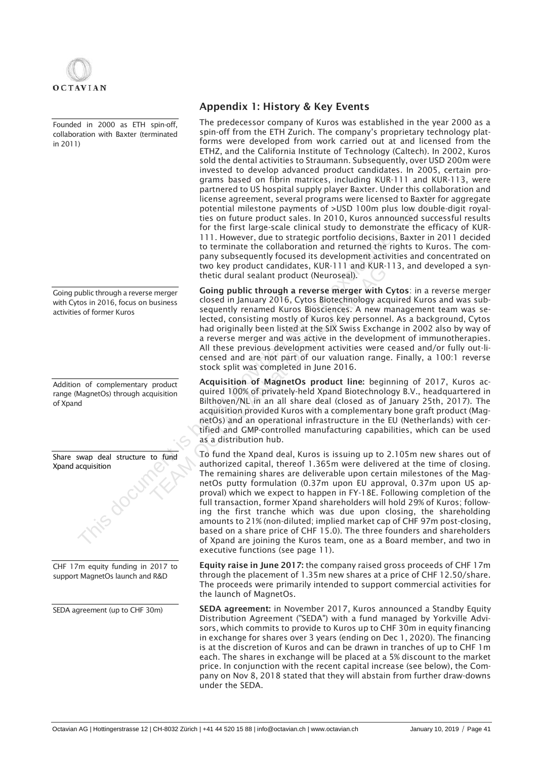

Founded in 2000 as ETH spin-off, collaboration with Baxter (terminated in 2011)

Going public through a reverse merger with Cytos in 2016, focus on business activities of former Kuros

Addition of complementary product range (MagnetOs) through acquisition of Xpand

Share swap deal structure to fund Xpand acquisition

CHF 17m equity funding in 2017 to support MagnetOs launch and R&D

SEDA agreement (up to CHF 30m)

## Appendix 1: History & Key Events

The predecessor company of Kuros was established in the year 2000 as a spin-off from the ETH Zurich. The company's proprietary technology platforms were developed from work carried out at and licensed from the ETHZ, and the California Institute of Technology (Caltech). In 2002, Kuros sold the dental activities to Straumann. Subsequently, over USD 200m were invested to develop advanced product candidates. In 2005, certain programs based on fibrin matrices, including KUR-111 and KUR-113, were partnered to US hospital supply player Baxter. Under this collaboration and license agreement, several programs were licensed to Baxter for aggregate potential milestone payments of >USD 100m plus low double-digit royalties on future product sales. In 2010, Kuros announced successful results for the first large-scale clinical study to demonstrate the efficacy of KUR-111. However, due to strategic portfolio decisions, Baxter in 2011 decided to terminate the collaboration and returned the rights to Kuros. The company subsequently focused its development activities and concentrated on two key product candidates, KUR-111 and KUR-113, and developed a synthetic dural sealant product (Neuroseal).

Going public through a reverse merger with Cytos: in a reverse merger closed in January 2016, Cytos Biotechnology acquired Kuros and was subsequently renamed Kuros Biosciences. A new management team was selected, consisting mostly of Kuros key personnel. As a background, Cytos had originally been listed at the SIX Swiss Exchange in 2002 also by way of a reverse merger and was active in the development of immunotherapies. All these previous development activities were ceased and/or fully out-licensed and are not part of our valuation range. Finally, a 100:1 reverse stock split was completed in June 2016. Wo key product candidates, KUR-111 and KUR-1<br>
thetic dural sealant product (Neuroseal).<br> **Cong public through a reverse merger**<br> **Cong in January 2016, Cytos Riotechnology acq**<br>
sequently renamed Kuros Biosciences. A new m

Acquisition of MagnetOs product line: beginning of 2017, Kuros acquired 100% of privately-held Xpand Biotechnology B.V., headquartered in Bilthoven/NL in an all share deal (closed as of January 25th, 2017). The acquisition provided Kuros with a complementary bone graft product (MagnetOs) and an operational infrastructure in the EU (Netherlands) with certified and GMP-controlled manufacturing capabilities, which can be used as a distribution hub.

To fund the Xpand deal, Kuros is issuing up to 2.105m new shares out of authorized capital, thereof 1.365m were delivered at the time of closing. The remaining shares are deliverable upon certain milestones of the MagnetOs putty formulation (0.37m upon EU approval, 0.37m upon US approval) which we expect to happen in FY-18E. Following completion of the full transaction, former Xpand shareholders will hold 29% of Kuros; following the first tranche which was due upon closing, the shareholding amounts to 21% (non-diluted; implied market cap of CHF 97m post-closing, based on a share price of CHF 15.0). The three founders and shareholders of Xpand are joining the Kuros team, one as a Board member, and two in executive functions (see page 11). Finance to use the interest of osticlar pupper as are delivered to a based to the first targe-scale clinical study to a streate the effect to the first targe-scale clinical study to demonstrate the effect to the first tar

> Equity raise in June 2017: the company raised gross proceeds of CHF 17m through the placement of 1.35m new shares at a price of CHF 12.50/share. The proceeds were primarily intended to support commercial activities for the launch of MagnetOs.

> SEDA agreement: in November 2017, Kuros announced a Standby Equity Distribution Agreement ("SEDA") with a fund managed by Yorkville Advisors, which commits to provide to Kuros up to CHF 30m in equity financing in exchange for shares over 3 years (ending on Dec 1, 2020). The financing is at the discretion of Kuros and can be drawn in tranches of up to CHF 1m each. The shares in exchange will be placed at a 5% discount to the market price. In conjunction with the recent capital increase (see below), the Company on Nov 8, 2018 stated that they will abstain from further draw-downs under the SEDA.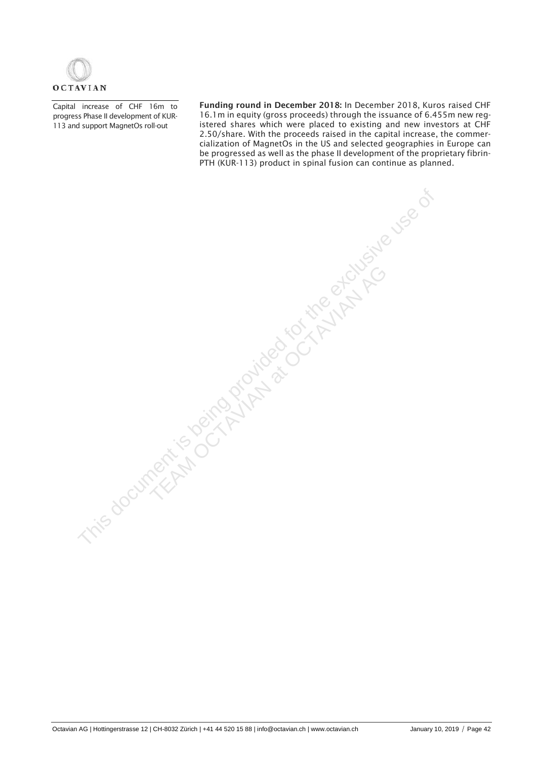

Capital increase of CHF 16m to progress Phase II development of KUR-113 and support MagnetOs roll-out

Funding round in December 2018: In December 2018, Kuros raised CHF 16.1m in equity (gross proceeds) through the issuance of 6.455m new registered shares which were placed to existing and new investors at CHF 2.50/share. With the proceeds raised in the capital increase, the commercialization of MagnetOs in the US and selected geographies in Europe can be progressed as well as the phase II development of the proprietary fibrin-PTH (KUR-113) product in spinal fusion can continue as planned.

This document is being provided for the exclusive use of

TEAM OCTAVIAN AGE OCTAVIANT PO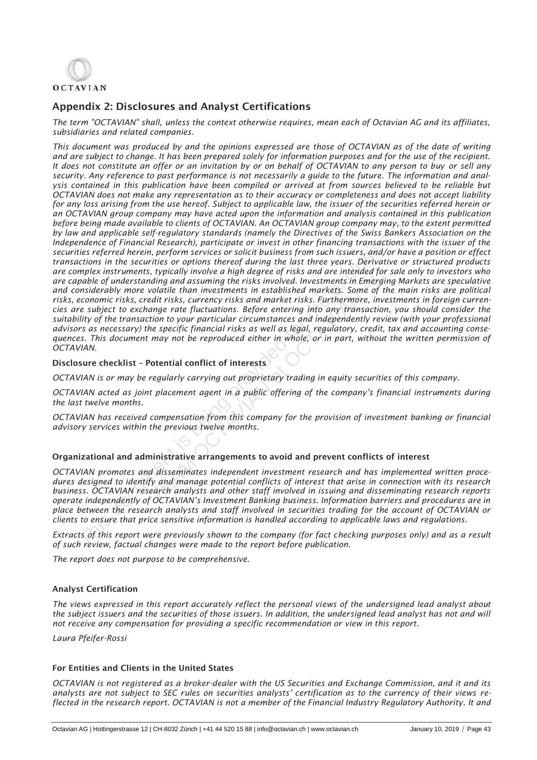

## Appendix 2: Disclosures and Analyst Certifications

*The term "OCTAVIAN" shall, unless the context otherwise requires, mean each of Octavian AG and its affiliates, subsidiaries and related companies.*

*This document was produced by and the opinions expressed are those of OCTAVIAN as of the date of writing and are subject to change. It has been prepared solely for information purposes and for the use of the recipient. It does not constitute an offer or an invitation by or on behalf of OCTAVIAN to any person to buy or sell any security. Any reference to past performance is not necessarily a guide to the future. The information and analysis contained in this publication have been compiled or arrived at from sources believed to be reliable but OCTAVIAN does not make any representation as to their accuracy or completeness and does not accept liability for any loss arising from the use hereof. Subject to applicable law, the issuer of the securities referred herein or an OCTAVIAN group company may have acted upon the information and analysis contained in this publication before being made available to clients of OCTAVIAN. An OCTAVIAN group company may, to the extent permitted by law and applicable self-regulatory standards (namely the Directives of the Swiss Bankers Association on the Independence of Financial Research), participate or invest in other financing transactions with the issuer of the securities referred herein, perform services or solicit business from such issuers, and/or have a position or effect transactions in the securities or options thereof during the last three years. Derivative or structured products are complex instruments, typically involve a high degree of risks and are intended for sale only to investors who are capable of understanding and assuming the risks involved. Investments in Emerging Markets are speculative and considerably more volatile than investments in established markets. Some of the main risks are political risks, economic risks, credit risks, currency risks and market risks. Furthermore, investments in foreign currencies are subject to exchange rate fluctuations. Before entering into any transaction, you should consider the suitability of the transaction to your particular circumstances and independently review (with your professional advisors as necessary) the specific financial risks as well as legal, regulatory, credit, tax and accounting consequences. This document may not be reproduced either in whole, or in part, without the written permission of OCTAVIAN.* VIAN does not make any representation as to their accuracy or completeness and does not the principality shows arising from the use hereof. Subject to applicable law, the issuer of the securities refer being more and the e is, typically involve a high degree of risks and are intended for s<br>iding and assuming the risks involved. Investments in Emergine<br>volatile than investments in established markets. Some of the<br>edit risks, currency risks an

### Disclosure checklist – Potential conflict of interests

*OCTAVIAN is or may be regularly carrying out proprietary trading in equity securities of this company.*

*OCTAVIAN acted as joint placement agent in a public offering of the company's financial instruments during the last twelve months.*

*OCTAVIAN has received compensation from this company for the provision of investment banking or financial advisory services within the previous twelve months.*

### Organizational and administrative arrangements to avoid and prevent conflicts of interest

*OCTAVIAN promotes and disseminates independent investment research and has implemented written procedures designed to identify and manage potential conflicts of interest that arise in connection with its research business. OCTAVIAN research analysts and other staff involved in issuing and disseminating research reports operate independently of OCTAVIAN's Investment Banking business. Information barriers and procedures are in place between the research analysts and staff involved in securities trading for the account of OCTAVIAN or clients to ensure that price sensitive information is handled according to applicable laws and regulations.*

*Extracts of this report were previously shown to the company (for fact checking purposes only) and as a result of such review, factual changes were made to the report before publication.*

*The report does not purpose to be comprehensive.*

### Analyst Certification

*The views expressed in this report accurately reflect the personal views of the undersigned lead analyst about*  the subject issuers and the securities of those issuers. In addition, the undersigned lead analyst has not and will *not receive any compensation for providing a specific recommendation or view in this report.*

*Laura Pfeifer-Rossi*

### For Entities and Clients in the United States

*OCTAVIAN is not registered as a broker-dealer with the US Securities and Exchange Commission, and it and its analysts are not subject to SEC rules on securities analysts' certification as to the currency of their views reflected in the research report. OCTAVIAN is not a member of the Financial Industry Regulatory Authority. It and*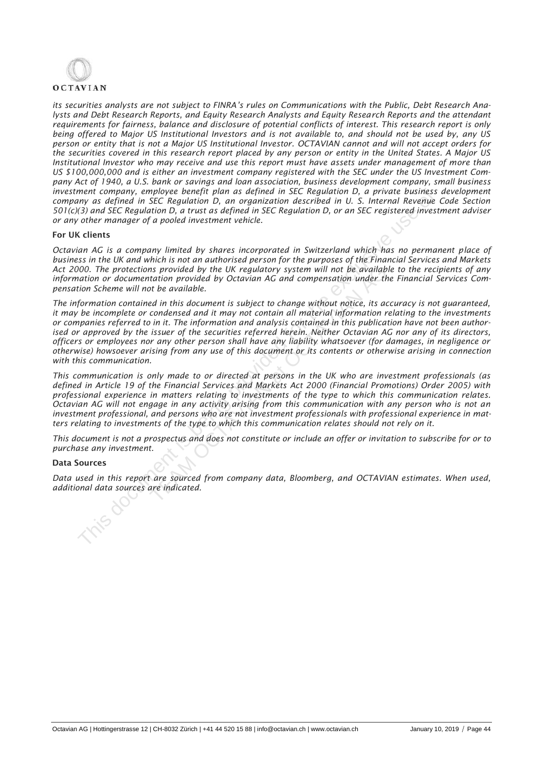# **OCTAVIAN**

*its securities analysts are not subject to FINRA's rules on Communications with the Public, Debt Research Analysts and Debt Research Reports, and Equity Research Analysts and Equity Research Reports and the attendant requirements for fairness, balance and disclosure of potential conflicts of interest. This research report is only being offered to Major US Institutional Investors and is not available to, and should not be used by, any US person or entity that is not a Major US Institutional Investor. OCTAVIAN cannot and will not accept orders for the securities covered in this research report placed by any person or entity in the United States. A Major US Institutional Investor who may receive and use this report must have assets under management of more than US \$100,000,000 and is either an investment company registered with the SEC under the US Investment Company Act of 1940, a U.S. bank or savings and loan association, business development company, small business investment company, employee benefit plan as defined in SEC Regulation D, a private business development company as defined in SEC Regulation D, an organization described in U. S. Internal Revenue Code Section 501(c)(3) and SEC Regulation D, a trust as defined in SEC Regulation D, or an SEC registered investment adviser or any other manager of a pooled investment vehicle.* 

### For UK clients

*Octavian AG is a company limited by shares incorporated in Switzerland which has no permanent place of business in the UK and which is not an authorised person for the purposes of the Financial Services and Markets Act 2000. The protections provided by the UK regulatory system will not be available to the recipients of any information or documentation provided by Octavian AG and compensation under the Financial Services Compensation Scheme will not be available.* 

*The information contained in this document is subject to change without notice, its accuracy is not guaranteed, it may be incomplete or condensed and it may not contain all material information relating to the investments or companies referred to in it. The information and analysis contained in this publication have not been authorised or approved by the issuer of the securities referred herein. Neither Octavian AG nor any of its directors, officers or employees nor any other person shall have any liability whatsoever (for damages, in negligence or otherwise) howsoever arising from any use of this document or its contents or otherwise arising in connection with this communication. ansistment* company, employee benefit plan as defined in SEC Regulation D, a private business<br>company as defined in SEC Regulation D, an organization described in U.S. Internal Revenue<br>or any other manager of a pooled inv In the UK regulatory system will not be available<br>tation provided by Octavian AG and compensation under the<br>orbitation provided.<br>Lead in this document is subject to change without notice, its ace<br>condensed and it may not c

*This communication is only made to or directed at persons in the UK who are investment professionals (as defined in Article 19 of the Financial Services and Markets Act 2000 (Financial Promotions) Order 2005) with professional experience in matters relating to investments of the type to which this communication relates. Octavian AG will not engage in any activity arising from this communication with any person who is not an investment professional, and persons who are not investment professionals with professional experience in matters relating to investments of the type to which this communication relates should not rely on it.* 

This document is not a prospectus and does not constitute or include an offer or invitation to subscribe for or to *purchase any investment.* 

### Data Sources

*Data used in this report are sourced from company data, Bloomberg, and OCTAVIAN estimates. When used,*